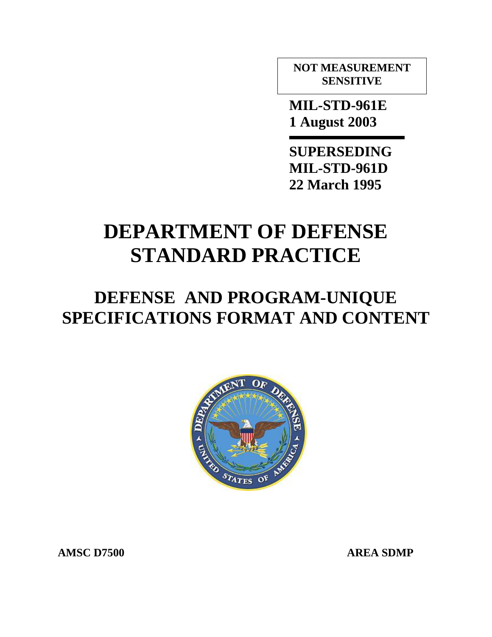**NOT MEASUREMENT SENSITIVE** 

 **MIL-STD-961E 1 August 2003** 

 **SUPERSEDING MIL-STD-961D 22 March 1995** 

# **DEPARTMENT OF DEFENSE STANDARD PRACTICE**

# **DEFENSE AND PROGRAM-UNIQUE SPECIFICATIONS FORMAT AND CONTENT**



**AMSC D7500 AREA SDMP**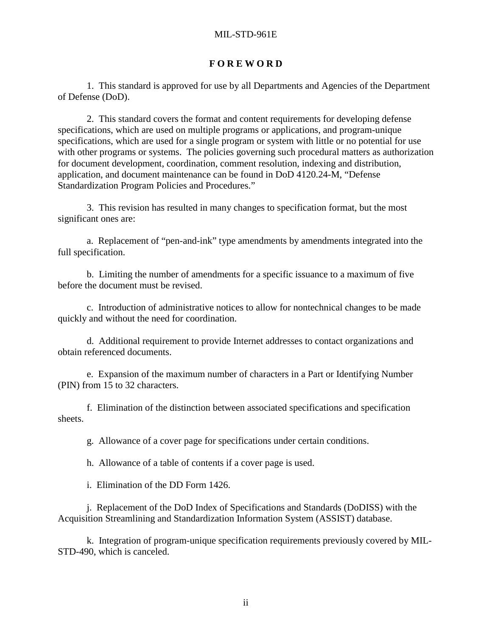#### **F O R E W O R D**

<span id="page-1-0"></span> 1. This standard is approved for use by all Departments and Agencies of the Department of Defense (DoD).

 2. This standard covers the format and content requirements for developing defense specifications, which are used on multiple programs or applications, and program-unique specifications, which are used for a single program or system with little or no potential for use with other programs or systems. The policies governing such procedural matters as authorization for document development, coordination, comment resolution, indexing and distribution, application, and document maintenance can be found in DoD 4120.24-M, "Defense Standardization Program Policies and Procedures."

3. This revision has resulted in many changes to specification format, but the most significant ones are:

a. Replacement of "pen-and-ink" type amendments by amendments integrated into the full specification.

b. Limiting the number of amendments for a specific issuance to a maximum of five before the document must be revised.

c. Introduction of administrative notices to allow for nontechnical changes to be made quickly and without the need for coordination.

 d. Additional requirement to provide Internet addresses to contact organizations and obtain referenced documents.

 e. Expansion of the maximum number of characters in a Part or Identifying Number (PIN) from 15 to 32 characters.

 f. Elimination of the distinction between associated specifications and specification sheets.

g. Allowance of a cover page for specifications under certain conditions.

h. Allowance of a table of contents if a cover page is used.

i. Elimination of the DD Form 1426.

 j. Replacement of the DoD Index of Specifications and Standards (DoDISS) with the Acquisition Streamlining and Standardization Information System (ASSIST) database.

 k. Integration of program-unique specification requirements previously covered by MIL-STD-490, which is canceled.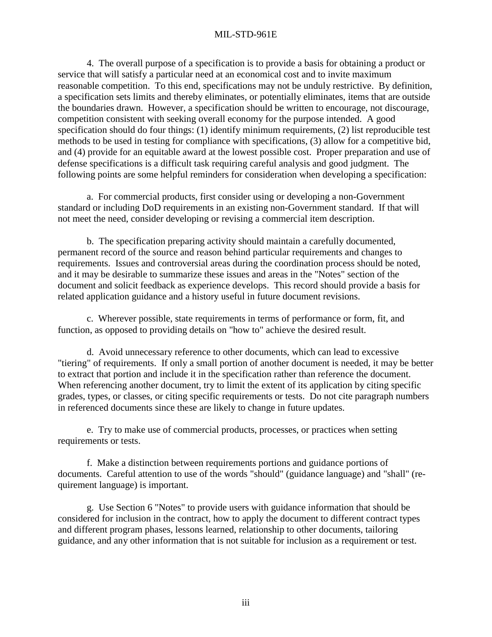4. The overall purpose of a specification is to provide a basis for obtaining a product or service that will satisfy a particular need at an economical cost and to invite maximum reasonable competition. To this end, specifications may not be unduly restrictive. By definition, a specification sets limits and thereby eliminates, or potentially eliminates, items that are outside the boundaries drawn. However, a specification should be written to encourage, not discourage, competition consistent with seeking overall economy for the purpose intended. A good specification should do four things: (1) identify minimum requirements, (2) list reproducible test methods to be used in testing for compliance with specifications, (3) allow for a competitive bid, and (4) provide for an equitable award at the lowest possible cost. Proper preparation and use of defense specifications is a difficult task requiring careful analysis and good judgment. The following points are some helpful reminders for consideration when developing a specification:

 a. For commercial products, first consider using or developing a non-Government standard or including DoD requirements in an existing non-Government standard. If that will not meet the need, consider developing or revising a commercial item description.

 b. The specification preparing activity should maintain a carefully documented, permanent record of the source and reason behind particular requirements and changes to requirements. Issues and controversial areas during the coordination process should be noted, and it may be desirable to summarize these issues and areas in the "Notes" section of the document and solicit feedback as experience develops. This record should provide a basis for related application guidance and a history useful in future document revisions.

 c. Wherever possible, state requirements in terms of performance or form, fit, and function, as opposed to providing details on "how to" achieve the desired result.

 d. Avoid unnecessary reference to other documents, which can lead to excessive "tiering" of requirements. If only a small portion of another document is needed, it may be better to extract that portion and include it in the specification rather than reference the document. When referencing another document, try to limit the extent of its application by citing specific grades, types, or classes, or citing specific requirements or tests. Do not cite paragraph numbers in referenced documents since these are likely to change in future updates.

 e. Try to make use of commercial products, processes, or practices when setting requirements or tests.

 f. Make a distinction between requirements portions and guidance portions of documents. Careful attention to use of the words "should" (guidance language) and "shall" (requirement language) is important.

 g. Use Section 6 "Notes" to provide users with guidance information that should be considered for inclusion in the contract, how to apply the document to different contract types and different program phases, lessons learned, relationship to other documents, tailoring guidance, and any other information that is not suitable for inclusion as a requirement or test.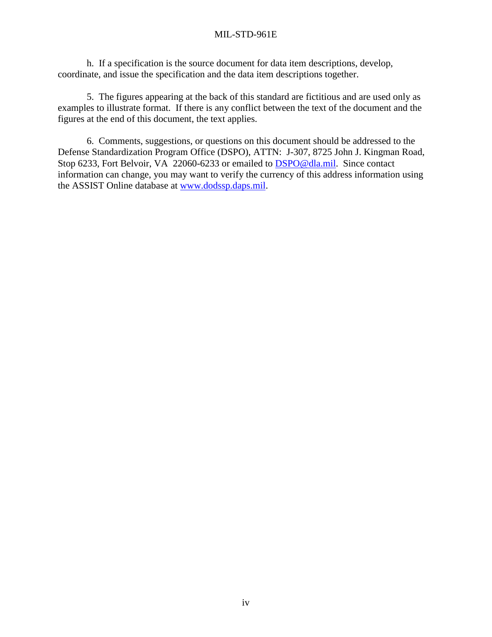h. If a specification is the source document for data item descriptions, develop, coordinate, and issue the specification and the data item descriptions together.

 5. The figures appearing at the back of this standard are fictitious and are used only as examples to illustrate format. If there is any conflict between the text of the document and the figures at the end of this document, the text applies.

 6. Comments, suggestions, or questions on this document should be addressed to the Defense Standardization Program Office (DSPO), ATTN: J-307, 8725 John J. Kingman Road, Stop 6233, Fort Belvoir, VA 22060-6233 or emailed to **[DSPO@dla.mil.](mailto:DSPO@hq.dla.mil)** Since contact information can change, you may want to verify the currency of this address information using the ASSIST Online database at [www.dodssp.daps.mil.](http://www.dodssp.daps.mil/)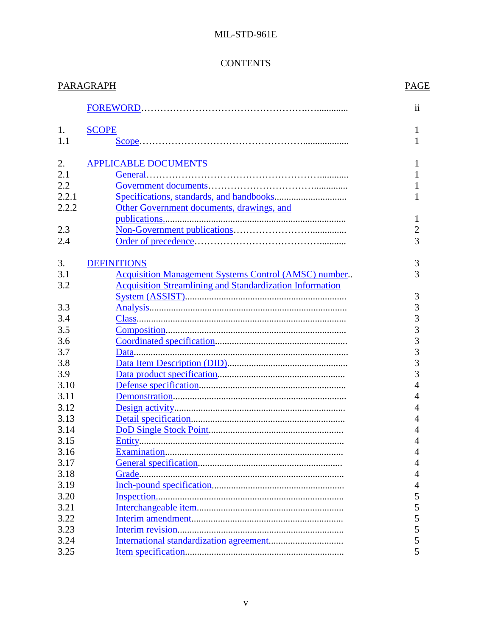# **CONTENTS**

| PARAGRAPH |                                                                 |                |
|-----------|-----------------------------------------------------------------|----------------|
|           |                                                                 | $\mathbf{ii}$  |
| 1.        | <b>SCOPE</b>                                                    | 1              |
| 1.1       |                                                                 | 1              |
| 2.        | <b>APPLICABLE DOCUMENTS</b>                                     |                |
| 2.1       |                                                                 |                |
| 2.2       |                                                                 |                |
| 2.2.1     |                                                                 |                |
| 2.2.2     | Other Government documents, drawings, and                       |                |
|           |                                                                 | 1              |
| 2.3       |                                                                 | $\overline{2}$ |
| 2.4       |                                                                 | 3              |
| 3.        | <b>DEFINITIONS</b>                                              | 3              |
| 3.1       | <b>Acquisition Management Systems Control (AMSC) number</b>     | 3              |
| 3.2       | <b>Acquisition Streamlining and Standardization Information</b> |                |
|           |                                                                 | 3              |
| 3.3       |                                                                 | 3              |
| 3.4       |                                                                 | 3              |
| 3.5       |                                                                 | $\overline{3}$ |
| 3.6       |                                                                 | $\overline{3}$ |
| 3.7       |                                                                 | 3              |
| 3.8       |                                                                 | 3              |
| 3.9       |                                                                 | 3              |
| 3.10      |                                                                 | $\overline{4}$ |
| 3.11      |                                                                 | 4              |
| 3.12      |                                                                 | 4              |
| 3.13      |                                                                 | 4              |
| 3.14      |                                                                 | 4              |
| 3.15      |                                                                 | 4              |
| 3.16      |                                                                 | 4              |
| 3.17      |                                                                 | 4              |
| 3.18      |                                                                 | 4              |
| 3.19      |                                                                 | 4              |
| 3.20      |                                                                 | 5              |
| 3.21      |                                                                 | 5              |
| 3.22      |                                                                 | 5              |
| 3.23      |                                                                 | 5              |
| 3.24      |                                                                 | 5              |
| 3.25      |                                                                 | 5              |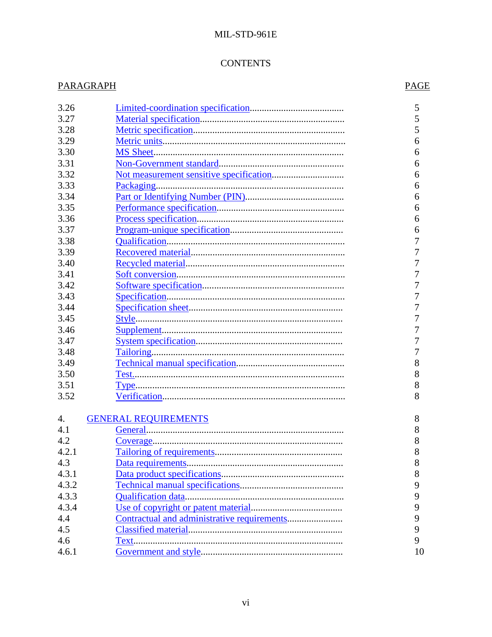# **CONTENTS**

# **PARAGRAPH**

# **PAGE**

| 3.26  |                             | 5  |
|-------|-----------------------------|----|
| 3.27  |                             | 5  |
| 3.28  |                             | 5  |
| 3.29  |                             | 6  |
| 3.30  |                             | 6  |
| 3.31  |                             | 6  |
| 3.32  |                             | 6  |
| 3.33  |                             | 6  |
| 3.34  |                             | 6  |
| 3.35  |                             | 6  |
| 3.36  |                             | 6  |
| 3.37  |                             | 6  |
| 3.38  |                             | 7  |
| 3.39  |                             | 7  |
| 3.40  |                             | 7  |
| 3.41  |                             | 7  |
| 3.42  |                             | 7  |
| 3.43  |                             | 7  |
| 3.44  |                             | 7  |
| 3.45  |                             | 7  |
| 3.46  |                             | 7  |
| 3.47  |                             | 7  |
| 3.48  |                             | 7  |
| 3.49  |                             | 8  |
| 3.50  |                             | 8  |
| 3.51  |                             | 8  |
| 3.52  |                             | 8  |
|       |                             |    |
| 4.    | <b>GENERAL REQUIREMENTS</b> | 8  |
| 4.1   |                             | 8  |
| 4.2   |                             | 8  |
| 4.2.1 |                             | 8  |
| 4.3   |                             | 8  |
| 4.3.1 |                             | 8  |
| 4.3.2 |                             | 9  |
| 4.3.3 |                             | 9  |
| 4.3.4 |                             | 9  |
| 4.4   |                             | 9  |
| 4.5   |                             | 9  |
| 4.6   |                             | 9  |
| 4.6.1 |                             | 10 |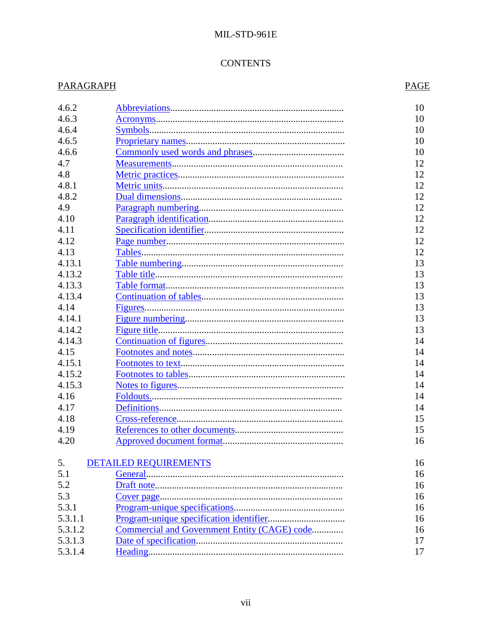# **CONTENTS**

# **PARAGRAPH**

# **PAGE**

| 4.6.2   |                                              | 10 |
|---------|----------------------------------------------|----|
| 4.6.3   |                                              | 10 |
| 4.6.4   |                                              | 10 |
| 4.6.5   |                                              | 10 |
| 4.6.6   |                                              | 10 |
| 4.7     |                                              | 12 |
| 4.8     |                                              | 12 |
| 4.8.1   |                                              | 12 |
| 4.8.2   |                                              | 12 |
| 4.9     |                                              | 12 |
| 4.10    |                                              | 12 |
| 4.11    |                                              | 12 |
| 4.12    |                                              | 12 |
| 4.13    |                                              | 12 |
| 4.13.1  |                                              | 13 |
| 4.13.2  |                                              | 13 |
| 4.13.3  |                                              | 13 |
| 4.13.4  |                                              | 13 |
| 4.14    |                                              | 13 |
| 4.14.1  |                                              | 13 |
| 4.14.2  |                                              | 13 |
| 4.14.3  |                                              | 14 |
| 4.15    |                                              | 14 |
| 4.15.1  |                                              | 14 |
| 4.15.2  |                                              | 14 |
| 4.15.3  |                                              | 14 |
| 4.16    |                                              | 14 |
| 4.17    |                                              | 14 |
| 4.18    |                                              | 15 |
| 4.19    |                                              | 15 |
| 4.20    |                                              | 16 |
| 5.      | <b>DETAILED REQUIREMENTS</b>                 | 16 |
| 5.1     |                                              | 16 |
| 5.2     |                                              | 16 |
| 5.3     |                                              | 16 |
| 5.3.1   |                                              | 16 |
| 5.3.1.1 |                                              | 16 |
| 5.3.1.2 | Commercial and Government Entity (CAGE) code | 16 |
| 5.3.1.3 |                                              | 17 |
| 5.3.1.4 |                                              | 17 |
|         |                                              |    |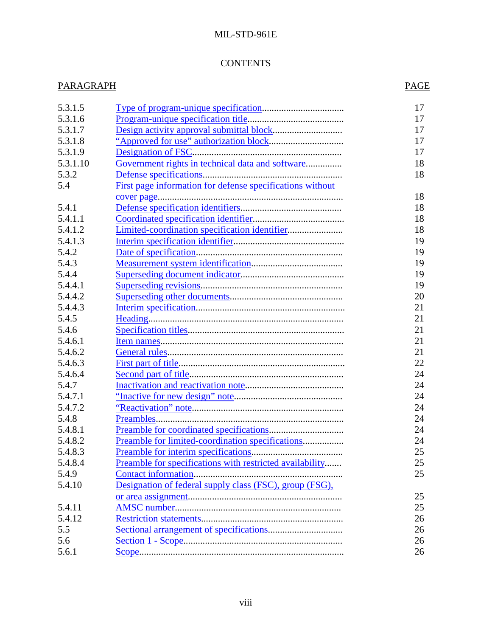### **CONTENTS**

# PARAGRAPH PAGE

| 5.3.1.5  |                                                           | 17 |
|----------|-----------------------------------------------------------|----|
| 5.3.1.6  |                                                           | 17 |
| 5.3.1.7  |                                                           | 17 |
| 5.3.1.8  |                                                           | 17 |
| 5.3.1.9  |                                                           | 17 |
| 5.3.1.10 | Government rights in technical data and software          | 18 |
| 5.3.2    |                                                           | 18 |
| 5.4      | First page information for defense specifications without |    |
|          |                                                           | 18 |
| 5.4.1    |                                                           | 18 |
| 5.4.1.1  |                                                           | 18 |
| 5.4.1.2  |                                                           | 18 |
| 5.4.1.3  |                                                           | 19 |
| 5.4.2    |                                                           | 19 |
| 5.4.3    |                                                           | 19 |
| 5.4.4    |                                                           | 19 |
| 5.4.4.1  |                                                           | 19 |
| 5.4.4.2  |                                                           | 20 |
| 5.4.4.3  |                                                           | 21 |
| 5.4.5    |                                                           | 21 |
| 5.4.6    |                                                           | 21 |
| 5.4.6.1  |                                                           | 21 |
| 5.4.6.2  |                                                           | 21 |
| 5.4.6.3  |                                                           | 22 |
| 5.4.6.4  |                                                           | 24 |
| 5.4.7    |                                                           | 24 |
| 5.4.7.1  |                                                           | 24 |
| 5.4.7.2  |                                                           | 24 |
| 5.4.8    |                                                           | 24 |
| 5.4.8.1  |                                                           | 24 |
| 5.4.8.2  | Preamble for limited-coordination specifications          | 24 |
| 5.4.8.3  |                                                           | 25 |
| 5.4.8.4  | Preamble for specifications with restricted availability  | 25 |
| 5.4.9    | Contact information                                       | 25 |
| 5.4.10   |                                                           |    |
|          | Designation of federal supply class (FSC), group (FSG),   | 25 |
|          |                                                           |    |
| 5.4.11   |                                                           | 25 |
| 5.4.12   |                                                           | 26 |
| 5.5      |                                                           | 26 |
| 5.6      |                                                           | 26 |
| 5.6.1    |                                                           | 26 |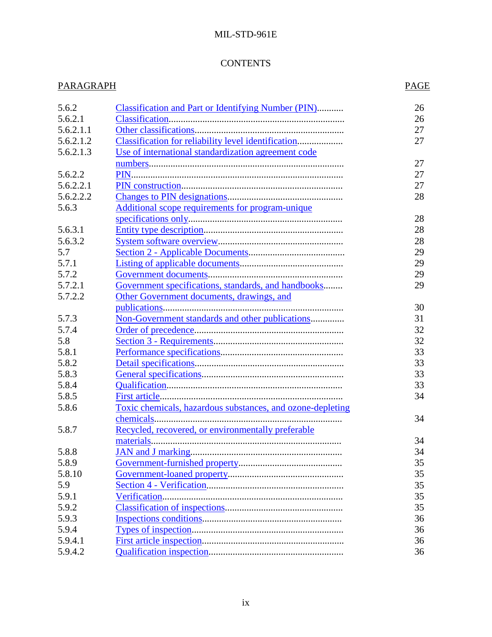# **CONTENTS**

| PARAGRAPH       |                                                            |    |  |  |  |  |
|-----------------|------------------------------------------------------------|----|--|--|--|--|
| 5.6.2           | <b>Classification and Part or Identifying Number (PIN)</b> | 26 |  |  |  |  |
| 5.6.2.1         |                                                            | 26 |  |  |  |  |
| 5.6.2.1.1       |                                                            |    |  |  |  |  |
| 5.6.2.1.2       | Classification for reliability level identification        | 27 |  |  |  |  |
| 5.6.2.1.3       | Use of international standardization agreement code        |    |  |  |  |  |
|                 |                                                            | 27 |  |  |  |  |
| 5.6.2.2         |                                                            | 27 |  |  |  |  |
| 5.6.2.2.1       |                                                            | 27 |  |  |  |  |
| 5.6.2.2.2       |                                                            | 28 |  |  |  |  |
| 5.6.3           | Additional scope requirements for program-unique           |    |  |  |  |  |
|                 |                                                            | 28 |  |  |  |  |
| 5.6.3.1         |                                                            | 28 |  |  |  |  |
| 5.6.3.2         |                                                            | 28 |  |  |  |  |
| 5.7             |                                                            | 29 |  |  |  |  |
| 5.7.1           |                                                            | 29 |  |  |  |  |
| 5.7.2           |                                                            | 29 |  |  |  |  |
| 5.7.2.1         | Government specifications, standards, and handbooks        | 29 |  |  |  |  |
| 5.7.2.2         | Other Government documents, drawings, and                  |    |  |  |  |  |
|                 |                                                            | 30 |  |  |  |  |
| 5.7.3           | Non-Government standards and other publications            | 31 |  |  |  |  |
| 5.7.4           |                                                            | 32 |  |  |  |  |
| 5.8             |                                                            | 32 |  |  |  |  |
| 5.8.1           |                                                            | 33 |  |  |  |  |
| 5.8.2           |                                                            | 33 |  |  |  |  |
| 5.8.3           |                                                            | 33 |  |  |  |  |
| 5.8.4           |                                                            | 33 |  |  |  |  |
| 5.8.5           |                                                            | 34 |  |  |  |  |
| 5.8.6           | Toxic chemicals, hazardous substances, and ozone-depleting |    |  |  |  |  |
|                 |                                                            | 34 |  |  |  |  |
| 5.8.7           | Recycled, recovered, or environmentally preferable         |    |  |  |  |  |
|                 |                                                            | 34 |  |  |  |  |
| 5.8.8           |                                                            | 34 |  |  |  |  |
|                 |                                                            |    |  |  |  |  |
| 5.8.9<br>5.8.10 |                                                            | 35 |  |  |  |  |
|                 |                                                            | 35 |  |  |  |  |
| 5.9             |                                                            | 35 |  |  |  |  |
| 5.9.1           |                                                            | 35 |  |  |  |  |
| 5.9.2           |                                                            | 35 |  |  |  |  |
| 5.9.3           |                                                            | 36 |  |  |  |  |
| 5.9.4           |                                                            | 36 |  |  |  |  |
| 5.9.4.1         |                                                            | 36 |  |  |  |  |
| 5.9.4.2         |                                                            | 36 |  |  |  |  |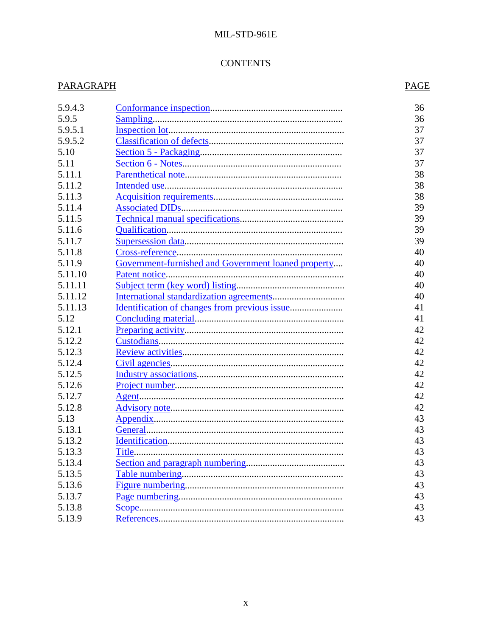# **CONTENTS**

# **PARAGRAPH**

# **PAGE**

| 5.9.4.3 |                                                     | 36 |
|---------|-----------------------------------------------------|----|
| 5.9.5   |                                                     | 36 |
| 5.9.5.1 |                                                     | 37 |
| 5.9.5.2 |                                                     | 37 |
| 5.10    |                                                     | 37 |
| 5.11    |                                                     | 37 |
| 5.11.1  |                                                     |    |
|         |                                                     | 38 |
| 5.11.2  |                                                     | 38 |
| 5.11.3  |                                                     | 38 |
| 5.11.4  |                                                     | 39 |
| 5.11.5  |                                                     | 39 |
| 5.11.6  |                                                     | 39 |
| 5.11.7  |                                                     | 39 |
| 5.11.8  |                                                     | 40 |
| 5.11.9  | Government-furnished and Government loaned property | 40 |
| 5.11.10 |                                                     | 40 |
| 5.11.11 |                                                     | 40 |
| 5.11.12 |                                                     | 40 |
| 5.11.13 |                                                     | 41 |
| 5.12    |                                                     | 41 |
| 5.12.1  |                                                     | 42 |
| 5.12.2  |                                                     | 42 |
| 5.12.3  |                                                     | 42 |
| 5.12.4  |                                                     | 42 |
| 5.12.5  |                                                     | 42 |
| 5.12.6  |                                                     | 42 |
| 5.12.7  |                                                     | 42 |
| 5.12.8  |                                                     | 42 |
| 5.13    |                                                     | 43 |
| 5.13.1  |                                                     | 43 |
| 5.13.2  |                                                     | 43 |
| 5.13.3  |                                                     | 43 |
| 5.13.4  |                                                     | 43 |
| 5.13.5  |                                                     | 43 |
| 5.13.6  |                                                     | 43 |
| 5.13.7  |                                                     | 43 |
| 5.13.8  |                                                     | 43 |
| 5.13.9  |                                                     | 43 |
|         |                                                     |    |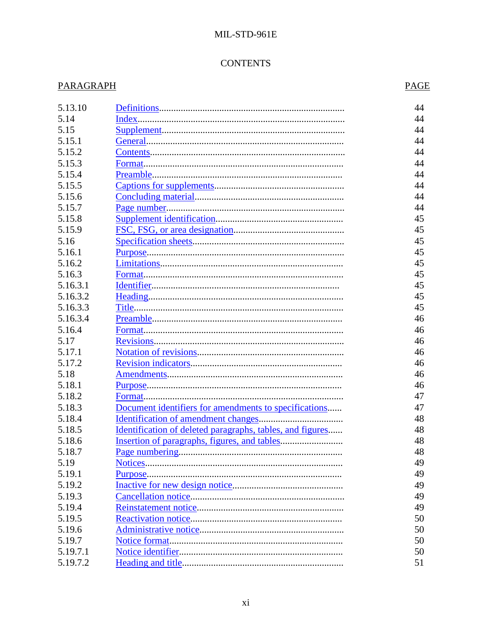# **CONTENTS**

# **PARAGRAPH**

# **PAGE**

| 5.13.10  |                                                           | 44 |
|----------|-----------------------------------------------------------|----|
| 5.14     | Index                                                     | 44 |
| 5.15     |                                                           | 44 |
| 5.15.1   |                                                           | 44 |
| 5.15.2   |                                                           | 44 |
| 5.15.3   |                                                           | 44 |
| 5.15.4   |                                                           | 44 |
| 5.15.5   |                                                           | 44 |
| 5.15.6   |                                                           | 44 |
| 5.15.7   |                                                           | 44 |
| 5.15.8   |                                                           | 45 |
| 5.15.9   |                                                           | 45 |
| 5.16     |                                                           | 45 |
| 5.16.1   |                                                           | 45 |
| 5.16.2   |                                                           | 45 |
| 5.16.3   |                                                           | 45 |
| 5.16.3.1 |                                                           | 45 |
| 5.16.3.2 |                                                           | 45 |
| 5.16.3.3 |                                                           | 45 |
| 5.16.3.4 |                                                           | 46 |
| 5.16.4   |                                                           | 46 |
| 5.17     |                                                           | 46 |
| 5.17.1   |                                                           | 46 |
| 5.17.2   |                                                           | 46 |
| 5.18     |                                                           | 46 |
| 5.18.1   |                                                           | 46 |
| 5.18.2   |                                                           | 47 |
| 5.18.3   | Document identifiers for amendments to specifications     | 47 |
| 5.18.4   |                                                           | 48 |
| 5.18.5   | Identification of deleted paragraphs, tables, and figures | 48 |
| 5.18.6   |                                                           | 48 |
| 5.18.7   |                                                           | 48 |
| 5.19     |                                                           | 49 |
| 5.19.1   |                                                           | 49 |
| 5.19.2   |                                                           | 49 |
| 5.19.3   |                                                           | 49 |
| 5.19.4   |                                                           | 49 |
| 5.19.5   |                                                           | 50 |
| 5.19.6   |                                                           |    |
|          |                                                           | 50 |
| 5.19.7   |                                                           | 50 |
| 5.19.7.1 |                                                           | 50 |
| 5.19.7.2 |                                                           | 51 |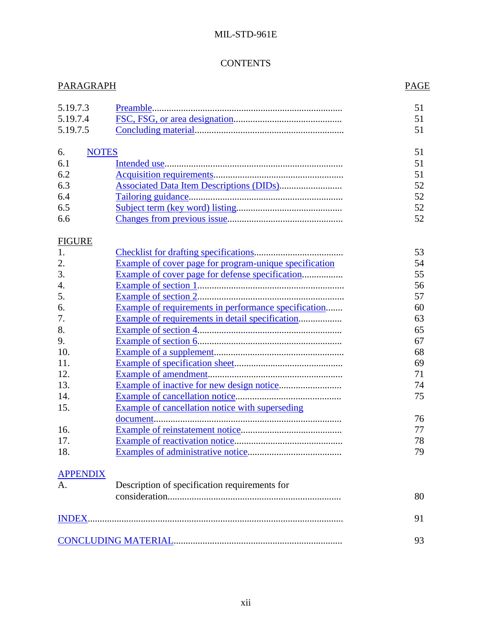# **CONTENTS**

| PARAGRAPH            |                                                        | <b>PAGE</b> |
|----------------------|--------------------------------------------------------|-------------|
| 5.19.7.3<br>5.19.7.4 |                                                        | 51<br>51    |
| 5.19.7.5             |                                                        | 51          |
| 6.                   | <b>NOTES</b>                                           | 51          |
| 6.1                  |                                                        | 51          |
| 6.2                  |                                                        | 51          |
| 6.3                  | <b>Associated Data Item Descriptions (DIDs)</b>        | 52          |
| 6.4                  |                                                        | 52          |
| 6.5                  |                                                        | 52          |
| 6.6                  |                                                        | 52          |
| <b>FIGURE</b>        |                                                        |             |
| 1.                   |                                                        | 53          |
| 2.                   | Example of cover page for program-unique specification | 54          |
| 3.                   | Example of cover page for defense specification        | 55          |
| 4.                   |                                                        | 56          |
| 5.                   |                                                        | 57          |
| 6.                   | Example of requirements in performance specification   | 60          |
| 7.                   | Example of requirements in detail specification        | 63          |
| 8.                   |                                                        | 65          |
| 9.                   |                                                        | 67          |
| 10.                  |                                                        | 68          |
| 11.                  |                                                        | 69          |
| 12.                  |                                                        | 71          |
| 13.                  |                                                        | 74          |
| 14.                  |                                                        | 75          |
| 15.                  | Example of cancellation notice with superseding        |             |
|                      |                                                        | 76          |
| 16.                  |                                                        | 77          |
| 17.                  |                                                        | 78          |
| 18.                  |                                                        | 79          |
| <b>APPENDIX</b>      |                                                        |             |
| A.                   | Description of specification requirements for          |             |
|                      |                                                        | 80          |
|                      |                                                        | 91          |
|                      |                                                        |             |
|                      |                                                        | 93          |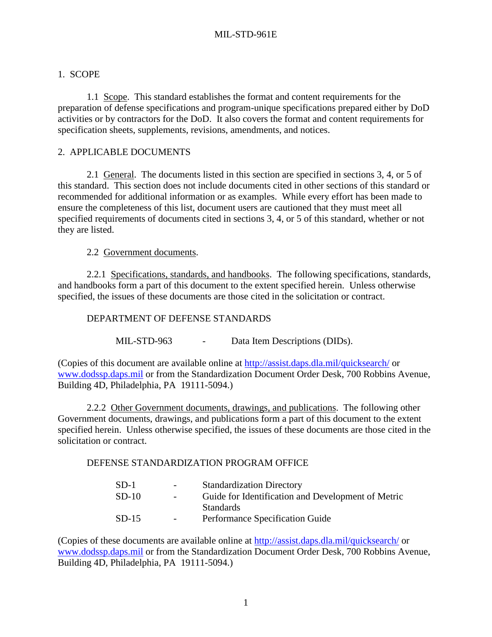# <span id="page-12-0"></span>1. SCOPE

 1.1 Scope. This standard establishes the format and content requirements for the preparation of defense specifications and program-unique specifications prepared either by DoD activities or by contractors for the DoD. It also covers the format and content requirements for specification sheets, supplements, revisions, amendments, and notices.

## 2. APPLICABLE DOCUMENTS

 2.1 General. The documents listed in this section are specified in sections 3, 4, or 5 of this standard. This section does not include documents cited in other sections of this standard or recommended for additional information or as examples. While every effort has been made to ensure the completeness of this list, document users are cautioned that they must meet all specified requirements of documents cited in sections 3, 4, or 5 of this standard, whether or not they are listed.

2.2 Government documents.

2.2.1 Specifications, standards, and handbooks. The following specifications, standards, and handbooks form a part of this document to the extent specified herein. Unless otherwise specified, the issues of these documents are those cited in the solicitation or contract.

#### DEPARTMENT OF DEFENSE STANDARDS

MIL-STD-963 - Data Item Descriptions (DIDs).

(Copies of this document are available online at <http://assist.daps.dla.mil/quicksearch/>or [www.dodssp.daps.mil](http://www.dodssp.daps.mil/) or from the Standardization Document Order Desk, 700 Robbins Avenue, Building 4D, Philadelphia, PA 19111-5094.)

 2.2.2 Other Government documents, drawings, and publications. The following other Government documents, drawings, and publications form a part of this document to the extent specified herein. Unless otherwise specified, the issues of these documents are those cited in the solicitation or contract.

#### DEFENSE STANDARDIZATION PROGRAM OFFICE

| $SD-1$  | $\sim 100$       | <b>Standardization Directory</b>                   |
|---------|------------------|----------------------------------------------------|
| $SD-10$ | $\sim$ $\sim$    | Guide for Identification and Development of Metric |
|         |                  | <b>Standards</b>                                   |
| $SD-15$ | $\sim$ 100 $\mu$ | Performance Specification Guide                    |

(Copies of these documents are available online at <http://assist.daps.dla.mil/quicksearch/>or [www.dodssp.daps.mil](http://www.dodssp.daps.mil/) or from the Standardization Document Order Desk, 700 Robbins Avenue, Building 4D, Philadelphia, PA 19111-5094.)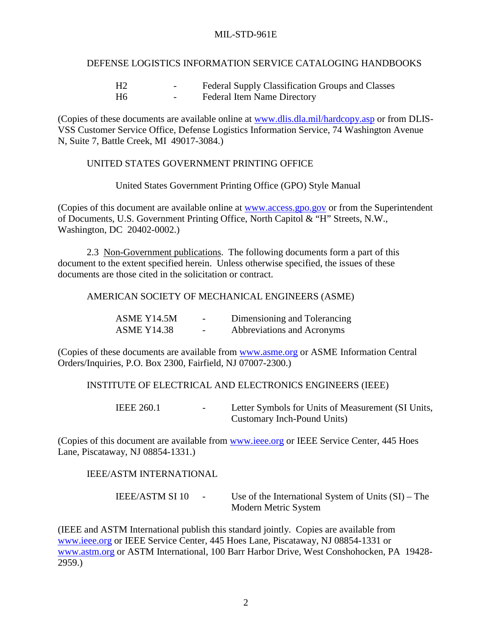#### DEFENSE LOGISTICS INFORMATION SERVICE CATALOGING HANDBOOKS

<span id="page-13-0"></span>

|    | $\overline{\phantom{0}}$ | Federal Supply Classification Groups and Classes |
|----|--------------------------|--------------------------------------------------|
| H6 | $\overline{\phantom{0}}$ | <b>Federal Item Name Directory</b>               |

(Copies of these documents are available online at [www.dlis.dla.mil/hardcopy.asp](http://www.dlis.dla.mil/hardcopy.asp) or from DLIS-VSS Customer Service Office, Defense Logistics Information Service, 74 Washington Avenue N, Suite 7, Battle Creek, MI 49017-3084.)

#### UNITED STATES GOVERNMENT PRINTING OFFICE

United States Government Printing Office (GPO) Style Manual

(Copies of this document are available online at [www.access.gpo.gov](http://www.access.gpo.gov/) or from the Superintendent of Documents, U.S. Government Printing Office, North Capitol & "H" Streets, N.W., Washington, DC 20402-0002.)

 2.3 Non-Government publications. The following documents form a part of this document to the extent specified herein. Unless otherwise specified, the issues of these documents are those cited in the solicitation or contract.

AMERICAN SOCIETY OF MECHANICAL ENGINEERS (ASME)

| ASME Y14.5M        | $\sim$                   | Dimensioning and Tolerancing |
|--------------------|--------------------------|------------------------------|
| <b>ASME Y14.38</b> | $\overline{\phantom{0}}$ | Abbreviations and Acronyms   |

(Copies of these documents are available from [www.asme.org](http://www.asme.org/) or ASME Information Central Orders/Inquiries, P.O. Box 2300, Fairfield, NJ 07007-2300.)

#### INSTITUTE OF ELECTRICAL AND ELECTRONICS ENGINEERS (IEEE)

IEEE 260.1 - Letter Symbols for Units of Measurement (SI Units, Customary Inch-Pound Units)

(Copies of this document are available from [www.ieee.org](http://www.ieee.org/) or IEEE Service Center, 445 Hoes Lane, Piscataway, NJ 08854-1331.)

#### IEEE/ASTM INTERNATIONAL

| <b>IEEE/ASTM SI 10</b> | Use of the International System of Units $(SI)$ – The |
|------------------------|-------------------------------------------------------|
|                        | Modern Metric System                                  |

(IEEE and ASTM International publish this standard jointly. Copies are available from [www.ieee.org](http://www.ieee.org/) or IEEE Service Center, 445 Hoes Lane, Piscataway, NJ 08854-1331 or [www.astm.org](http://www.astm.org/) or ASTM International, 100 Barr Harbor Drive, West Conshohocken, PA 19428- 2959.)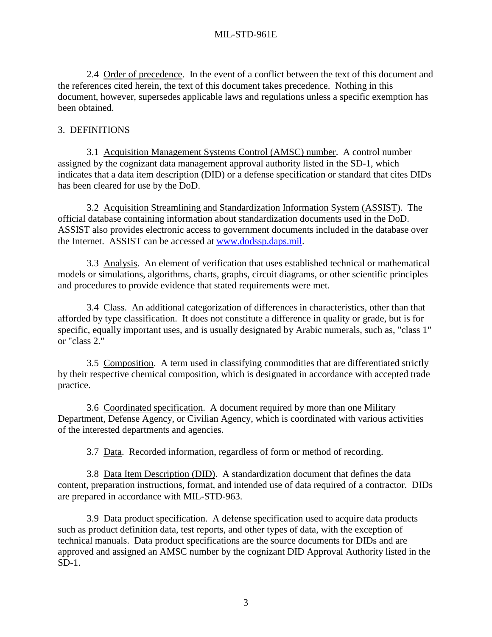<span id="page-14-0"></span>2.4 Order of precedence. In the event of a conflict between the text of this document and the references cited herein, the text of this document takes precedence. Nothing in this document, however, supersedes applicable laws and regulations unless a specific exemption has been obtained.

# 3. DEFINITIONS

 3.1 Acquisition Management Systems Control (AMSC) number. A control number assigned by the cognizant data management approval authority listed in the SD-1, which indicates that a data item description (DID) or a defense specification or standard that cites DIDs has been cleared for use by the DoD.

 3.2 Acquisition Streamlining and Standardization Information System (ASSIST). The official database containing information about standardization documents used in the DoD. ASSIST also provides electronic access to government documents included in the database over the Internet. ASSIST can be accessed at [www.dodssp.daps.mil.](http://www.dodssp.daps.mil/)

 3.3 Analysis. An element of verification that uses established technical or mathematical models or simulations, algorithms, charts, graphs, circuit diagrams, or other scientific principles and procedures to provide evidence that stated requirements were met.

 3.4 Class. An additional categorization of differences in characteristics, other than that afforded by type classification. It does not constitute a difference in quality or grade, but is for specific, equally important uses, and is usually designated by Arabic numerals, such as, "class 1" or "class 2."

 3.5 Composition. A term used in classifying commodities that are differentiated strictly by their respective chemical composition, which is designated in accordance with accepted trade practice.

 3.6 Coordinated specification. A document required by more than one Military Department, Defense Agency, or Civilian Agency, which is coordinated with various activities of the interested departments and agencies.

3.7 Data. Recorded information, regardless of form or method of recording.

 3.8 Data Item Description (DID). A standardization document that defines the data content, preparation instructions, format, and intended use of data required of a contractor. DIDs are prepared in accordance with MIL-STD-963.

 3.9 Data product specification. A defense specification used to acquire data products such as product definition data, test reports, and other types of data, with the exception of technical manuals. Data product specifications are the source documents for DIDs and are approved and assigned an AMSC number by the cognizant DID Approval Authority listed in the SD-1.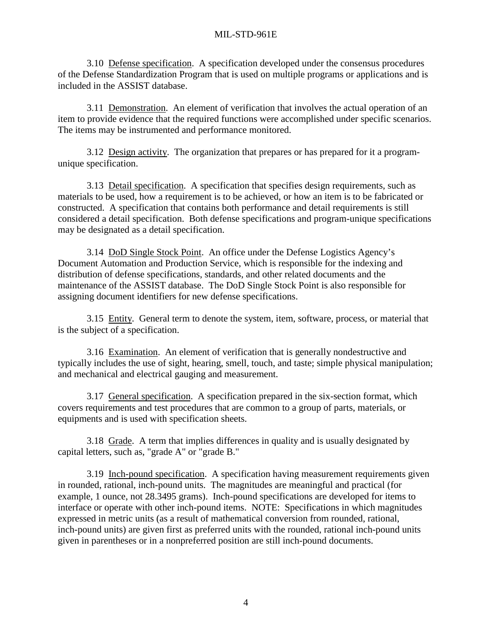<span id="page-15-0"></span> 3.10 Defense specification. A specification developed under the consensus procedures of the Defense Standardization Program that is used on multiple programs or applications and is included in the ASSIST database.

 3.11 Demonstration. An element of verification that involves the actual operation of an item to provide evidence that the required functions were accomplished under specific scenarios. The items may be instrumented and performance monitored.

 3.12 Design activity. The organization that prepares or has prepared for it a programunique specification.

 3.13 Detail specification. A specification that specifies design requirements, such as materials to be used, how a requirement is to be achieved, or how an item is to be fabricated or constructed. A specification that contains both performance and detail requirements is still considered a detail specification. Both defense specifications and program-unique specifications may be designated as a detail specification.

 3.14 DoD Single Stock Point. An office under the Defense Logistics Agency's Document Automation and Production Service, which is responsible for the indexing and distribution of defense specifications, standards, and other related documents and the maintenance of the ASSIST database. The DoD Single Stock Point is also responsible for assigning document identifiers for new defense specifications.

 3.15 Entity. General term to denote the system, item, software, process, or material that is the subject of a specification.

 3.16 Examination. An element of verification that is generally nondestructive and typically includes the use of sight, hearing, smell, touch, and taste; simple physical manipulation; and mechanical and electrical gauging and measurement.

 3.17 General specification. A specification prepared in the six-section format, which covers requirements and test procedures that are common to a group of parts, materials, or equipments and is used with specification sheets.

 3.18 Grade. A term that implies differences in quality and is usually designated by capital letters, such as, "grade A" or "grade B."

 3.19 Inch-pound specification. A specification having measurement requirements given in rounded, rational, inch-pound units. The magnitudes are meaningful and practical (for example, 1 ounce, not 28.3495 grams). Inch-pound specifications are developed for items to interface or operate with other inch-pound items. NOTE: Specifications in which magnitudes expressed in metric units (as a result of mathematical conversion from rounded, rational, inch-pound units) are given first as preferred units with the rounded, rational inch-pound units given in parentheses or in a nonpreferred position are still inch-pound documents.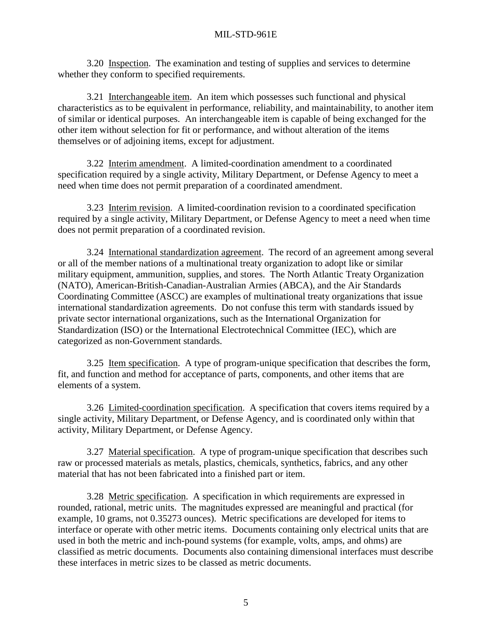<span id="page-16-0"></span> 3.20 Inspection. The examination and testing of supplies and services to determine whether they conform to specified requirements.

 3.21 Interchangeable item. An item which possesses such functional and physical characteristics as to be equivalent in performance, reliability, and maintainability, to another item of similar or identical purposes. An interchangeable item is capable of being exchanged for the other item without selection for fit or performance, and without alteration of the items themselves or of adjoining items, except for adjustment.

 3.22 Interim amendment. A limited-coordination amendment to a coordinated specification required by a single activity, Military Department, or Defense Agency to meet a need when time does not permit preparation of a coordinated amendment.

 3.23 Interim revision. A limited-coordination revision to a coordinated specification required by a single activity, Military Department, or Defense Agency to meet a need when time does not permit preparation of a coordinated revision.

 3.24 International standardization agreement. The record of an agreement among several or all of the member nations of a multinational treaty organization to adopt like or similar military equipment, ammunition, supplies, and stores. The North Atlantic Treaty Organization (NATO), American-British-Canadian-Australian Armies (ABCA), and the Air Standards Coordinating Committee (ASCC) are examples of multinational treaty organizations that issue international standardization agreements. Do not confuse this term with standards issued by private sector international organizations, such as the International Organization for Standardization (ISO) or the International Electrotechnical Committee (IEC), which are categorized as non-Government standards.

 3.25 Item specification. A type of program-unique specification that describes the form, fit, and function and method for acceptance of parts, components, and other items that are elements of a system.

 3.26 Limited-coordination specification. A specification that covers items required by a single activity, Military Department, or Defense Agency, and is coordinated only within that activity, Military Department, or Defense Agency.

 3.27 Material specification. A type of program-unique specification that describes such raw or processed materials as metals, plastics, chemicals, synthetics, fabrics, and any other material that has not been fabricated into a finished part or item.

 3.28 Metric specification. A specification in which requirements are expressed in rounded, rational, metric units. The magnitudes expressed are meaningful and practical (for example, 10 grams, not 0.35273 ounces). Metric specifications are developed for items to interface or operate with other metric items. Documents containing only electrical units that are used in both the metric and inch-pound systems (for example, volts, amps, and ohms) are classified as metric documents. Documents also containing dimensional interfaces must describe these interfaces in metric sizes to be classed as metric documents.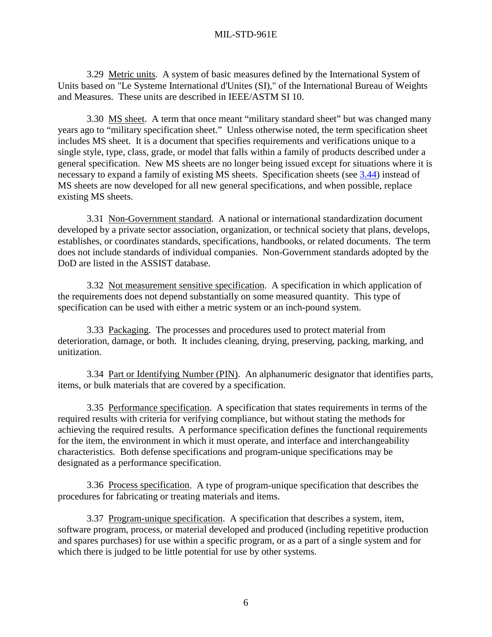<span id="page-17-0"></span> 3.29 Metric units. A system of basic measures defined by the International System of Units based on "Le Systeme International d'Unites (SI)," of the International Bureau of Weights and Measures. These units are described in IEEE/ASTM SI 10.

3.30 MS sheet. A term that once meant "military standard sheet" but was changed many years ago to "military specification sheet." Unless otherwise noted, the term specification sheet includes MS sheet. It is a document that specifies requirements and verifications unique to a single style, type, class, grade, or model that falls within a family of products described under a general specification. New MS sheets are no longer being issued except for situations where it is necessary to expand a family of existing MS sheets. Specification sheets (see [3.44\)](#page-18-0) instead of MS sheets are now developed for all new general specifications, and when possible, replace existing MS sheets.

 3.31 Non-Government standard. A national or international standardization document developed by a private sector association, organization, or technical society that plans, develops, establishes, or coordinates standards, specifications, handbooks, or related documents. The term does not include standards of individual companies. Non-Government standards adopted by the DoD are listed in the ASSIST database.

 3.32 Not measurement sensitive specification. A specification in which application of the requirements does not depend substantially on some measured quantity. This type of specification can be used with either a metric system or an inch-pound system.

 3.33 Packaging. The processes and procedures used to protect material from deterioration, damage, or both. It includes cleaning, drying, preserving, packing, marking, and unitization.

 3.34 Part or Identifying Number (PIN). An alphanumeric designator that identifies parts, items, or bulk materials that are covered by a specification.

 3.35 Performance specification. A specification that states requirements in terms of the required results with criteria for verifying compliance, but without stating the methods for achieving the required results. A performance specification defines the functional requirements for the item, the environment in which it must operate, and interface and interchangeability characteristics. Both defense specifications and program-unique specifications may be designated as a performance specification.

 3.36 Process specification. A type of program-unique specification that describes the procedures for fabricating or treating materials and items.

 3.37 Program-unique specification. A specification that describes a system, item, software program, process, or material developed and produced (including repetitive production and spares purchases) for use within a specific program, or as a part of a single system and for which there is judged to be little potential for use by other systems.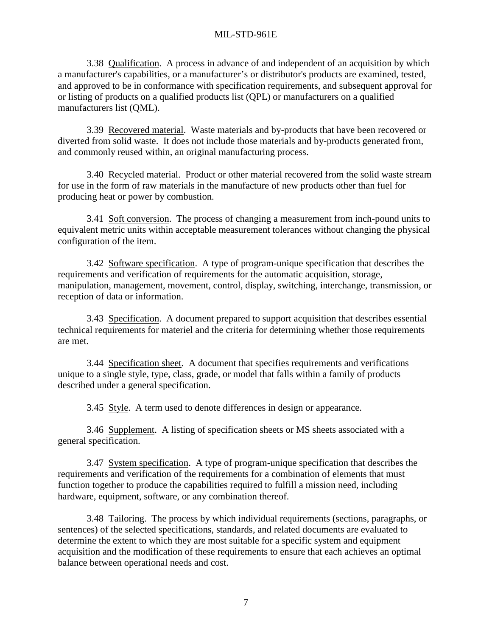<span id="page-18-0"></span> 3.38 Qualification. A process in advance of and independent of an acquisition by which a manufacturer's capabilities, or a manufacturer's or distributor's products are examined, tested, and approved to be in conformance with specification requirements, and subsequent approval for or listing of products on a qualified products list (QPL) or manufacturers on a qualified manufacturers list (QML).

 3.39 Recovered material. Waste materials and by-products that have been recovered or diverted from solid waste. It does not include those materials and by-products generated from, and commonly reused within, an original manufacturing process.

 3.40 Recycled material. Product or other material recovered from the solid waste stream for use in the form of raw materials in the manufacture of new products other than fuel for producing heat or power by combustion.

 3.41 Soft conversion. The process of changing a measurement from inch-pound units to equivalent metric units within acceptable measurement tolerances without changing the physical configuration of the item.

 3.42 Software specification. A type of program-unique specification that describes the requirements and verification of requirements for the automatic acquisition, storage, manipulation, management, movement, control, display, switching, interchange, transmission, or reception of data or information.

 3.43 Specification. A document prepared to support acquisition that describes essential technical requirements for materiel and the criteria for determining whether those requirements are met.

 3.44 Specification sheet. A document that specifies requirements and verifications unique to a single style, type, class, grade, or model that falls within a family of products described under a general specification.

3.45 Style. A term used to denote differences in design or appearance.

 3.46 Supplement. A listing of specification sheets or MS sheets associated with a general specification.

 3.47 System specification. A type of program-unique specification that describes the requirements and verification of the requirements for a combination of elements that must function together to produce the capabilities required to fulfill a mission need, including hardware, equipment, software, or any combination thereof.

 3.48 Tailoring. The process by which individual requirements (sections, paragraphs, or sentences) of the selected specifications, standards, and related documents are evaluated to determine the extent to which they are most suitable for a specific system and equipment acquisition and the modification of these requirements to ensure that each achieves an optimal balance between operational needs and cost.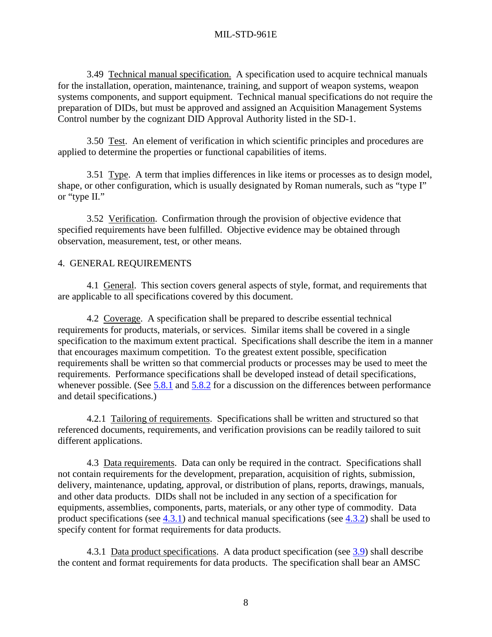<span id="page-19-0"></span>3.49 Technical manual specification. A specification used to acquire technical manuals for the installation, operation, maintenance, training, and support of weapon systems, weapon systems components, and support equipment. Technical manual specifications do not require the preparation of DIDs, but must be approved and assigned an Acquisition Management Systems Control number by the cognizant DID Approval Authority listed in the SD-1.

 3.50 Test. An element of verification in which scientific principles and procedures are applied to determine the properties or functional capabilities of items.

 3.51 Type. A term that implies differences in like items or processes as to design model, shape, or other configuration, which is usually designated by Roman numerals, such as "type I" or "type II."

3.52 Verification. Confirmation through the provision of objective evidence that specified requirements have been fulfilled. Objective evidence may be obtained through observation, measurement, test, or other means.

#### 4. GENERAL REQUIREMENTS

 4.1 General. This section covers general aspects of style, format, and requirements that are applicable to all specifications covered by this document.

 4.2 Coverage. A specification shall be prepared to describe essential technical requirements for products, materials, or services. Similar items shall be covered in a single specification to the maximum extent practical. Specifications shall describe the item in a manner that encourages maximum competition. To the greatest extent possible, specification requirements shall be written so that commercial products or processes may be used to meet the requirements. Performance specifications shall be developed instead of detail specifications, whenever possible. (See [5.8.1](#page-44-0) and [5.8.2](#page-44-0) for a discussion on the differences between performance and detail specifications.)

 4.2.1 Tailoring of requirements. Specifications shall be written and structured so that referenced documents, requirements, and verification provisions can be readily tailored to suit different applications.

4.3 Data requirements. Data can only be required in the contract. Specifications shall not contain requirements for the development, preparation, acquisition of rights, submission, delivery, maintenance, updating, approval, or distribution of plans, reports, drawings, manuals, and other data products. DIDs shall not be included in any section of a specification for equipments, assemblies, components, parts, materials, or any other type of commodity. Data product specifications (see 4.3.1) and technical manual specifications (see [4.3.2\)](#page-20-0) shall be used to specify content for format requirements for data products.

 4.3.1 Data product specifications. A data product specification (see [3.9\)](#page-14-0) shall describe the content and format requirements for data products. The specification shall bear an AMSC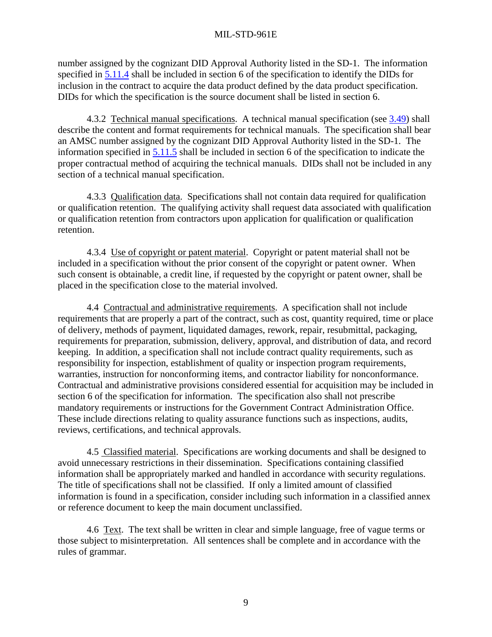<span id="page-20-0"></span>number assigned by the cognizant DID Approval Authority listed in the SD-1. The information specified in [5.11.4](#page-50-0) shall be included in section 6 of the specification to identify the DIDs for inclusion in the contract to acquire the data product defined by the data product specification. DIDs for which the specification is the source document shall be listed in section 6.

 4.3.2 Technical manual specifications. A technical manual specification (see [3.49\)](#page-19-0) shall describe the content and format requirements for technical manuals. The specification shall bear an AMSC number assigned by the cognizant DID Approval Authority listed in the SD-1. The information specified in [5.11.5](#page-50-0) shall be included in section 6 of the specification to indicate the proper contractual method of acquiring the technical manuals. DIDs shall not be included in any section of a technical manual specification.

 4.3.3 Qualification data. Specifications shall not contain data required for qualification or qualification retention. The qualifying activity shall request data associated with qualification or qualification retention from contractors upon application for qualification or qualification retention.

 4.3.4 Use of copyright or patent material. Copyright or patent material shall not be included in a specification without the prior consent of the copyright or patent owner. When such consent is obtainable, a credit line, if requested by the copyright or patent owner, shall be placed in the specification close to the material involved.

 4.4 Contractual and administrative requirements. A specification shall not include requirements that are properly a part of the contract, such as cost, quantity required, time or place of delivery, methods of payment, liquidated damages, rework, repair, resubmittal, packaging, requirements for preparation, submission, delivery, approval, and distribution of data, and record keeping. In addition, a specification shall not include contract quality requirements, such as responsibility for inspection, establishment of quality or inspection program requirements, warranties, instruction for nonconforming items, and contractor liability for nonconformance. Contractual and administrative provisions considered essential for acquisition may be included in section 6 of the specification for information. The specification also shall not prescribe mandatory requirements or instructions for the Government Contract Administration Office. These include directions relating to quality assurance functions such as inspections, audits, reviews, certifications, and technical approvals.

 4.5 Classified material. Specifications are working documents and shall be designed to avoid unnecessary restrictions in their dissemination. Specifications containing classified information shall be appropriately marked and handled in accordance with security regulations. The title of specifications shall not be classified. If only a limited amount of classified information is found in a specification, consider including such information in a classified annex or reference document to keep the main document unclassified.

 4.6 Text. The text shall be written in clear and simple language, free of vague terms or those subject to misinterpretation. All sentences shall be complete and in accordance with the rules of grammar.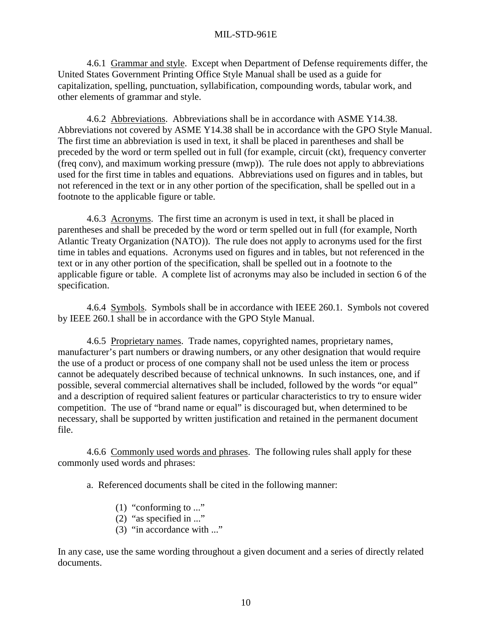<span id="page-21-0"></span> 4.6.1 Grammar and style. Except when Department of Defense requirements differ, the United States Government Printing Office Style Manual shall be used as a guide for capitalization, spelling, punctuation, syllabification, compounding words, tabular work, and other elements of grammar and style.

 4.6.2 Abbreviations. Abbreviations shall be in accordance with ASME Y14.38. Abbreviations not covered by ASME Y14.38 shall be in accordance with the GPO Style Manual. The first time an abbreviation is used in text, it shall be placed in parentheses and shall be preceded by the word or term spelled out in full (for example, circuit (ckt), frequency converter (freq conv), and maximum working pressure (mwp)). The rule does not apply to abbreviations used for the first time in tables and equations. Abbreviations used on figures and in tables, but not referenced in the text or in any other portion of the specification, shall be spelled out in a footnote to the applicable figure or table.

 4.6.3 Acronyms. The first time an acronym is used in text, it shall be placed in parentheses and shall be preceded by the word or term spelled out in full (for example, North Atlantic Treaty Organization (NATO)). The rule does not apply to acronyms used for the first time in tables and equations. Acronyms used on figures and in tables, but not referenced in the text or in any other portion of the specification, shall be spelled out in a footnote to the applicable figure or table. A complete list of acronyms may also be included in section 6 of the specification.

 4.6.4 Symbols. Symbols shall be in accordance with IEEE 260.1. Symbols not covered by IEEE 260.1 shall be in accordance with the GPO Style Manual.

 4.6.5 Proprietary names. Trade names, copyrighted names, proprietary names, manufacturer's part numbers or drawing numbers, or any other designation that would require the use of a product or process of one company shall not be used unless the item or process cannot be adequately described because of technical unknowns. In such instances, one, and if possible, several commercial alternatives shall be included, followed by the words "or equal" and a description of required salient features or particular characteristics to try to ensure wider competition. The use of "brand name or equal" is discouraged but, when determined to be necessary, shall be supported by written justification and retained in the permanent document file.

 4.6.6 Commonly used words and phrases. The following rules shall apply for these commonly used words and phrases:

a. Referenced documents shall be cited in the following manner:

- (1) "conforming to ..."
- (2) "as specified in ..."
- (3) "in accordance with ..."

In any case, use the same wording throughout a given document and a series of directly related documents.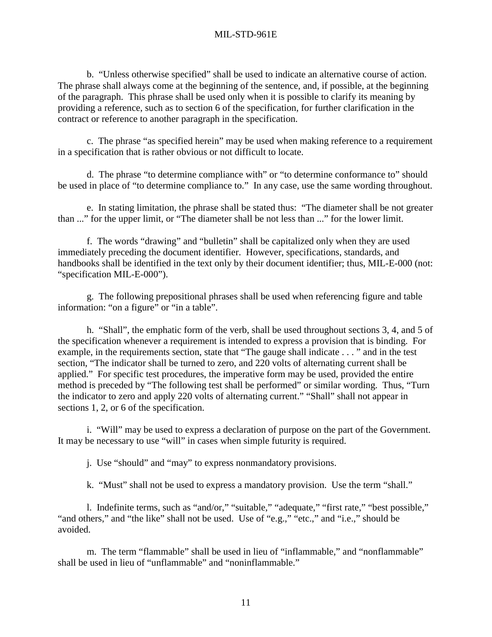b. "Unless otherwise specified" shall be used to indicate an alternative course of action. The phrase shall always come at the beginning of the sentence, and, if possible, at the beginning of the paragraph. This phrase shall be used only when it is possible to clarify its meaning by providing a reference, such as to section 6 of the specification, for further clarification in the contract or reference to another paragraph in the specification.

 c. The phrase "as specified herein" may be used when making reference to a requirement in a specification that is rather obvious or not difficult to locate.

 d. The phrase "to determine compliance with" or "to determine conformance to" should be used in place of "to determine compliance to." In any case, use the same wording throughout.

 e. In stating limitation, the phrase shall be stated thus: "The diameter shall be not greater than ..." for the upper limit, or "The diameter shall be not less than ..." for the lower limit.

 f. The words "drawing" and "bulletin" shall be capitalized only when they are used immediately preceding the document identifier. However, specifications, standards, and handbooks shall be identified in the text only by their document identifier; thus, MIL-E-000 (not: "specification MIL-E-000").

 g. The following prepositional phrases shall be used when referencing figure and table information: "on a figure" or "in a table".

 h. "Shall", the emphatic form of the verb, shall be used throughout sections 3, 4, and 5 of the specification whenever a requirement is intended to express a provision that is binding. For example, in the requirements section, state that "The gauge shall indicate . . . " and in the test section, "The indicator shall be turned to zero, and 220 volts of alternating current shall be applied." For specific test procedures, the imperative form may be used, provided the entire method is preceded by "The following test shall be performed" or similar wording. Thus, "Turn the indicator to zero and apply 220 volts of alternating current." "Shall" shall not appear in sections 1, 2, or 6 of the specification.

 i. "Will" may be used to express a declaration of purpose on the part of the Government. It may be necessary to use "will" in cases when simple futurity is required.

j. Use "should" and "may" to express nonmandatory provisions.

k. "Must" shall not be used to express a mandatory provision. Use the term "shall."

 l. Indefinite terms, such as "and/or," "suitable," "adequate," "first rate," "best possible," "and others," and "the like" shall not be used. Use of "e.g.," "etc.," and "i.e.," should be avoided.

 m. The term "flammable" shall be used in lieu of "inflammable," and "nonflammable" shall be used in lieu of "unflammable" and "noninflammable."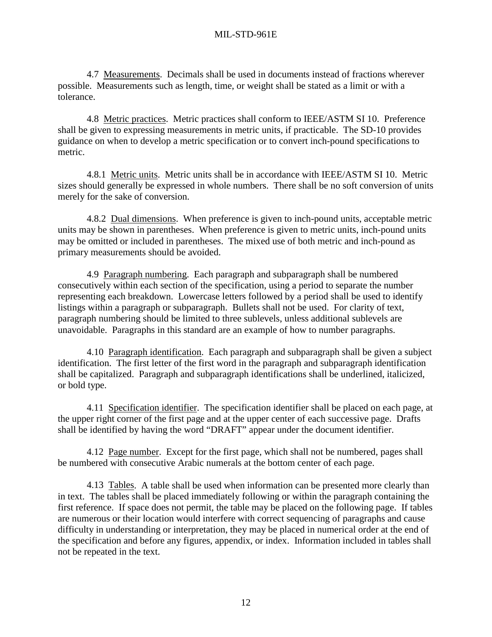<span id="page-23-0"></span> 4.7 Measurements. Decimals shall be used in documents instead of fractions wherever possible. Measurements such as length, time, or weight shall be stated as a limit or with a tolerance.

 4.8 Metric practices. Metric practices shall conform to IEEE/ASTM SI 10. Preference shall be given to expressing measurements in metric units, if practicable. The SD-10 provides guidance on when to develop a metric specification or to convert inch-pound specifications to metric.

 4.8.1 Metric units. Metric units shall be in accordance with IEEE/ASTM SI 10. Metric sizes should generally be expressed in whole numbers. There shall be no soft conversion of units merely for the sake of conversion.

 4.8.2 Dual dimensions. When preference is given to inch-pound units, acceptable metric units may be shown in parentheses. When preference is given to metric units, inch-pound units may be omitted or included in parentheses. The mixed use of both metric and inch-pound as primary measurements should be avoided.

 4.9 Paragraph numbering. Each paragraph and subparagraph shall be numbered consecutively within each section of the specification, using a period to separate the number representing each breakdown. Lowercase letters followed by a period shall be used to identify listings within a paragraph or subparagraph. Bullets shall not be used. For clarity of text, paragraph numbering should be limited to three sublevels, unless additional sublevels are unavoidable. Paragraphs in this standard are an example of how to number paragraphs.

4.10 Paragraph identification. Each paragraph and subparagraph shall be given a subject identification. The first letter of the first word in the paragraph and subparagraph identification shall be capitalized. Paragraph and subparagraph identifications shall be underlined, italicized, or bold type.

 4.11 Specification identifier. The specification identifier shall be placed on each page, at the upper right corner of the first page and at the upper center of each successive page. Drafts shall be identified by having the word "DRAFT" appear under the document identifier.

 4.12 Page number. Except for the first page, which shall not be numbered, pages shall be numbered with consecutive Arabic numerals at the bottom center of each page.

 4.13 Tables. A table shall be used when information can be presented more clearly than in text. The tables shall be placed immediately following or within the paragraph containing the first reference. If space does not permit, the table may be placed on the following page. If tables are numerous or their location would interfere with correct sequencing of paragraphs and cause difficulty in understanding or interpretation, they may be placed in numerical order at the end of the specification and before any figures, appendix, or index. Information included in tables shall not be repeated in the text.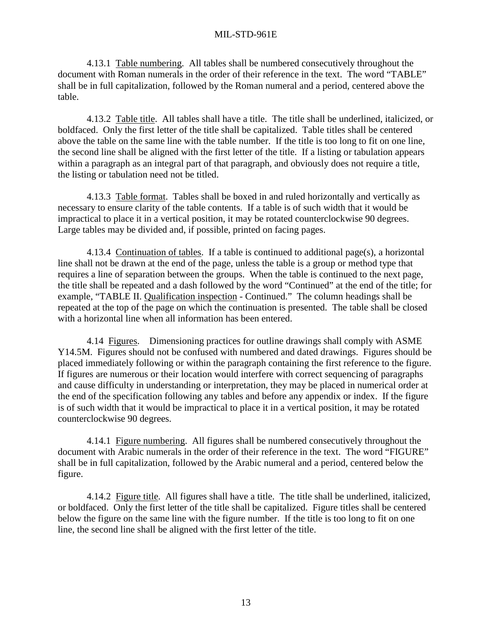<span id="page-24-0"></span> 4.13.1 Table numbering. All tables shall be numbered consecutively throughout the document with Roman numerals in the order of their reference in the text. The word "TABLE" shall be in full capitalization, followed by the Roman numeral and a period, centered above the table.

 4.13.2 Table title. All tables shall have a title. The title shall be underlined, italicized, or boldfaced. Only the first letter of the title shall be capitalized. Table titles shall be centered above the table on the same line with the table number. If the title is too long to fit on one line, the second line shall be aligned with the first letter of the title. If a listing or tabulation appears within a paragraph as an integral part of that paragraph, and obviously does not require a title, the listing or tabulation need not be titled.

 4.13.3 Table format. Tables shall be boxed in and ruled horizontally and vertically as necessary to ensure clarity of the table contents. If a table is of such width that it would be impractical to place it in a vertical position, it may be rotated counterclockwise 90 degrees. Large tables may be divided and, if possible, printed on facing pages.

 4.13.4 Continuation of tables. If a table is continued to additional page(s), a horizontal line shall not be drawn at the end of the page, unless the table is a group or method type that requires a line of separation between the groups. When the table is continued to the next page, the title shall be repeated and a dash followed by the word "Continued" at the end of the title; for example, "TABLE II. Qualification inspection - Continued." The column headings shall be repeated at the top of the page on which the continuation is presented. The table shall be closed with a horizontal line when all information has been entered.

 4.14 Figures. Dimensioning practices for outline drawings shall comply with ASME Y14.5M. Figures should not be confused with numbered and dated drawings. Figures should be placed immediately following or within the paragraph containing the first reference to the figure. If figures are numerous or their location would interfere with correct sequencing of paragraphs and cause difficulty in understanding or interpretation, they may be placed in numerical order at the end of the specification following any tables and before any appendix or index. If the figure is of such width that it would be impractical to place it in a vertical position, it may be rotated counterclockwise 90 degrees.

4.14.1 Figure numbering. All figures shall be numbered consecutively throughout the document with Arabic numerals in the order of their reference in the text. The word "FIGURE" shall be in full capitalization, followed by the Arabic numeral and a period, centered below the figure.

 4.14.2 Figure title. All figures shall have a title. The title shall be underlined, italicized, or boldfaced. Only the first letter of the title shall be capitalized. Figure titles shall be centered below the figure on the same line with the figure number. If the title is too long to fit on one line, the second line shall be aligned with the first letter of the title.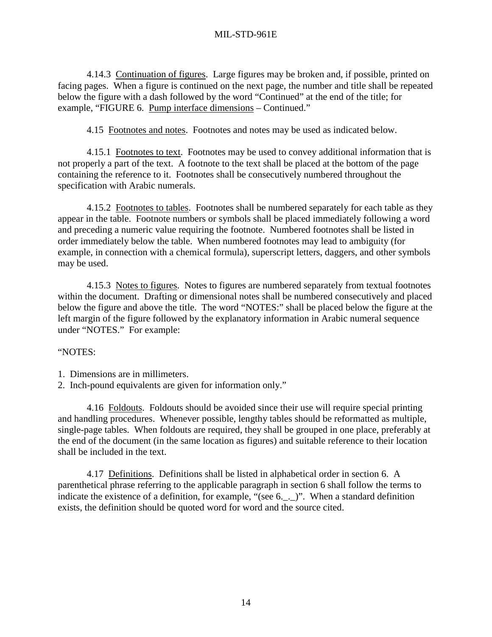<span id="page-25-0"></span>4.14.3 Continuation of figures. Large figures may be broken and, if possible, printed on facing pages. When a figure is continued on the next page, the number and title shall be repeated below the figure with a dash followed by the word "Continued" at the end of the title; for example, "FIGURE 6. Pump interface dimensions – Continued."

4.15 Footnotes and notes. Footnotes and notes may be used as indicated below.

 4.15.1 Footnotes to text. Footnotes may be used to convey additional information that is not properly a part of the text. A footnote to the text shall be placed at the bottom of the page containing the reference to it. Footnotes shall be consecutively numbered throughout the specification with Arabic numerals.

4.15.2 Footnotes to tables. Footnotes shall be numbered separately for each table as they appear in the table. Footnote numbers or symbols shall be placed immediately following a word and preceding a numeric value requiring the footnote. Numbered footnotes shall be listed in order immediately below the table. When numbered footnotes may lead to ambiguity (for example, in connection with a chemical formula), superscript letters, daggers, and other symbols may be used.

 4.15.3 Notes to figures. Notes to figures are numbered separately from textual footnotes within the document. Drafting or dimensional notes shall be numbered consecutively and placed below the figure and above the title. The word "NOTES:" shall be placed below the figure at the left margin of the figure followed by the explanatory information in Arabic numeral sequence under "NOTES." For example:

#### "NOTES:

- 1. Dimensions are in millimeters.
- 2. Inch-pound equivalents are given for information only."

 4.16 Foldouts. Foldouts should be avoided since their use will require special printing and handling procedures. Whenever possible, lengthy tables should be reformatted as multiple, single-page tables. When foldouts are required, they shall be grouped in one place, preferably at the end of the document (in the same location as figures) and suitable reference to their location shall be included in the text.

 4.17 Definitions. Definitions shall be listed in alphabetical order in section 6. A parenthetical phrase referring to the applicable paragraph in section 6 shall follow the terms to indicate the existence of a definition, for example, "(see 6.\_.\_)". When a standard definition exists, the definition should be quoted word for word and the source cited.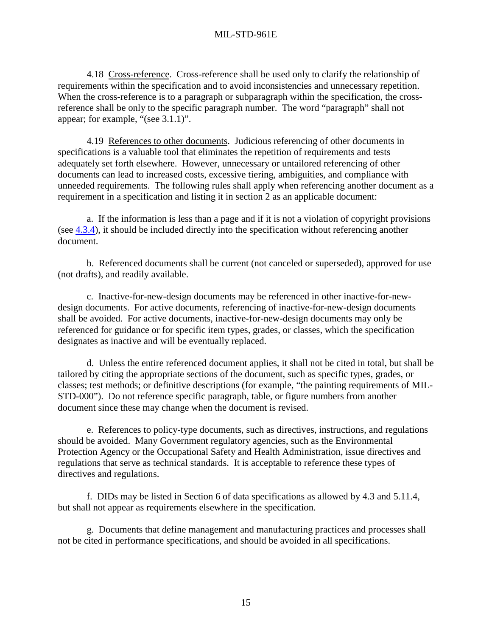<span id="page-26-0"></span>4.18 Cross-reference. Cross-reference shall be used only to clarify the relationship of requirements within the specification and to avoid inconsistencies and unnecessary repetition. When the cross-reference is to a paragraph or subparagraph within the specification, the crossreference shall be only to the specific paragraph number. The word "paragraph" shall not appear; for example, "(see 3.1.1)".

 4.19 References to other documents. Judicious referencing of other documents in specifications is a valuable tool that eliminates the repetition of requirements and tests adequately set forth elsewhere. However, unnecessary or untailored referencing of other documents can lead to increased costs, excessive tiering, ambiguities, and compliance with unneeded requirements. The following rules shall apply when referencing another document as a requirement in a specification and listing it in section 2 as an applicable document:

 a. If the information is less than a page and if it is not a violation of copyright provisions (see [4.3.4\)](#page-20-0), it should be included directly into the specification without referencing another document.

 b. Referenced documents shall be current (not canceled or superseded), approved for use (not drafts), and readily available.

 c. Inactive-for-new-design documents may be referenced in other inactive-for-newdesign documents. For active documents, referencing of inactive-for-new-design documents shall be avoided. For active documents, inactive-for-new-design documents may only be referenced for guidance or for specific item types, grades, or classes, which the specification designates as inactive and will be eventually replaced.

 d. Unless the entire referenced document applies, it shall not be cited in total, but shall be tailored by citing the appropriate sections of the document, such as specific types, grades, or classes; test methods; or definitive descriptions (for example, "the painting requirements of MIL-STD-000"). Do not reference specific paragraph, table, or figure numbers from another document since these may change when the document is revised.

 e. References to policy-type documents, such as directives, instructions, and regulations should be avoided. Many Government regulatory agencies, such as the Environmental Protection Agency or the Occupational Safety and Health Administration, issue directives and regulations that serve as technical standards. It is acceptable to reference these types of directives and regulations.

 f. DIDs may be listed in Section 6 of data specifications as allowed by 4.3 and 5.11.4, but shall not appear as requirements elsewhere in the specification.

 g. Documents that define management and manufacturing practices and processes shall not be cited in performance specifications, and should be avoided in all specifications.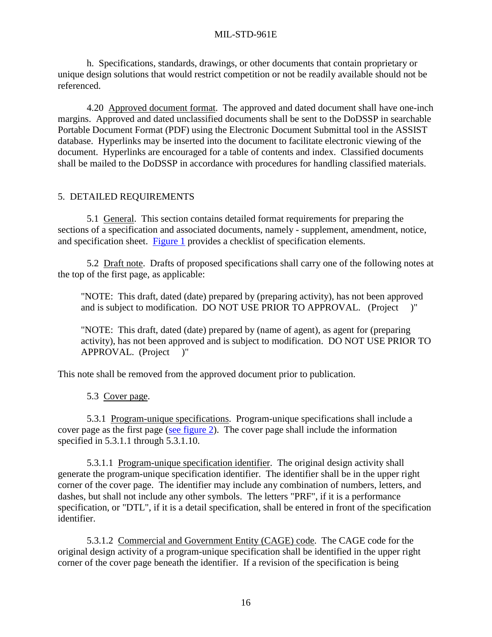<span id="page-27-0"></span> h. Specifications, standards, drawings, or other documents that contain proprietary or unique design solutions that would restrict competition or not be readily available should not be referenced.

 4.20 Approved document format. The approved and dated document shall have one-inch margins. Approved and dated unclassified documents shall be sent to the DoDSSP in searchable Portable Document Format (PDF) using the Electronic Document Submittal tool in the ASSIST database. Hyperlinks may be inserted into the document to facilitate electronic viewing of the document. Hyperlinks are encouraged for a table of contents and index. Classified documents shall be mailed to the DoDSSP in accordance with procedures for handling classified materials.

# 5. DETAILED REQUIREMENTS

 5.1 General. This section contains detailed format requirements for preparing the sections of a specification and associated documents, namely - supplement, amendment, notice, and specification sheet. [Figure 1](#page-64-0) provides a checklist of specification elements.

 5.2 Draft note. Drafts of proposed specifications shall carry one of the following notes at the top of the first page, as applicable:

 "NOTE: This draft, dated (date) prepared by (preparing activity), has not been approved and is subject to modification. DO NOT USE PRIOR TO APPROVAL. (Project )"

 "NOTE: This draft, dated (date) prepared by (name of agent), as agent for (preparing activity), has not been approved and is subject to modification. DO NOT USE PRIOR TO APPROVAL. (Project )"

This note shall be removed from the approved document prior to publication.

5.3 Cover page.

 5.3.1 Program-unique specifications. Program-unique specifications shall include a cover page as the first page [\(see figure 2\)](#page-65-0). The cover page shall include the information specified in 5.3.1.1 through 5.3.1.10.

 5.3.1.1 Program-unique specification identifier. The original design activity shall generate the program-unique specification identifier. The identifier shall be in the upper right corner of the cover page. The identifier may include any combination of numbers, letters, and dashes, but shall not include any other symbols. The letters "PRF", if it is a performance specification, or "DTL", if it is a detail specification, shall be entered in front of the specification identifier.

 5.3.1.2 Commercial and Government Entity (CAGE) code. The CAGE code for the original design activity of a program-unique specification shall be identified in the upper right corner of the cover page beneath the identifier. If a revision of the specification is being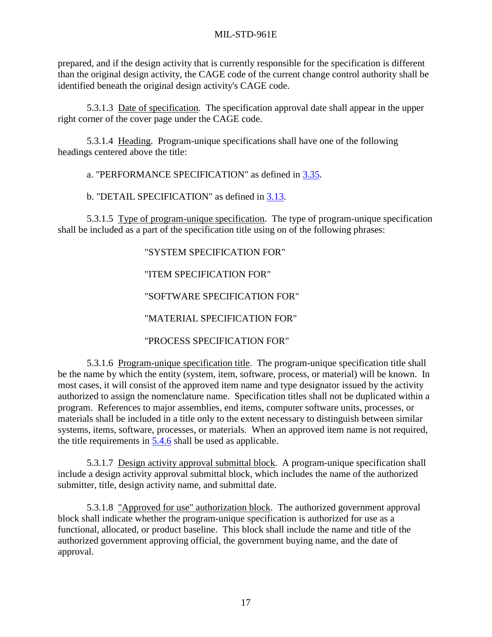<span id="page-28-0"></span>prepared, and if the design activity that is currently responsible for the specification is different than the original design activity, the CAGE code of the current change control authority shall be identified beneath the original design activity's CAGE code.

 5.3.1.3 Date of specification. The specification approval date shall appear in the upper right corner of the cover page under the CAGE code.

5.3.1.4 Heading. Program-unique specifications shall have one of the following headings centered above the title:

a. "PERFORMANCE SPECIFICATION" as defined in [3.35.](#page-17-0)

b. "DETAIL SPECIFICATION" as defined in [3.13.](#page-15-0)

5.3.1.5 Type of program-unique specification. The type of program-unique specification shall be included as a part of the specification title using on of the following phrases:

# "SYSTEM SPECIFICATION FOR"

# "ITEM SPECIFICATION FOR"

# "SOFTWARE SPECIFICATION FOR"

# "MATERIAL SPECIFICATION FOR"

# "PROCESS SPECIFICATION FOR"

 5.3.1.6 Program-unique specification title. The program-unique specification title shall be the name by which the entity (system, item, software, process, or material) will be known. In most cases, it will consist of the approved item name and type designator issued by the activity authorized to assign the nomenclature name. Specification titles shall not be duplicated within a program. References to major assemblies, end items, computer software units, processes, or materials shall be included in a title only to the extent necessary to distinguish between similar systems, items, software, processes, or materials. When an approved item name is not required, the title requirements in [5.4.6](#page-32-0) shall be used as applicable.

 5.3.1.7 Design activity approval submittal block. A program-unique specification shall include a design activity approval submittal block, which includes the name of the authorized submitter, title, design activity name, and submittal date.

 5.3.1.8 "Approved for use" authorization block. The authorized government approval block shall indicate whether the program-unique specification is authorized for use as a functional, allocated, or product baseline. This block shall include the name and title of the authorized government approving official, the government buying name, and the date of approval.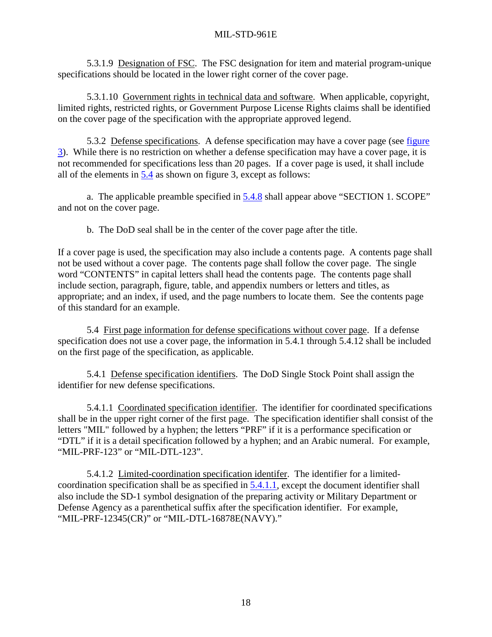<span id="page-29-0"></span> 5.3.1.9 Designation of FSC. The FSC designation for item and material program-unique specifications should be located in the lower right corner of the cover page.

 5.3.1.10 Government rights in technical data and software. When applicable, copyright, limited rights, restricted rights, or Government Purpose License Rights claims shall be identified on the cover page of the specification with the appropriate approved legend.

5.3.2 Defense specifications. A defense specification may have a cover page (see figure [3](#page-66-0)). While there is no restriction on whether a defense specification may have a cover page, it is not recommended for specifications less than 20 pages. If a cover page is used, it shall include all of the elements in 5.4 as shown on figure 3, except as follows:

 a. The applicable preamble specified in [5.4.8](#page-35-0) shall appear above "SECTION 1. SCOPE" and not on the cover page.

b. The DoD seal shall be in the center of the cover page after the title.

If a cover page is used, the specification may also include a contents page. A contents page shall not be used without a cover page. The contents page shall follow the cover page. The single word "CONTENTS" in capital letters shall head the contents page. The contents page shall include section, paragraph, figure, table, and appendix numbers or letters and titles, as appropriate; and an index, if used, and the page numbers to locate them. See the contents page of this standard for an example.

 5.4 First page information for defense specifications without cover page. If a defense specification does not use a cover page, the information in 5.4.1 through 5.4.12 shall be included on the first page of the specification, as applicable.

 5.4.1 Defense specification identifiers. The DoD Single Stock Point shall assign the identifier for new defense specifications.

 5.4.1.1 Coordinated specification identifier. The identifier for coordinated specifications shall be in the upper right corner of the first page. The specification identifier shall consist of the letters "MIL" followed by a hyphen; the letters "PRF" if it is a performance specification or "DTL" if it is a detail specification followed by a hyphen; and an Arabic numeral. For example, "MIL-PRF-123" or "MIL-DTL-123".

 5.4.1.2 Limited-coordination specification identifer. The identifier for a limitedcoordination specification shall be as specified in 5.4.1.1, except the document identifier shall also include the SD-1 symbol designation of the preparing activity or Military Department or Defense Agency as a parenthetical suffix after the specification identifier. For example, "MIL-PRF-12345(CR)" or "MIL-DTL-16878E(NAVY)."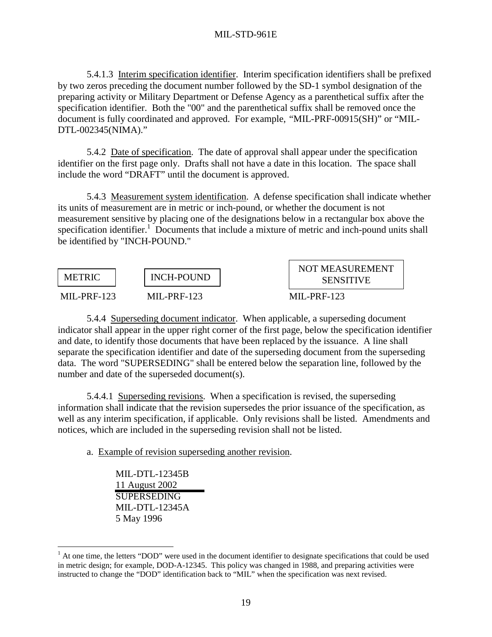<span id="page-30-0"></span> 5.4.1.3 Interim specification identifier. Interim specification identifiers shall be prefixed by two zeros preceding the document number followed by the SD-1 symbol designation of the preparing activity or Military Department or Defense Agency as a parenthetical suffix after the specification identifier. Both the "00" and the parenthetical suffix shall be removed once the document is fully coordinated and approved. For example, "MIL-PRF-00915(SH)" or "MIL-DTL-002345(NIMA)."

 5.4.2 Date of specification. The date of approval shall appear under the specification identifier on the first page only. Drafts shall not have a date in this location. The space shall include the word "DRAFT" until the document is approved.

 5.4.3 Measurement system identification. A defense specification shall indicate whether its units of measurement are in metric or inch-pound, or whether the document is not measurement sensitive by placing one of the designations below in a rectangular box above the specification identifier.<sup>1</sup> Documents that include a mixture of metric and inch-pound units shall be identified by "INCH-POUND."

| <b>METRIC</b>                 | <b>INCH-POUND</b> | <b>NOT MEASUREMENT</b><br><b>SENSITIVE</b> |
|-------------------------------|-------------------|--------------------------------------------|
| $MI - PRF-123$<br>MIL-PRF-123 |                   | $MI - PRF-123$                             |

 5.4.4 Superseding document indicator. When applicable, a superseding document indicator shall appear in the upper right corner of the first page, below the specification identifier and date, to identify those documents that have been replaced by the issuance. A line shall separate the specification identifier and date of the superseding document from the superseding data. The word "SUPERSEDING" shall be entered below the separation line, followed by the number and date of the superseded document(s).

 5.4.4.1 Superseding revisions. When a specification is revised, the superseding information shall indicate that the revision supersedes the prior issuance of the specification, as well as any interim specification, if applicable. Only revisions shall be listed. Amendments and notices, which are included in the superseding revision shall not be listed.

a. Example of revision superseding another revision.

 MIL-DTL-12345B 11 August 2002 **SUPERSEDING**  MIL-DTL-12345A 5 May 1996

 $\overline{a}$ 

<sup>&</sup>lt;sup>1</sup> At one time, the letters "DOD" were used in the document identifier to designate specifications that could be used in metric design; for example, DOD-A-12345. This policy was changed in 1988, and preparing activities were instructed to change the "DOD" identification back to "MIL" when the specification was next revised.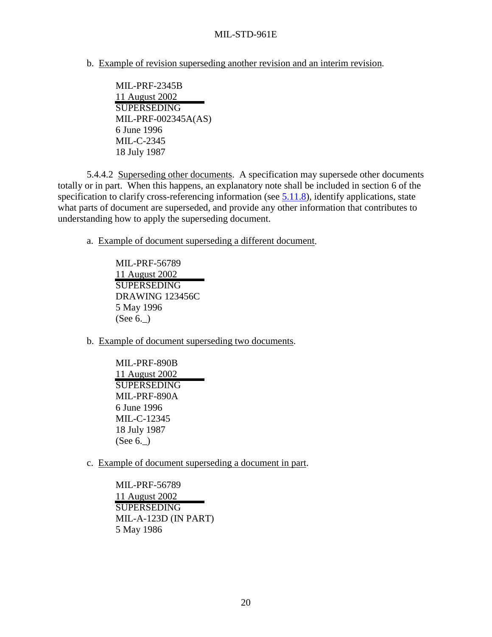<span id="page-31-0"></span>b. Example of revision superseding another revision and an interim revision.

 MIL-PRF-2345B 11 August 2002 SUPERSEDING MIL-PRF-002345A(AS) 6 June 1996 MIL-C-2345 18 July 1987

 5.4.4.2 Superseding other documents. A specification may supersede other documents totally or in part. When this happens, an explanatory note shall be included in section 6 of the specification to clarify cross-referencing information (see [5.11.8\)](#page-51-0), identify applications, state what parts of document are superseded, and provide any other information that contributes to understanding how to apply the superseding document.

a. Example of document superseding a different document.

 MIL-PRF-56789 11 August 2002 **SUPERSEDING**  DRAWING 123456C 5 May 1996 (See 6.\_)

b. Example of document superseding two documents.

 MIL-PRF-890B 11 August 2002 SUPERSEDING MIL-PRF-890A 6 June 1996 MIL-C-12345 18 July 1987 (See 6.\_)

c. Example of document superseding a document in part.

 MIL-PRF-56789 11 August 2002 **SUPERSEDING**  MIL-A-123D (IN PART) 5 May 1986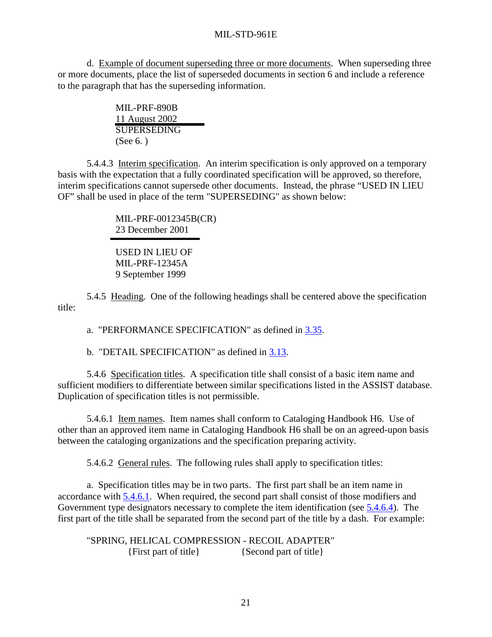<span id="page-32-0"></span> d. Example of document superseding three or more documents. When superseding three or more documents, place the list of superseded documents in section 6 and include a reference to the paragraph that has the superseding information.

> MIL-PRF-890B 11 August 2002 SUPERSEDING (See 6. )

 5.4.4.3 Interim specification. An interim specification is only approved on a temporary basis with the expectation that a fully coordinated specification will be approved, so therefore, interim specifications cannot supersede other documents. Instead, the phrase "USED IN LIEU OF" shall be used in place of the term "SUPERSEDING" as shown below:

> MIL-PRF-0012345B(CR) 23 December 2001

 USED IN LIEU OF MIL-PRF-12345A 9 September 1999

 5.4.5 Heading. One of the following headings shall be centered above the specification title:

a. "PERFORMANCE SPECIFICATION" as defined in [3.35.](#page-17-0)

b. "DETAIL SPECIFICATION" as defined in [3.13.](#page-15-0)

 5.4.6 Specification titles. A specification title shall consist of a basic item name and sufficient modifiers to differentiate between similar specifications listed in the ASSIST database. Duplication of specification titles is not permissible.

 5.4.6.1 Item names. Item names shall conform to Cataloging Handbook H6. Use of other than an approved item name in Cataloging Handbook H6 shall be on an agreed-upon basis between the cataloging organizations and the specification preparing activity.

5.4.6.2 General rules. The following rules shall apply to specification titles:

 a. Specification titles may be in two parts. The first part shall be an item name in accordance with 5.4.6.1. When required, the second part shall consist of those modifiers and Government type designators necessary to complete the item identification (see [5.4.6.4\)](#page-35-0). The first part of the title shall be separated from the second part of the title by a dash. For example:

 "SPRING, HELICAL COMPRESSION - RECOIL ADAPTER" {First part of title} {Second part of title}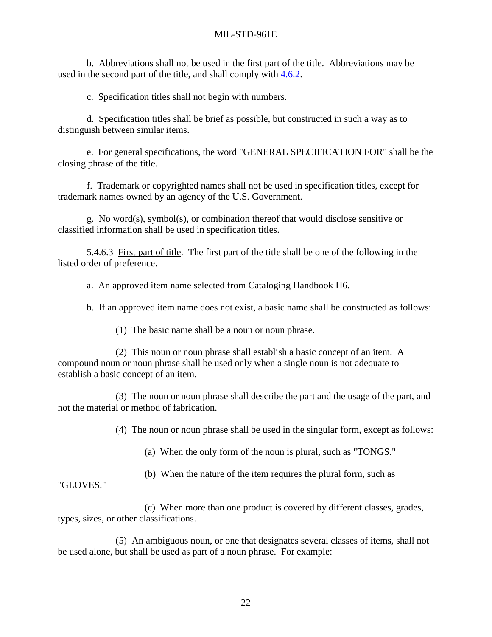<span id="page-33-0"></span> b. Abbreviations shall not be used in the first part of the title. Abbreviations may be used in the second part of the title, and shall comply with [4.6.2.](#page-21-0)

c. Specification titles shall not begin with numbers.

 d. Specification titles shall be brief as possible, but constructed in such a way as to distinguish between similar items.

 e. For general specifications, the word "GENERAL SPECIFICATION FOR" shall be the closing phrase of the title.

 f. Trademark or copyrighted names shall not be used in specification titles, except for trademark names owned by an agency of the U.S. Government.

 g. No word(s), symbol(s), or combination thereof that would disclose sensitive or classified information shall be used in specification titles.

 5.4.6.3 First part of title. The first part of the title shall be one of the following in the listed order of preference.

a. An approved item name selected from Cataloging Handbook H6.

b. If an approved item name does not exist, a basic name shall be constructed as follows:

(1) The basic name shall be a noun or noun phrase.

 (2) This noun or noun phrase shall establish a basic concept of an item. A compound noun or noun phrase shall be used only when a single noun is not adequate to establish a basic concept of an item.

 (3) The noun or noun phrase shall describe the part and the usage of the part, and not the material or method of fabrication.

(4) The noun or noun phrase shall be used in the singular form, except as follows:

(a) When the only form of the noun is plural, such as "TONGS."

(b) When the nature of the item requires the plural form, such as

"GLOVES."

 (c) When more than one product is covered by different classes, grades, types, sizes, or other classifications.

 (5) An ambiguous noun, or one that designates several classes of items, shall not be used alone, but shall be used as part of a noun phrase. For example: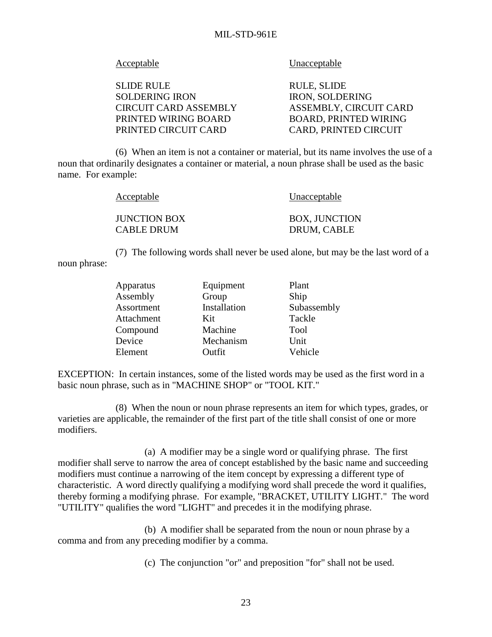Acceptable Unacceptable

SLIDE RULE RULE, SLIDE SOLDERING IRON IRON, SOLDERING CIRCUIT CARD ASSEMBLY ASSEMBLY, CIRCUIT CARD PRINTED WIRING BOARD BOARD, PRINTED WIRING PRINTED CIRCUIT CARD CARD, PRINTED CIRCUIT

 (6) When an item is not a container or material, but its name involves the use of a noun that ordinarily designates a container or material, a noun phrase shall be used as the basic name. For example:

| Acceptable |                     | Unacceptable         |
|------------|---------------------|----------------------|
|            | <b>JUNCTION BOX</b> | <b>BOX, JUNCTION</b> |
|            | <b>CABLE DRUM</b>   | DRUM, CABLE          |

 (7) The following words shall never be used alone, but may be the last word of a noun phrase:

| Apparatus  | Equipment    | Plant       |
|------------|--------------|-------------|
| Assembly   | Group        | Ship        |
| Assortment | Installation | Subassembly |
| Attachment | Kit          | Tackle      |
| Compound   | Machine      | <b>Tool</b> |
| Device     | Mechanism    | Unit        |
| Element    | Outfit       | Vehicle     |

EXCEPTION: In certain instances, some of the listed words may be used as the first word in a basic noun phrase, such as in "MACHINE SHOP" or "TOOL KIT."

 (8) When the noun or noun phrase represents an item for which types, grades, or varieties are applicable, the remainder of the first part of the title shall consist of one or more modifiers.

 (a) A modifier may be a single word or qualifying phrase. The first modifier shall serve to narrow the area of concept established by the basic name and succeeding modifiers must continue a narrowing of the item concept by expressing a different type of characteristic. A word directly qualifying a modifying word shall precede the word it qualifies, thereby forming a modifying phrase. For example, "BRACKET, UTILITY LIGHT." The word "UTILITY" qualifies the word "LIGHT" and precedes it in the modifying phrase.

 (b) A modifier shall be separated from the noun or noun phrase by a comma and from any preceding modifier by a comma.

(c) The conjunction "or" and preposition "for" shall not be used.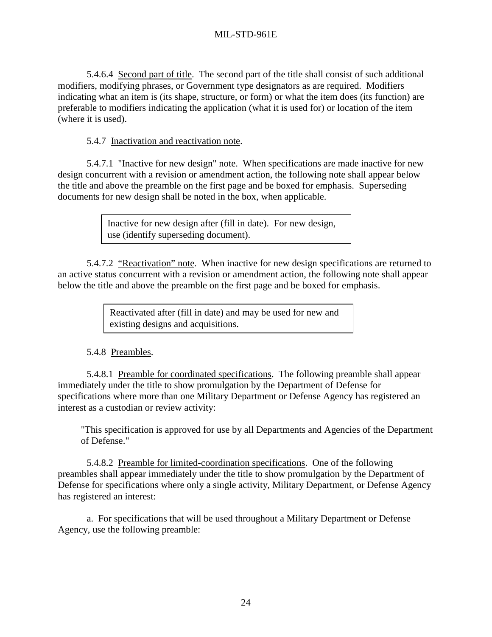<span id="page-35-0"></span> 5.4.6.4 Second part of title. The second part of the title shall consist of such additional modifiers, modifying phrases, or Government type designators as are required. Modifiers indicating what an item is (its shape, structure, or form) or what the item does (its function) are preferable to modifiers indicating the application (what it is used for) or location of the item (where it is used).

5.4.7 Inactivation and reactivation note.

5.4.7.1 "Inactive for new design" note. When specifications are made inactive for new design concurrent with a revision or amendment action, the following note shall appear below the title and above the preamble on the first page and be boxed for emphasis. Superseding documents for new design shall be noted in the box, when applicable.

> Inactive for new design after (fill in date). For new design, use (identify superseding document).

 5.4.7.2 "Reactivation" note. When inactive for new design specifications are returned to an active status concurrent with a revision or amendment action, the following note shall appear below the title and above the preamble on the first page and be boxed for emphasis.

> Reactivated after (fill in date) and may be used for new and existing designs and acquisitions.

# 5.4.8 Preambles.

 5.4.8.1 Preamble for coordinated specifications. The following preamble shall appear immediately under the title to show promulgation by the Department of Defense for specifications where more than one Military Department or Defense Agency has registered an interest as a custodian or review activity:

 "This specification is approved for use by all Departments and Agencies of the Department of Defense."

 5.4.8.2 Preamble for limited-coordination specifications. One of the following preambles shall appear immediately under the title to show promulgation by the Department of Defense for specifications where only a single activity, Military Department, or Defense Agency has registered an interest:

 a. For specifications that will be used throughout a Military Department or Defense Agency, use the following preamble: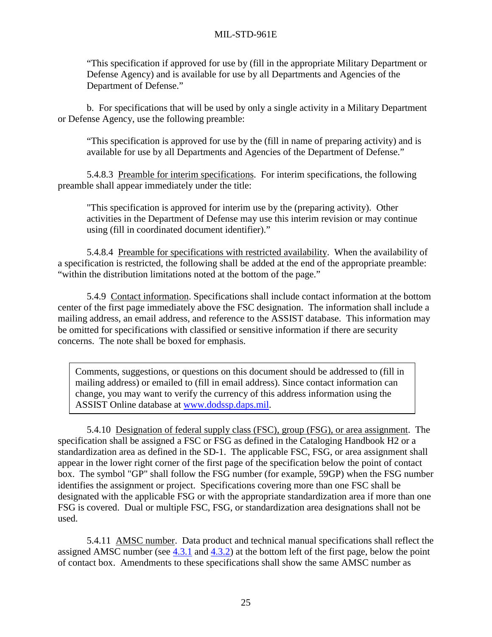"This specification if approved for use by (fill in the appropriate Military Department or Defense Agency) and is available for use by all Departments and Agencies of the Department of Defense."

 b. For specifications that will be used by only a single activity in a Military Department or Defense Agency, use the following preamble:

 "This specification is approved for use by the (fill in name of preparing activity) and is available for use by all Departments and Agencies of the Department of Defense."

 5.4.8.3 Preamble for interim specifications. For interim specifications, the following preamble shall appear immediately under the title:

 "This specification is approved for interim use by the (preparing activity). Other activities in the Department of Defense may use this interim revision or may continue using (fill in coordinated document identifier)."

 5.4.8.4 Preamble for specifications with restricted availability. When the availability of a specification is restricted, the following shall be added at the end of the appropriate preamble: "within the distribution limitations noted at the bottom of the page."

 5.4.9 Contact information. Specifications shall include contact information at the bottom center of the first page immediately above the FSC designation. The information shall include a mailing address, an email address, and reference to the ASSIST database. This information may be omitted for specifications with classified or sensitive information if there are security concerns. The note shall be boxed for emphasis.

 Comments, suggestions, or questions on this document should be addressed to (fill in mailing address) or emailed to (fill in email address). Since contact information can change, you may want to verify the currency of this address information using the ASSIST Online database at [www.dodssp.daps.mil.](http://www.dodssp.daps.mil/)

 5.4.10 Designation of federal supply class (FSC), group (FSG), or area assignment. The specification shall be assigned a FSC or FSG as defined in the Cataloging Handbook H2 or a standardization area as defined in the SD-1. The applicable FSC, FSG, or area assignment shall appear in the lower right corner of the first page of the specification below the point of contact box. The symbol "GP" shall follow the FSG number (for example, 59GP) when the FSG number identifies the assignment or project. Specifications covering more than one FSC shall be designated with the applicable FSG or with the appropriate standardization area if more than one FSG is covered. Dual or multiple FSC, FSG, or standardization area designations shall not be used.

 5.4.11 AMSC number. Data product and technical manual specifications shall reflect the assigned AMSC number (see [4.3.1](#page-19-0) and [4.3.2\)](#page-20-0) at the bottom left of the first page, below the point of contact box. Amendments to these specifications shall show the same AMSC number as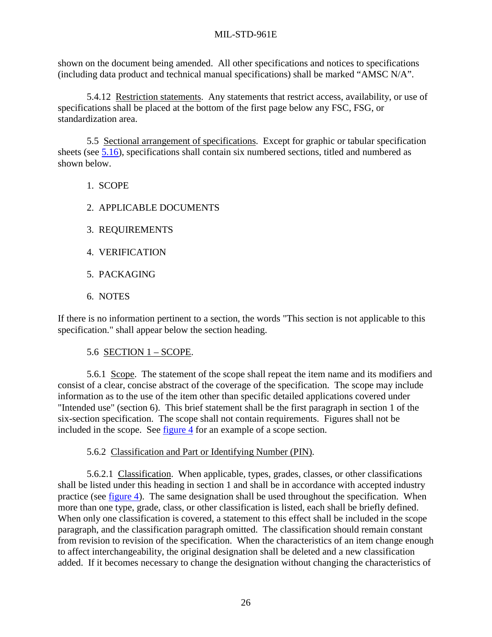<span id="page-37-0"></span>shown on the document being amended. All other specifications and notices to specifications (including data product and technical manual specifications) shall be marked "AMSC N/A".

 5.4.12 Restriction statements. Any statements that restrict access, availability, or use of specifications shall be placed at the bottom of the first page below any FSC, FSG, or standardization area.

 5.5 Sectional arrangement of specifications. Except for graphic or tabular specification sheets (see [5.16\)](#page-56-0), specifications shall contain six numbered sections, titled and numbered as shown below.

- 1. SCOPE
- 2. APPLICABLE DOCUMENTS
- 3. REQUIREMENTS
- 4. VERIFICATION
- 5. PACKAGING
- 6. NOTES

If there is no information pertinent to a section, the words "This section is not applicable to this specification." shall appear below the section heading.

## 5.6 SECTION 1 – SCOPE.

 5.6.1 Scope. The statement of the scope shall repeat the item name and its modifiers and consist of a clear, concise abstract of the coverage of the specification. The scope may include information as to the use of the item other than specific detailed applications covered under "Intended use" (section 6). This brief statement shall be the first paragraph in section 1 of the six-section specification. The scope shall not contain requirements. Figures shall not be included in the scope. See [figure 4](#page-67-0) for an example of a scope section.

## 5.6.2 Classification and Part or Identifying Number (PIN).

5.6.2.1 Classification. When applicable, types, grades, classes, or other classifications shall be listed under this heading in section 1 and shall be in accordance with accepted industry practice (see [figure 4\)](#page-67-0). The same designation shall be used throughout the specification. When more than one type, grade, class, or other classification is listed, each shall be briefly defined. When only one classification is covered, a statement to this effect shall be included in the scope paragraph, and the classification paragraph omitted. The classification should remain constant from revision to revision of the specification. When the characteristics of an item change enough to affect interchangeability, the original designation shall be deleted and a new classification added. If it becomes necessary to change the designation without changing the characteristics of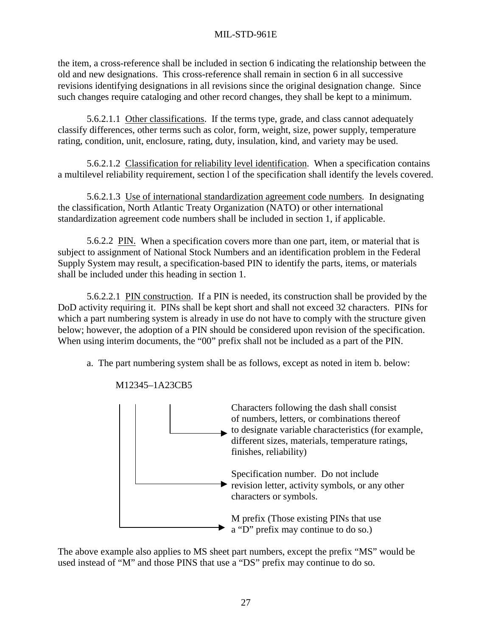the item, a cross-reference shall be included in section 6 indicating the relationship between the old and new designations. This cross-reference shall remain in section 6 in all successive revisions identifying designations in all revisions since the original designation change. Since such changes require cataloging and other record changes, they shall be kept to a minimum.

 5.6.2.1.1 Other classifications. If the terms type, grade, and class cannot adequately classify differences, other terms such as color, form, weight, size, power supply, temperature rating, condition, unit, enclosure, rating, duty, insulation, kind, and variety may be used.

 5.6.2.1.2 Classification for reliability level identification. When a specification contains a multilevel reliability requirement, section l of the specification shall identify the levels covered.

 5.6.2.1.3 Use of international standardization agreement code numbers. In designating the classification, North Atlantic Treaty Organization (NATO) or other international standardization agreement code numbers shall be included in section 1, if applicable.

5.6.2.2 PIN. When a specification covers more than one part, item, or material that is subject to assignment of National Stock Numbers and an identification problem in the Federal Supply System may result, a specification-based PIN to identify the parts, items, or materials shall be included under this heading in section 1.

5.6.2.2.1 PIN construction. If a PIN is needed, its construction shall be provided by the DoD activity requiring it. PINs shall be kept short and shall not exceed 32 characters. PINs for which a part numbering system is already in use do not have to comply with the structure given below; however, the adoption of a PIN should be considered upon revision of the specification. When using interim documents, the "00" prefix shall not be included as a part of the PIN.

a. The part numbering system shall be as follows, except as noted in item b. below:



M12345–1A23CB5

The above example also applies to MS sheet part numbers, except the prefix "MS" would be used instead of "M" and those PINS that use a "DS" prefix may continue to do so.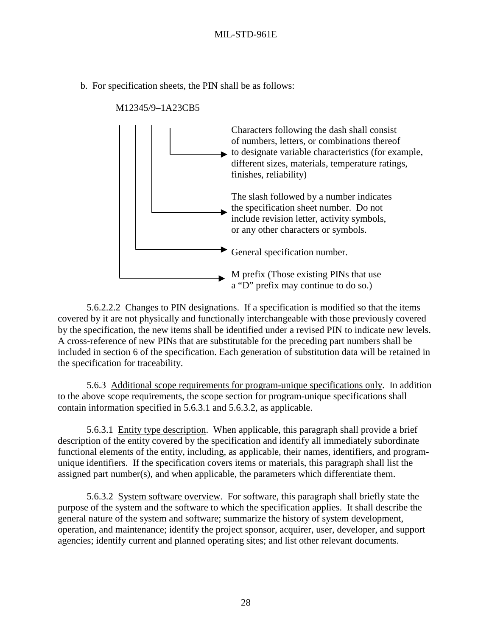b. For specification sheets, the PIN shall be as follows:



M12345/9–1A23CB5

 5.6.2.2.2 Changes to PIN designations. If a specification is modified so that the items covered by it are not physically and functionally interchangeable with those previously covered by the specification, the new items shall be identified under a revised PIN to indicate new levels. A cross-reference of new PINs that are substitutable for the preceding part numbers shall be included in section 6 of the specification. Each generation of substitution data will be retained in the specification for traceability.

 5.6.3 Additional scope requirements for program-unique specifications only. In addition to the above scope requirements, the scope section for program-unique specifications shall contain information specified in 5.6.3.1 and 5.6.3.2, as applicable.

 5.6.3.1 Entity type description. When applicable, this paragraph shall provide a brief description of the entity covered by the specification and identify all immediately subordinate functional elements of the entity, including, as applicable, their names, identifiers, and programunique identifiers. If the specification covers items or materials, this paragraph shall list the assigned part number(s), and when applicable, the parameters which differentiate them.

 5.6.3.2 System software overview. For software, this paragraph shall briefly state the purpose of the system and the software to which the specification applies. It shall describe the general nature of the system and software; summarize the history of system development, operation, and maintenance; identify the project sponsor, acquirer, user, developer, and support agencies; identify current and planned operating sites; and list other relevant documents.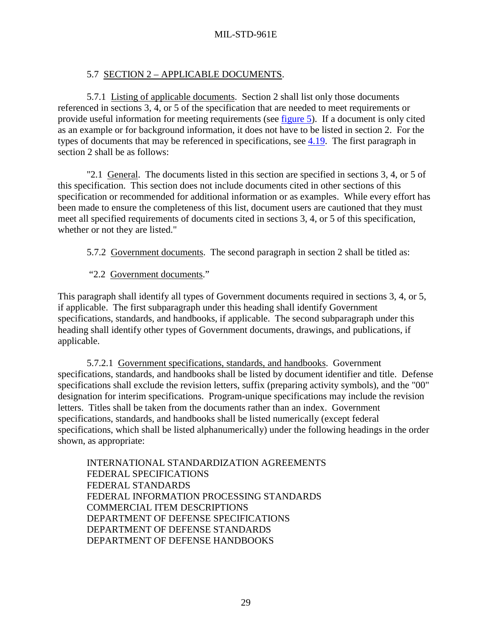# 5.7 SECTION 2 – APPLICABLE DOCUMENTS.

<span id="page-40-0"></span> 5.7.1 Listing of applicable documents. Section 2 shall list only those documents referenced in sections 3, 4, or 5 of the specification that are needed to meet requirements or provide useful information for meeting requirements (see [figure 5\)](#page-68-0). If a document is only cited as an example or for background information, it does not have to be listed in section 2. For the types of documents that may be referenced in specifications, see [4.19.](#page-26-0) The first paragraph in section 2 shall be as follows:

 "2.1 General. The documents listed in this section are specified in sections 3, 4, or 5 of this specification. This section does not include documents cited in other sections of this specification or recommended for additional information or as examples. While every effort has been made to ensure the completeness of this list, document users are cautioned that they must meet all specified requirements of documents cited in sections 3, 4, or 5 of this specification, whether or not they are listed."

5.7.2 Government documents. The second paragraph in section 2 shall be titled as:

"2.2 Government documents."

This paragraph shall identify all types of Government documents required in sections 3, 4, or 5, if applicable. The first subparagraph under this heading shall identify Government specifications, standards, and handbooks, if applicable. The second subparagraph under this heading shall identify other types of Government documents, drawings, and publications, if applicable.

 5.7.2.1 Government specifications, standards, and handbooks. Government specifications, standards, and handbooks shall be listed by document identifier and title. Defense specifications shall exclude the revision letters, suffix (preparing activity symbols), and the "00" designation for interim specifications. Program-unique specifications may include the revision letters. Titles shall be taken from the documents rather than an index. Government specifications, standards, and handbooks shall be listed numerically (except federal specifications, which shall be listed alphanumerically) under the following headings in the order shown, as appropriate:

 INTERNATIONAL STANDARDIZATION AGREEMENTS FEDERAL SPECIFICATIONS FEDERAL STANDARDS FEDERAL INFORMATION PROCESSING STANDARDS COMMERCIAL ITEM DESCRIPTIONS DEPARTMENT OF DEFENSE SPECIFICATIONS DEPARTMENT OF DEFENSE STANDARDS DEPARTMENT OF DEFENSE HANDBOOKS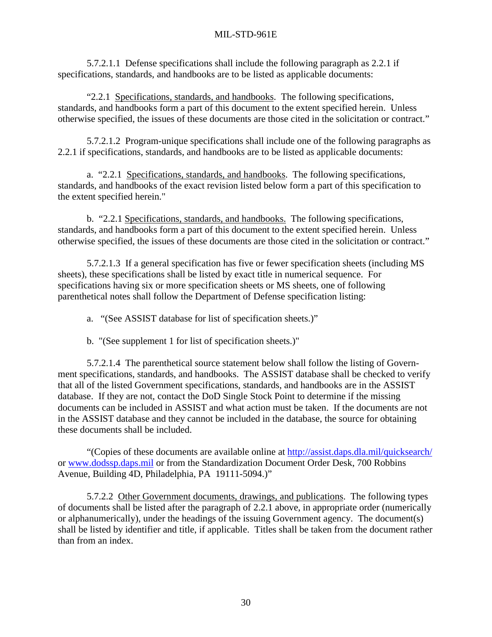5.7.2.1.1 Defense specifications shall include the following paragraph as 2.2.1 if specifications, standards, and handbooks are to be listed as applicable documents:

 "2.2.1 Specifications, standards, and handbooks. The following specifications, standards, and handbooks form a part of this document to the extent specified herein. Unless otherwise specified, the issues of these documents are those cited in the solicitation or contract."

 5.7.2.1.2 Program-unique specifications shall include one of the following paragraphs as 2.2.1 if specifications, standards, and handbooks are to be listed as applicable documents:

 a. "2.2.1 Specifications, standards, and handbooks. The following specifications, standards, and handbooks of the exact revision listed below form a part of this specification to the extent specified herein."

 b. "2.2.1 Specifications, standards, and handbooks. The following specifications, standards, and handbooks form a part of this document to the extent specified herein. Unless otherwise specified, the issues of these documents are those cited in the solicitation or contract."

 5.7.2.1.3 If a general specification has five or fewer specification sheets (including MS sheets), these specifications shall be listed by exact title in numerical sequence. For specifications having six or more specification sheets or MS sheets, one of following parenthetical notes shall follow the Department of Defense specification listing:

a. "(See ASSIST database for list of specification sheets.)"

b. "(See supplement 1 for list of specification sheets.)"

 5.7.2.1.4 The parenthetical source statement below shall follow the listing of Government specifications, standards, and handbooks. The ASSIST database shall be checked to verify that all of the listed Government specifications, standards, and handbooks are in the ASSIST database. If they are not, contact the DoD Single Stock Point to determine if the missing documents can be included in ASSIST and what action must be taken. If the documents are not in the ASSIST database and they cannot be included in the database, the source for obtaining these documents shall be included.

 "(Copies of these documents are available online at [http://assist.daps.dla.mil/quicksearch/](http://astimage.daps.dla.mil/quicksearch/) or [www.dodssp.daps.mil](http://www.dodssp.daps.mil/) or from the Standardization Document Order Desk, 700 Robbins Avenue, Building 4D, Philadelphia, PA 19111-5094.)"

5.7.2.2 Other Government documents, drawings, and publications. The following types of documents shall be listed after the paragraph of 2.2.1 above, in appropriate order (numerically or alphanumerically), under the headings of the issuing Government agency. The document(s) shall be listed by identifier and title, if applicable. Titles shall be taken from the document rather than from an index.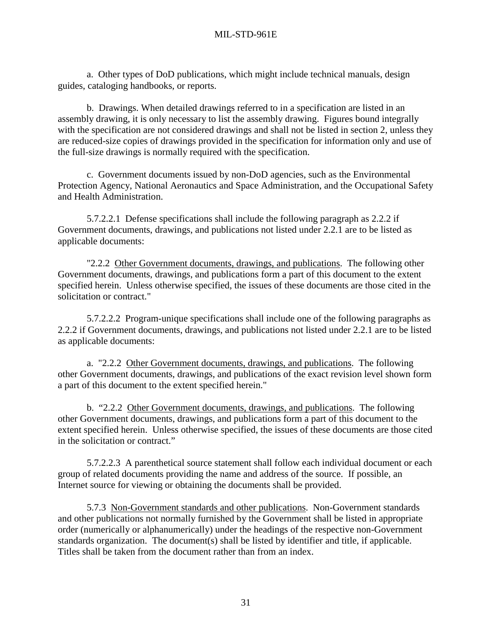a. Other types of DoD publications, which might include technical manuals, design guides, cataloging handbooks, or reports.

 b. Drawings. When detailed drawings referred to in a specification are listed in an assembly drawing, it is only necessary to list the assembly drawing. Figures bound integrally with the specification are not considered drawings and shall not be listed in section 2, unless they are reduced-size copies of drawings provided in the specification for information only and use of the full-size drawings is normally required with the specification.

 c. Government documents issued by non-DoD agencies, such as the Environmental Protection Agency, National Aeronautics and Space Administration, and the Occupational Safety and Health Administration.

 5.7.2.2.1 Defense specifications shall include the following paragraph as 2.2.2 if Government documents, drawings, and publications not listed under 2.2.1 are to be listed as applicable documents:

"2.2.2 Other Government documents, drawings, and publications. The following other Government documents, drawings, and publications form a part of this document to the extent specified herein. Unless otherwise specified, the issues of these documents are those cited in the solicitation or contract."

 5.7.2.2.2 Program-unique specifications shall include one of the following paragraphs as 2.2.2 if Government documents, drawings, and publications not listed under 2.2.1 are to be listed as applicable documents:

 a. "2.2.2 Other Government documents, drawings, and publications. The following other Government documents, drawings, and publications of the exact revision level shown form a part of this document to the extent specified herein."

 b. "2.2.2 Other Government documents, drawings, and publications. The following other Government documents, drawings, and publications form a part of this document to the extent specified herein. Unless otherwise specified, the issues of these documents are those cited in the solicitation or contract."

 5.7.2.2.3 A parenthetical source statement shall follow each individual document or each group of related documents providing the name and address of the source. If possible, an Internet source for viewing or obtaining the documents shall be provided.

 5.7.3 Non-Government standards and other publications. Non-Government standards and other publications not normally furnished by the Government shall be listed in appropriate order (numerically or alphanumerically) under the headings of the respective non-Government standards organization. The document(s) shall be listed by identifier and title, if applicable. Titles shall be taken from the document rather than from an index.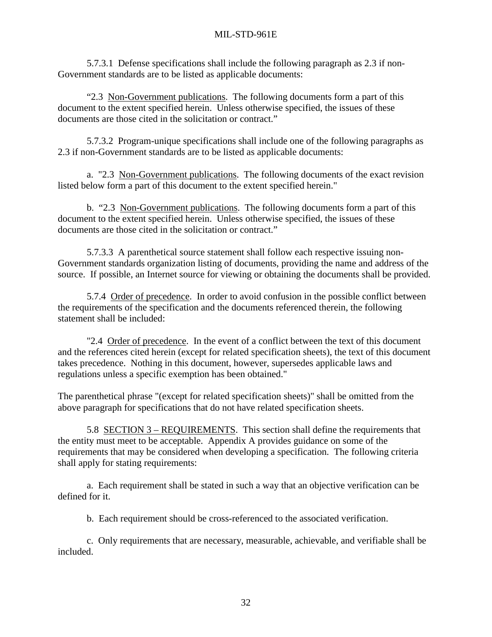5.7.3.1 Defense specifications shall include the following paragraph as 2.3 if non-Government standards are to be listed as applicable documents:

 "2.3 Non-Government publications. The following documents form a part of this document to the extent specified herein. Unless otherwise specified, the issues of these documents are those cited in the solicitation or contract."

 5.7.3.2 Program-unique specifications shall include one of the following paragraphs as 2.3 if non-Government standards are to be listed as applicable documents:

 a. "2.3 Non-Government publications. The following documents of the exact revision listed below form a part of this document to the extent specified herein."

b. "2.3 Non-Government publications. The following documents form a part of this document to the extent specified herein. Unless otherwise specified, the issues of these documents are those cited in the solicitation or contract."

 5.7.3.3 A parenthetical source statement shall follow each respective issuing non-Government standards organization listing of documents, providing the name and address of the source. If possible, an Internet source for viewing or obtaining the documents shall be provided.

 5.7.4 Order of precedence. In order to avoid confusion in the possible conflict between the requirements of the specification and the documents referenced therein, the following statement shall be included:

 "2.4 Order of precedence. In the event of a conflict between the text of this document and the references cited herein (except for related specification sheets), the text of this document takes precedence. Nothing in this document, however, supersedes applicable laws and regulations unless a specific exemption has been obtained."

The parenthetical phrase "(except for related specification sheets)" shall be omitted from the above paragraph for specifications that do not have related specification sheets.

 5.8 SECTION 3 – REQUIREMENTS. This section shall define the requirements that the entity must meet to be acceptable. Appendix A provides guidance on some of the requirements that may be considered when developing a specification. The following criteria shall apply for stating requirements:

a. Each requirement shall be stated in such a way that an objective verification can be defined for it.

b. Each requirement should be cross-referenced to the associated verification.

c. Only requirements that are necessary, measurable, achievable, and verifiable shall be included.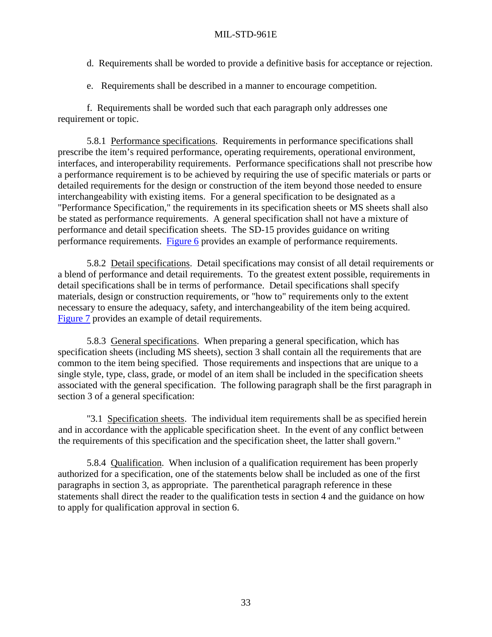- <span id="page-44-0"></span>d. Requirements shall be worded to provide a definitive basis for acceptance or rejection.
- e. Requirements shall be described in a manner to encourage competition.

f. Requirements shall be worded such that each paragraph only addresses one requirement or topic.

 5.8.1 Performance specifications. Requirements in performance specifications shall prescribe the item's required performance, operating requirements, operational environment, interfaces, and interoperability requirements. Performance specifications shall not prescribe how a performance requirement is to be achieved by requiring the use of specific materials or parts or detailed requirements for the design or construction of the item beyond those needed to ensure interchangeability with existing items. For a general specification to be designated as a "Performance Specification," the requirements in its specification sheets or MS sheets shall also be stated as performance requirements. A general specification shall not have a mixture of performance and detail specification sheets. The SD-15 provides guidance on writing performance requirements. [Figure 6](#page-71-0) provides an example of performance requirements.

 5.8.2 Detail specifications. Detail specifications may consist of all detail requirements or a blend of performance and detail requirements. To the greatest extent possible, requirements in detail specifications shall be in terms of performance. Detail specifications shall specify materials, design or construction requirements, or "how to" requirements only to the extent necessary to ensure the adequacy, safety, and interchangeability of the item being acquired. [Figure 7](#page-74-0) provides an example of detail requirements.

5.8.3 General specifications. When preparing a general specification, which has specification sheets (including MS sheets), section 3 shall contain all the requirements that are common to the item being specified. Those requirements and inspections that are unique to a single style, type, class, grade, or model of an item shall be included in the specification sheets associated with the general specification. The following paragraph shall be the first paragraph in section 3 of a general specification:

 "3.1 Specification sheets. The individual item requirements shall be as specified herein and in accordance with the applicable specification sheet. In the event of any conflict between the requirements of this specification and the specification sheet, the latter shall govern."

 5.8.4 Qualification. When inclusion of a qualification requirement has been properly authorized for a specification, one of the statements below shall be included as one of the first paragraphs in section 3, as appropriate. The parenthetical paragraph reference in these statements shall direct the reader to the qualification tests in section 4 and the guidance on how to apply for qualification approval in section 6.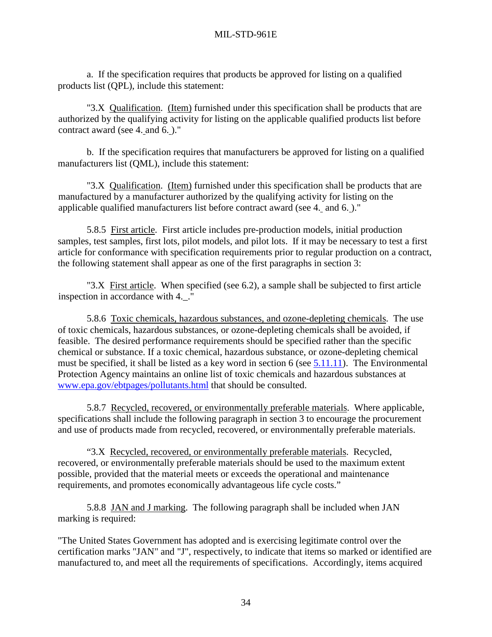a. If the specification requires that products be approved for listing on a qualified products list (QPL), include this statement:

"3.X Qualification. (Item) furnished under this specification shall be products that are authorized by the qualifying activity for listing on the applicable qualified products list before contract award (see 4. and 6. )."

 b. If the specification requires that manufacturers be approved for listing on a qualified manufacturers list (QML), include this statement:

"3.X Qualification. (Item) furnished under this specification shall be products that are manufactured by a manufacturer authorized by the qualifying activity for listing on the applicable qualified manufacturers list before contract award (see 4. and 6. )."

 5.8.5 First article. First article includes pre-production models, initial production samples, test samples, first lots, pilot models, and pilot lots. If it may be necessary to test a first article for conformance with specification requirements prior to regular production on a contract, the following statement shall appear as one of the first paragraphs in section 3:

 "3.X First article. When specified (see 6.2), a sample shall be subjected to first article inspection in accordance with 4. ."

 5.8.6 Toxic chemicals, hazardous substances, and ozone-depleting chemicals. The use of toxic chemicals, hazardous substances, or ozone-depleting chemicals shall be avoided, if feasible. The desired performance requirements should be specified rather than the specific chemical or substance. If a toxic chemical, hazardous substance, or ozone-depleting chemical must be specified, it shall be listed as a key word in section 6 (see [5.11.11\)](#page-51-0). The Environmental Protection Agency maintains an online list of toxic chemicals and hazardous substances at [www.epa.gov/ebtpages/pollutants.html](http://www.epa.gov/ebtpages/pollutants.html) that should be consulted.

 5.8.7 Recycled, recovered, or environmentally preferable materials. Where applicable, specifications shall include the following paragraph in section 3 to encourage the procurement and use of products made from recycled, recovered, or environmentally preferable materials.

 "3.X Recycled, recovered, or environmentally preferable materials. Recycled, recovered, or environmentally preferable materials should be used to the maximum extent possible, provided that the material meets or exceeds the operational and maintenance requirements, and promotes economically advantageous life cycle costs."

 5.8.8 JAN and J marking. The following paragraph shall be included when JAN marking is required:

"The United States Government has adopted and is exercising legitimate control over the certification marks "JAN" and "J", respectively, to indicate that items so marked or identified are manufactured to, and meet all the requirements of specifications. Accordingly, items acquired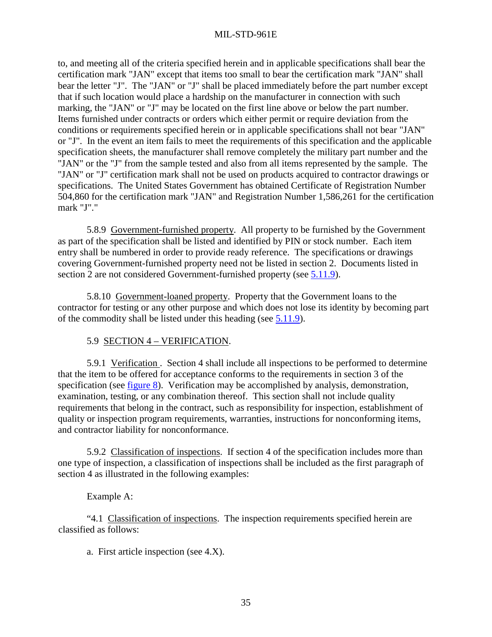to, and meeting all of the criteria specified herein and in applicable specifications shall bear the certification mark "JAN" except that items too small to bear the certification mark "JAN" shall bear the letter "J". The "JAN" or "J" shall be placed immediately before the part number except that if such location would place a hardship on the manufacturer in connection with such marking, the "JAN" or "J" may be located on the first line above or below the part number. Items furnished under contracts or orders which either permit or require deviation from the conditions or requirements specified herein or in applicable specifications shall not bear "JAN" or "J". In the event an item fails to meet the requirements of this specification and the applicable specification sheets, the manufacturer shall remove completely the military part number and the "JAN" or the "J" from the sample tested and also from all items represented by the sample. The "JAN" or "J" certification mark shall not be used on products acquired to contractor drawings or specifications. The United States Government has obtained Certificate of Registration Number 504,860 for the certification mark "JAN" and Registration Number 1,586,261 for the certification mark "J"."

 5.8.9 Government-furnished property. All property to be furnished by the Government as part of the specification shall be listed and identified by PIN or stock number. Each item entry shall be numbered in order to provide ready reference. The specifications or drawings covering Government-furnished property need not be listed in section 2. Documents listed in section 2 are not considered Government-furnished property (see  $\overline{5.11.9}$ ).

 5.8.10 Government-loaned property. Property that the Government loans to the contractor for testing or any other purpose and which does not lose its identity by becoming part of the commodity shall be listed under this heading (see [5.11.9\)](#page-51-0).

# 5.9 SECTION 4 – VERIFICATION.

 5.9.1 Verification . Section 4 shall include all inspections to be performed to determine that the item to be offered for acceptance conforms to the requirements in section 3 of the specification (see [figure 8\)](#page-76-0). Verification may be accomplished by analysis, demonstration, examination, testing, or any combination thereof. This section shall not include quality requirements that belong in the contract, such as responsibility for inspection, establishment of quality or inspection program requirements, warranties, instructions for nonconforming items, and contractor liability for nonconformance.

 5.9.2 Classification of inspections. If section 4 of the specification includes more than one type of inspection, a classification of inspections shall be included as the first paragraph of section 4 as illustrated in the following examples:

## Example A:

 "4.1 Classification of inspections. The inspection requirements specified herein are classified as follows:

a. First article inspection (see 4.X).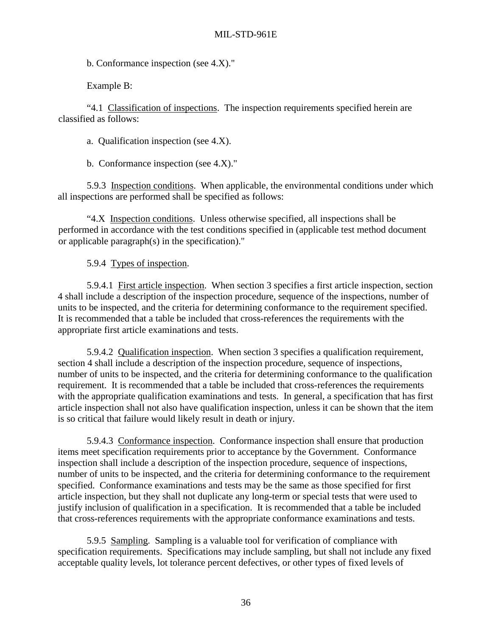b. Conformance inspection (see 4.X)."

Example B:

 "4.1 Classification of inspections. The inspection requirements specified herein are classified as follows:

a. Qualification inspection (see 4.X).

b. Conformance inspection (see 4.X)."

 5.9.3 Inspection conditions. When applicable, the environmental conditions under which all inspections are performed shall be specified as follows:

 "4.X Inspection conditions. Unless otherwise specified, all inspections shall be performed in accordance with the test conditions specified in (applicable test method document or applicable paragraph(s) in the specification)."

5.9.4 Types of inspection.

 5.9.4.1 First article inspection. When section 3 specifies a first article inspection, section 4 shall include a description of the inspection procedure, sequence of the inspections, number of units to be inspected, and the criteria for determining conformance to the requirement specified. It is recommended that a table be included that cross-references the requirements with the appropriate first article examinations and tests.

 5.9.4.2 Qualification inspection. When section 3 specifies a qualification requirement, section 4 shall include a description of the inspection procedure, sequence of inspections, number of units to be inspected, and the criteria for determining conformance to the qualification requirement. It is recommended that a table be included that cross-references the requirements with the appropriate qualification examinations and tests. In general, a specification that has first article inspection shall not also have qualification inspection, unless it can be shown that the item is so critical that failure would likely result in death or injury.

 5.9.4.3 Conformance inspection. Conformance inspection shall ensure that production items meet specification requirements prior to acceptance by the Government. Conformance inspection shall include a description of the inspection procedure, sequence of inspections, number of units to be inspected, and the criteria for determining conformance to the requirement specified. Conformance examinations and tests may be the same as those specified for first article inspection, but they shall not duplicate any long-term or special tests that were used to justify inclusion of qualification in a specification. It is recommended that a table be included that cross-references requirements with the appropriate conformance examinations and tests.

 5.9.5 Sampling. Sampling is a valuable tool for verification of compliance with specification requirements. Specifications may include sampling, but shall not include any fixed acceptable quality levels, lot tolerance percent defectives, or other types of fixed levels of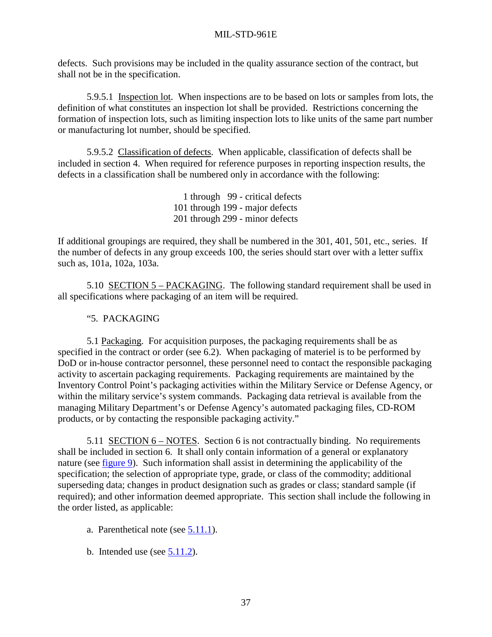defects. Such provisions may be included in the quality assurance section of the contract, but shall not be in the specification.

 5.9.5.1 Inspection lot. When inspections are to be based on lots or samples from lots, the definition of what constitutes an inspection lot shall be provided. Restrictions concerning the formation of inspection lots, such as limiting inspection lots to like units of the same part number or manufacturing lot number, should be specified.

 5.9.5.2 Classification of defects. When applicable, classification of defects shall be included in section 4. When required for reference purposes in reporting inspection results, the defects in a classification shall be numbered only in accordance with the following:

> 1 through 99 - critical defects 101 through 199 - major defects 201 through 299 - minor defects

If additional groupings are required, they shall be numbered in the 301, 401, 501, etc., series. If the number of defects in any group exceeds 100, the series should start over with a letter suffix such as, 101a, 102a, 103a.

 5.10 SECTION 5 – PACKAGING. The following standard requirement shall be used in all specifications where packaging of an item will be required.

# "5. PACKAGING

 5.1 Packaging. For acquisition purposes, the packaging requirements shall be as specified in the contract or order (see 6.2). When packaging of materiel is to be performed by DoD or in-house contractor personnel, these personnel need to contact the responsible packaging activity to ascertain packaging requirements. Packaging requirements are maintained by the Inventory Control Point's packaging activities within the Military Service or Defense Agency, or within the military service's system commands. Packaging data retrieval is available from the managing Military Department's or Defense Agency's automated packaging files, CD-ROM products, or by contacting the responsible packaging activity."

 5.11 SECTION 6 – NOTES. Section 6 is not contractually binding. No requirements shall be included in section 6. It shall only contain information of a general or explanatory nature (see [figure 9\)](#page-78-0). Such information shall assist in determining the applicability of the specification; the selection of appropriate type, grade, or class of the commodity; additional superseding data; changes in product designation such as grades or class; standard sample (if required); and other information deemed appropriate. This section shall include the following in the order listed, as applicable:

- a. Parenthetical note (see [5.11.1\)](#page-49-0).
- b. Intended use (see  $\overline{5.11.2}$ ).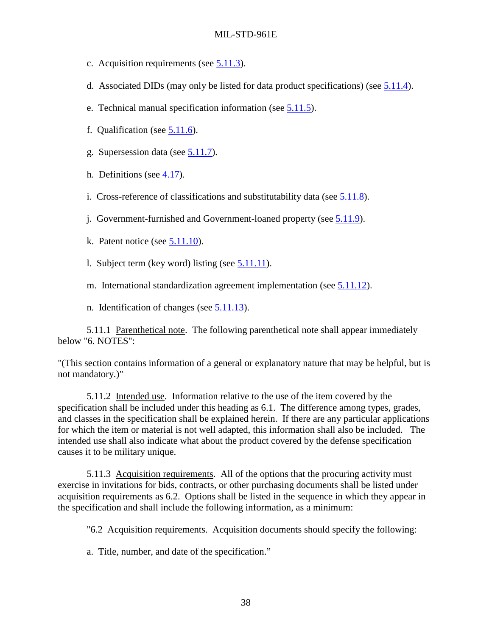- <span id="page-49-0"></span>c. Acquisition requirements (see 5.11.3).
- d. Associated DIDs (may only be listed for data product specifications) (see [5.11.4\)](#page-50-0).
- e. Technical manual specification information (see [5.11.5\)](#page-50-0).
- f. Qualification (see [5.11.6\)](#page-50-0).
- g. Supersession data (see [5.11.7\)](#page-50-0).
- h. Definitions (see [4.17\)](#page-25-0).
- i. Cross-reference of classifications and substitutability data (see [5.11.8\)](#page-51-0).
- j. Government-furnished and Government-loaned property (see [5.11.9\)](#page-51-0).
- k. Patent notice (see  $5.11.10$ ).
- l. Subject term (key word) listing (see [5.11.11\)](#page-51-0).
- m. International standardization agreement implementation (see [5.11.12\)](#page-51-0).

n. Identification of changes (see [5.11.13\)](#page-52-0).

 5.11.1 Parenthetical note. The following parenthetical note shall appear immediately below "6. NOTES":

 "(This section contains information of a general or explanatory nature that may be helpful, but is not mandatory.)"

 5.11.2 Intended use. Information relative to the use of the item covered by the specification shall be included under this heading as 6.1. The difference among types, grades, and classes in the specification shall be explained herein. If there are any particular applications for which the item or material is not well adapted, this information shall also be included. The intended use shall also indicate what about the product covered by the defense specification causes it to be military unique.

 5.11.3 Acquisition requirements. All of the options that the procuring activity must exercise in invitations for bids, contracts, or other purchasing documents shall be listed under acquisition requirements as 6.2. Options shall be listed in the sequence in which they appear in the specification and shall include the following information, as a minimum:

"6.2 Acquisition requirements. Acquisition documents should specify the following:

a. Title, number, and date of the specification."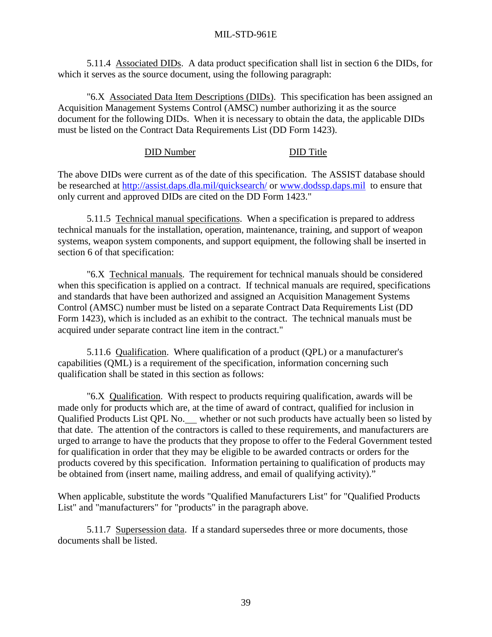<span id="page-50-0"></span> 5.11.4 Associated DIDs. A data product specification shall list in section 6 the DIDs, for which it serves as the source document, using the following paragraph:

 "6.X Associated Data Item Descriptions (DIDs). This specification has been assigned an Acquisition Management Systems Control (AMSC) number authorizing it as the source document for the following DIDs. When it is necessary to obtain the data, the applicable DIDs must be listed on the Contract Data Requirements List (DD Form 1423).

#### DID Number DID Title

The above DIDs were current as of the date of this specification. The ASSIST database should be researched at<http://assist.daps.dla.mil/quicksearch/>or [www.dodssp.daps.mil](http://www.dodssp.daps.mil/) to ensure that only current and approved DIDs are cited on the DD Form 1423."

 5.11.5 Technical manual specifications. When a specification is prepared to address technical manuals for the installation, operation, maintenance, training, and support of weapon systems, weapon system components, and support equipment, the following shall be inserted in section 6 of that specification:

 "6.X Technical manuals. The requirement for technical manuals should be considered when this specification is applied on a contract. If technical manuals are required, specifications and standards that have been authorized and assigned an Acquisition Management Systems Control (AMSC) number must be listed on a separate Contract Data Requirements List (DD Form 1423), which is included as an exhibit to the contract. The technical manuals must be acquired under separate contract line item in the contract."

 5.11.6 Qualification. Where qualification of a product (QPL) or a manufacturer's capabilities (QML) is a requirement of the specification, information concerning such qualification shall be stated in this section as follows:

 "6.X Qualification. With respect to products requiring qualification, awards will be made only for products which are, at the time of award of contract, qualified for inclusion in Qualified Products List QPL No. whether or not such products have actually been so listed by that date. The attention of the contractors is called to these requirements, and manufacturers are urged to arrange to have the products that they propose to offer to the Federal Government tested for qualification in order that they may be eligible to be awarded contracts or orders for the products covered by this specification. Information pertaining to qualification of products may be obtained from (insert name, mailing address, and email of qualifying activity)."

When applicable, substitute the words "Qualified Manufacturers List" for "Qualified Products List" and "manufacturers" for "products" in the paragraph above.

 5.11.7 Supersession data. If a standard supersedes three or more documents, those documents shall be listed.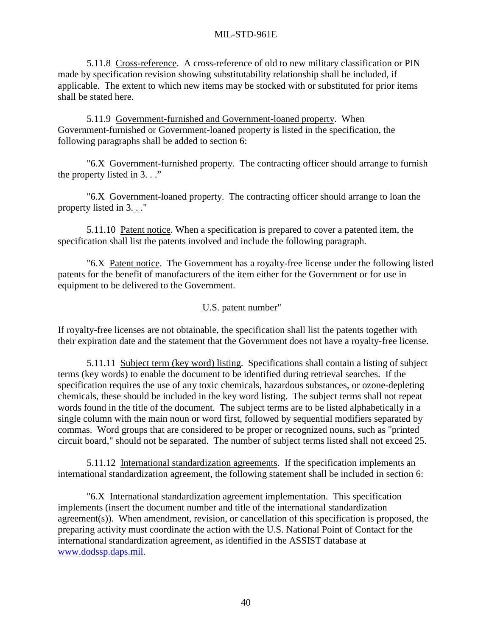<span id="page-51-0"></span> 5.11.8 Cross-reference. A cross-reference of old to new military classification or PIN made by specification revision showing substitutability relationship shall be included, if applicable. The extent to which new items may be stocked with or substituted for prior items shall be stated here.

 5.11.9 Government-furnished and Government-loaned property. When Government-furnished or Government-loaned property is listed in the specification, the following paragraphs shall be added to section 6:

 "6.X Government-furnished property. The contracting officer should arrange to furnish the property listed in  $3 \dots$ "

 "6.X Government-loaned property. The contracting officer should arrange to loan the property listed in 3. . ."

 5.11.10 Patent notice. When a specification is prepared to cover a patented item, the specification shall list the patents involved and include the following paragraph.

 "6.X Patent notice. The Government has a royalty-free license under the following listed patents for the benefit of manufacturers of the item either for the Government or for use in equipment to be delivered to the Government.

# U.S. patent number"

If royalty-free licenses are not obtainable, the specification shall list the patents together with their expiration date and the statement that the Government does not have a royalty-free license.

 5.11.11 Subject term (key word) listing. Specifications shall contain a listing of subject terms (key words) to enable the document to be identified during retrieval searches. If the specification requires the use of any toxic chemicals, hazardous substances, or ozone-depleting chemicals, these should be included in the key word listing. The subject terms shall not repeat words found in the title of the document. The subject terms are to be listed alphabetically in a single column with the main noun or word first, followed by sequential modifiers separated by commas. Word groups that are considered to be proper or recognized nouns, such as "printed circuit board," should not be separated. The number of subject terms listed shall not exceed 25.

 5.11.12 International standardization agreements. If the specification implements an international standardization agreement, the following statement shall be included in section 6:

 "6.X International standardization agreement implementation. This specification implements (insert the document number and title of the international standardization agreement(s)). When amendment, revision, or cancellation of this specification is proposed, the preparing activity must coordinate the action with the U.S. National Point of Contact for the international standardization agreement, as identified in the ASSIST database at [www.dodssp.daps.mil.](http://www.dodssp.daps.mil/)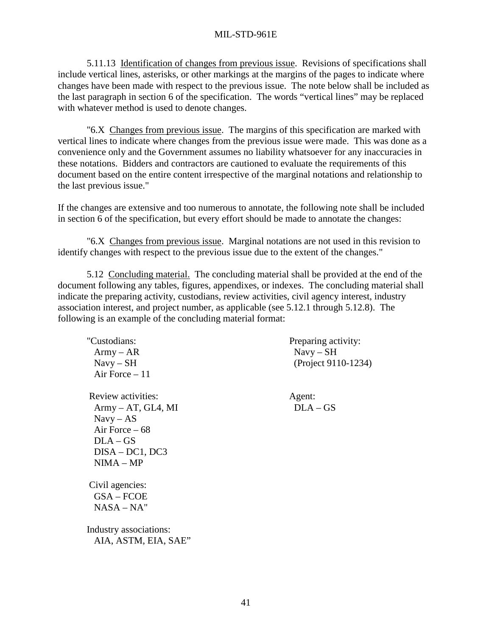<span id="page-52-0"></span> 5.11.13 Identification of changes from previous issue. Revisions of specifications shall include vertical lines, asterisks, or other markings at the margins of the pages to indicate where changes have been made with respect to the previous issue. The note below shall be included as the last paragraph in section 6 of the specification. The words "vertical lines" may be replaced with whatever method is used to denote changes.

 "6.X Changes from previous issue. The margins of this specification are marked with vertical lines to indicate where changes from the previous issue were made. This was done as a convenience only and the Government assumes no liability whatsoever for any inaccuracies in these notations. Bidders and contractors are cautioned to evaluate the requirements of this document based on the entire content irrespective of the marginal notations and relationship to the last previous issue."

If the changes are extensive and too numerous to annotate, the following note shall be included in section 6 of the specification, but every effort should be made to annotate the changes:

 "6.X Changes from previous issue. Marginal notations are not used in this revision to identify changes with respect to the previous issue due to the extent of the changes."

 5.12 Concluding material. The concluding material shall be provided at the end of the document following any tables, figures, appendixes, or indexes. The concluding material shall indicate the preparing activity, custodians, review activities, civil agency interest, industry association interest, and project number, as applicable (see 5.12.1 through 5.12.8). The following is an example of the concluding material format:

| "Custodians:<br>$Army - AR$<br>$Navy-SH$<br>Air Force $-11$                                                                  | Preparing activity:<br>$Navy - SH$<br>(Project 9110-1234) |
|------------------------------------------------------------------------------------------------------------------------------|-----------------------------------------------------------|
| Review activities:<br>$Army - AT, GL4, MI$<br>$Navy - AS$<br>Air Force $-68$<br>$DLA - GS$<br>$DISA-DC1, DC3$<br>$NIMA - MP$ | Agent:<br>$DLA - GS$                                      |
| Civil agencies:<br>$GSA - FCOE$<br>$NASA-NA"$<br>Industry associations:<br>AIA, ASTM, EIA, SAE"                              |                                                           |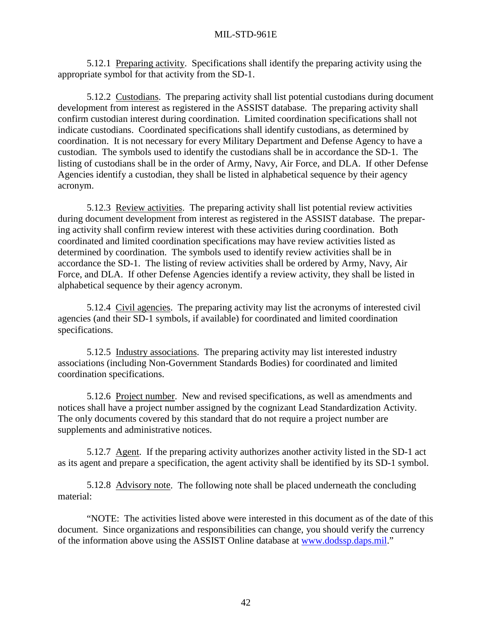5.12.1 Preparing activity. Specifications shall identify the preparing activity using the appropriate symbol for that activity from the SD-1.

 5.12.2 Custodians. The preparing activity shall list potential custodians during document development from interest as registered in the ASSIST database. The preparing activity shall confirm custodian interest during coordination. Limited coordination specifications shall not indicate custodians. Coordinated specifications shall identify custodians, as determined by coordination. It is not necessary for every Military Department and Defense Agency to have a custodian. The symbols used to identify the custodians shall be in accordance the SD-1. The listing of custodians shall be in the order of Army, Navy, Air Force, and DLA. If other Defense Agencies identify a custodian, they shall be listed in alphabetical sequence by their agency acronym.

5.12.3 Review activities. The preparing activity shall list potential review activities during document development from interest as registered in the ASSIST database. The preparing activity shall confirm review interest with these activities during coordination. Both coordinated and limited coordination specifications may have review activities listed as determined by coordination. The symbols used to identify review activities shall be in accordance the SD-1. The listing of review activities shall be ordered by Army, Navy, Air Force, and DLA. If other Defense Agencies identify a review activity, they shall be listed in alphabetical sequence by their agency acronym.

 5.12.4 Civil agencies. The preparing activity may list the acronyms of interested civil agencies (and their SD-1 symbols, if available) for coordinated and limited coordination specifications.

 5.12.5 Industry associations. The preparing activity may list interested industry associations (including Non-Government Standards Bodies) for coordinated and limited coordination specifications.

 5.12.6 Project number. New and revised specifications, as well as amendments and notices shall have a project number assigned by the cognizant Lead Standardization Activity. The only documents covered by this standard that do not require a project number are supplements and administrative notices.

5.12.7 Agent. If the preparing activity authorizes another activity listed in the SD-1 act as its agent and prepare a specification, the agent activity shall be identified by its SD-1 symbol.

 5.12.8 Advisory note. The following note shall be placed underneath the concluding material:

 "NOTE: The activities listed above were interested in this document as of the date of this document. Since organizations and responsibilities can change, you should verify the currency of the information above using the ASSIST Online database at [www.dodssp.daps.mil.](http://www.dodssp.daps.mil/)"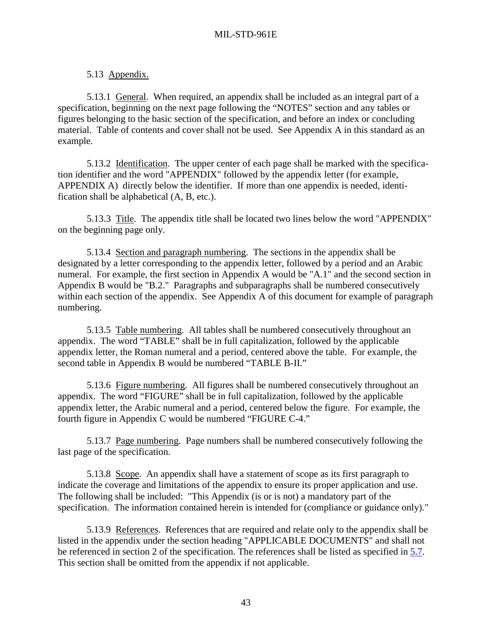# 5.13 Appendix.

<span id="page-54-0"></span> 5.13.1 General. When required, an appendix shall be included as an integral part of a specification, beginning on the next page following the "NOTES" section and any tables or figures belonging to the basic section of the specification, and before an index or concluding material. Table of contents and cover shall not be used. See Appendix A in this standard as an example.

 5.13.2 Identification. The upper center of each page shall be marked with the specification identifier and the word "APPENDIX" followed by the appendix letter (for example, APPENDIX A) directly below the identifier. If more than one appendix is needed, identification shall be alphabetical (A, B, etc.).

5.13.3 Title. The appendix title shall be located two lines below the word "APPENDIX" on the beginning page only.

 5.13.4 Section and paragraph numbering. The sections in the appendix shall be designated by a letter corresponding to the appendix letter, followed by a period and an Arabic numeral. For example, the first section in Appendix A would be "A.1" and the second section in Appendix B would be "B.2." Paragraphs and subparagraphs shall be numbered consecutively within each section of the appendix. See Appendix A of this document for example of paragraph numbering.

 5.13.5 Table numbering. All tables shall be numbered consecutively throughout an appendix. The word "TABLE" shall be in full capitalization, followed by the applicable appendix letter, the Roman numeral and a period, centered above the table. For example, the second table in Appendix B would be numbered "TABLE B-II."

 5.13.6 Figure numbering. All figures shall be numbered consecutively throughout an appendix. The word "FIGURE" shall be in full capitalization, followed by the applicable appendix letter, the Arabic numeral and a period, centered below the figure. For example, the fourth figure in Appendix C would be numbered "FIGURE C-4."

5.13.7 Page numbering. Page numbers shall be numbered consecutively following the last page of the specification.

 5.13.8 Scope. An appendix shall have a statement of scope as its first paragraph to indicate the coverage and limitations of the appendix to ensure its proper application and use. The following shall be included: "This Appendix (is or is not) a mandatory part of the specification. The information contained herein is intended for (compliance or guidance only)."

 5.13.9 References. References that are required and relate only to the appendix shall be listed in the appendix under the section heading "APPLICABLE DOCUMENTS" and shall not be referenced in section 2 of the specification. The references shall be listed as specified in [5.7.](#page-40-0) This section shall be omitted from the appendix if not applicable.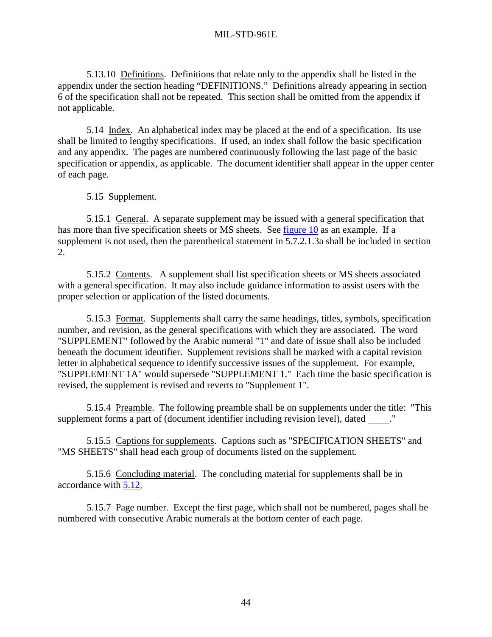5.13.10 Definitions. Definitions that relate only to the appendix shall be listed in the appendix under the section heading "DEFINITIONS." Definitions already appearing in section 6 of the specification shall not be repeated. This section shall be omitted from the appendix if not applicable.

 5.14 Index. An alphabetical index may be placed at the end of a specification. Its use shall be limited to lengthy specifications. If used, an index shall follow the basic specification and any appendix. The pages are numbered continuously following the last page of the basic specification or appendix, as applicable. The document identifier shall appear in the upper center of each page.

# 5.15 Supplement.

 5.15.1 General. A separate supplement may be issued with a general specification that has more than five specification sheets or MS sheets. See [figure 10](#page-79-0) as an example. If a supplement is not used, then the parenthetical statement in 5.7.2.1.3a shall be included in section 2.

 5.15.2 Contents. A supplement shall list specification sheets or MS sheets associated with a general specification. It may also include guidance information to assist users with the proper selection or application of the listed documents.

 5.15.3 Format. Supplements shall carry the same headings, titles, symbols, specification number, and revision, as the general specifications with which they are associated. The word "SUPPLEMENT" followed by the Arabic numeral "1" and date of issue shall also be included beneath the document identifier. Supplement revisions shall be marked with a capital revision letter in alphabetical sequence to identify successive issues of the supplement. For example, "SUPPLEMENT 1A" would supersede "SUPPLEMENT 1." Each time the basic specification is revised, the supplement is revised and reverts to "Supplement 1".

 5.15.4 Preamble. The following preamble shall be on supplements under the title: "This supplement forms a part of (document identifier including revision level), dated ..."

 5.15.5 Captions for supplements. Captions such as "SPECIFICATION SHEETS" and "MS SHEETS" shall head each group of documents listed on the supplement.

 5.15.6 Concluding material. The concluding material for supplements shall be in accordance with [5.12.](#page-52-0)

 5.15.7 Page number. Except the first page, which shall not be numbered, pages shall be numbered with consecutive Arabic numerals at the bottom center of each page.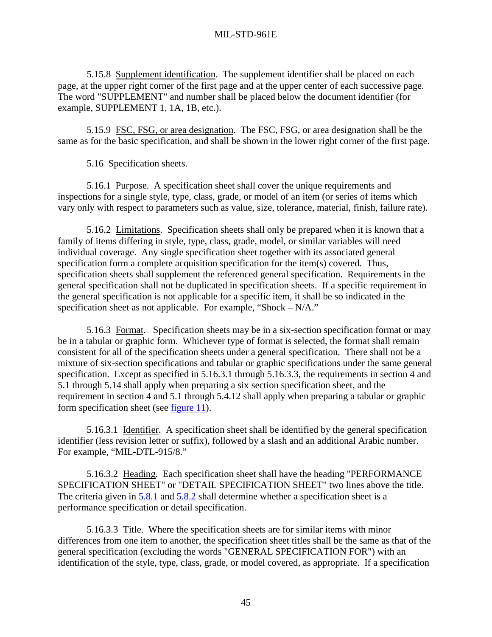<span id="page-56-0"></span> 5.15.8 Supplement identification. The supplement identifier shall be placed on each page, at the upper right corner of the first page and at the upper center of each successive page. The word "SUPPLEMENT" and number shall be placed below the document identifier (for example, SUPPLEMENT 1, 1A, 1B, etc.).

 5.15.9 FSC, FSG, or area designation. The FSC, FSG, or area designation shall be the same as for the basic specification, and shall be shown in the lower right corner of the first page.

# 5.16 Specification sheets.

5.16.1 Purpose. A specification sheet shall cover the unique requirements and inspections for a single style, type, class, grade, or model of an item (or series of items which vary only with respect to parameters such as value, size, tolerance, material, finish, failure rate).

5.16.2 Limitations. Specification sheets shall only be prepared when it is known that a family of items differing in style, type, class, grade, model, or similar variables will need individual coverage. Any single specification sheet together with its associated general specification form a complete acquisition specification for the item(s) covered. Thus, specification sheets shall supplement the referenced general specification. Requirements in the general specification shall not be duplicated in specification sheets. If a specific requirement in the general specification is not applicable for a specific item, it shall be so indicated in the specification sheet as not applicable. For example, "Shock – N/A."

 5.16.3 Format. Specification sheets may be in a six-section specification format or may be in a tabular or graphic form. Whichever type of format is selected, the format shall remain consistent for all of the specification sheets under a general specification. There shall not be a mixture of six-section specifications and tabular or graphic specifications under the same general specification. Except as specified in 5.16.3.1 through 5.16.3.3, the requirements in section 4 and 5.1 through 5.14 shall apply when preparing a six section specification sheet, and the requirement in section 4 and 5.1 through 5.4.12 shall apply when preparing a tabular or graphic form specification sheet (see [figure 11\)](#page-80-0).

 5.16.3.1 Identifier. A specification sheet shall be identified by the general specification identifier (less revision letter or suffix), followed by a slash and an additional Arabic number. For example, "MIL-DTL-915/8."

 5.16.3.2 Heading. Each specification sheet shall have the heading "PERFORMANCE SPECIFICATION SHEET" or "DETAIL SPECIFICATION SHEET" two lines above the title. The criteria given in [5.8.1](#page-44-0) and [5.8.2](#page-44-0) shall determine whether a specification sheet is a performance specification or detail specification.

 5.16.3.3 Title. Where the specification sheets are for similar items with minor differences from one item to another, the specification sheet titles shall be the same as that of the general specification (excluding the words "GENERAL SPECIFICATION FOR") with an identification of the style, type, class, grade, or model covered, as appropriate. If a specification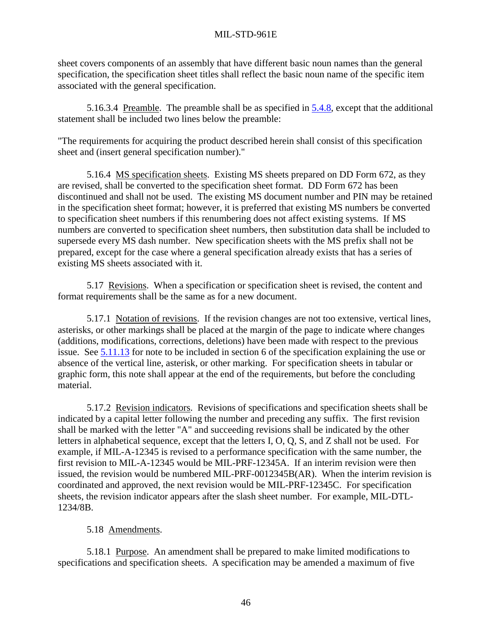sheet covers components of an assembly that have different basic noun names than the general specification, the specification sheet titles shall reflect the basic noun name of the specific item associated with the general specification.

5.16.3.4 Preamble. The preamble shall be as specified in  $5.4.8$ , except that the additional statement shall be included two lines below the preamble:

"The requirements for acquiring the product described herein shall consist of this specification sheet and (insert general specification number)."

 5.16.4 MS specification sheets. Existing MS sheets prepared on DD Form 672, as they are revised, shall be converted to the specification sheet format. DD Form 672 has been discontinued and shall not be used. The existing MS document number and PIN may be retained in the specification sheet format; however, it is preferred that existing MS numbers be converted to specification sheet numbers if this renumbering does not affect existing systems. If MS numbers are converted to specification sheet numbers, then substitution data shall be included to supersede every MS dash number. New specification sheets with the MS prefix shall not be prepared, except for the case where a general specification already exists that has a series of existing MS sheets associated with it.

 5.17 Revisions. When a specification or specification sheet is revised, the content and format requirements shall be the same as for a new document.

 5.17.1 Notation of revisions. If the revision changes are not too extensive, vertical lines, asterisks, or other markings shall be placed at the margin of the page to indicate where changes (additions, modifications, corrections, deletions) have been made with respect to the previous issue. See [5.11.13](#page-52-0) for note to be included in section 6 of the specification explaining the use or absence of the vertical line, asterisk, or other marking. For specification sheets in tabular or graphic form, this note shall appear at the end of the requirements, but before the concluding material.

 5.17.2 Revision indicators. Revisions of specifications and specification sheets shall be indicated by a capital letter following the number and preceding any suffix. The first revision shall be marked with the letter "A" and succeeding revisions shall be indicated by the other letters in alphabetical sequence, except that the letters I, O, Q, S, and Z shall not be used. For example, if MIL-A-12345 is revised to a performance specification with the same number, the first revision to MIL-A-12345 would be MIL-PRF-12345A. If an interim revision were then issued, the revision would be numbered MIL-PRF-0012345B(AR). When the interim revision is coordinated and approved, the next revision would be MIL-PRF-12345C. For specification sheets, the revision indicator appears after the slash sheet number. For example, MIL-DTL-1234/8B.

# 5.18 Amendments.

 5.18.1 Purpose. An amendment shall be prepared to make limited modifications to specifications and specification sheets. A specification may be amended a maximum of five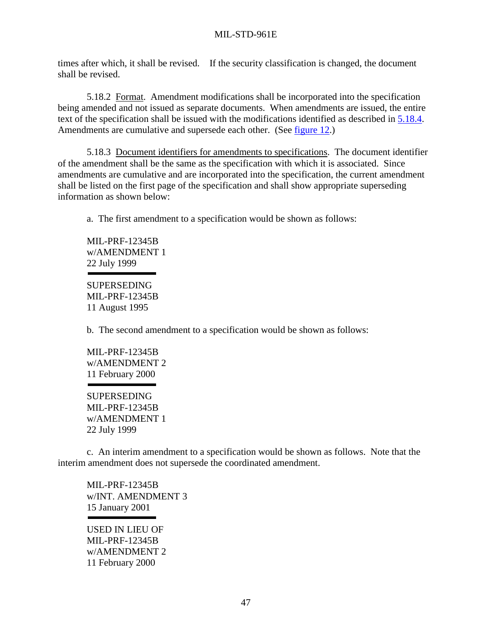times after which, it shall be revised. If the security classification is changed, the document shall be revised.

 5.18.2 Format. Amendment modifications shall be incorporated into the specification being amended and not issued as separate documents. When amendments are issued, the entire text of the specification shall be issued with the modifications identified as described in [5.18.4.](#page-59-0) Amendments are cumulative and supersede each other. (See [figure 12.](#page-82-0))

 5.18.3 Document identifiers for amendments to specifications. The document identifier of the amendment shall be the same as the specification with which it is associated. Since amendments are cumulative and are incorporated into the specification, the current amendment shall be listed on the first page of the specification and shall show appropriate superseding information as shown below:

a. The first amendment to a specification would be shown as follows:

 MIL-PRF-12345B w/AMENDMENT 1 22 July 1999

 SUPERSEDING MIL-PRF-12345B 11 August 1995

b. The second amendment to a specification would be shown as follows:

 MIL-PRF-12345B w/AMENDMENT 2 11 February 2000

 SUPERSEDING MIL-PRF-12345B w/AMENDMENT 1 22 July 1999

 c. An interim amendment to a specification would be shown as follows. Note that the interim amendment does not supersede the coordinated amendment.

 MIL-PRF-12345B w/INT. AMENDMENT 3 15 January 2001

 USED IN LIEU OF MIL-PRF-12345B w/AMENDMENT 2 11 February 2000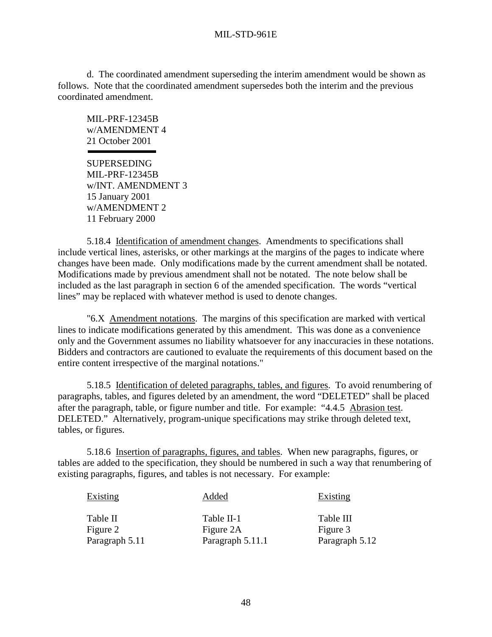<span id="page-59-0"></span>d. The coordinated amendment superseding the interim amendment would be shown as follows. Note that the coordinated amendment supersedes both the interim and the previous coordinated amendment.

 MIL-PRF-12345B w/AMENDMENT 4 21 October 2001

 SUPERSEDING MIL-PRF-12345B w/INT. AMENDMENT 3 15 January 2001 w/AMENDMENT 2 11 February 2000

 5.18.4 Identification of amendment changes. Amendments to specifications shall include vertical lines, asterisks, or other markings at the margins of the pages to indicate where changes have been made. Only modifications made by the current amendment shall be notated. Modifications made by previous amendment shall not be notated. The note below shall be included as the last paragraph in section 6 of the amended specification. The words "vertical lines" may be replaced with whatever method is used to denote changes.

 "6.X Amendment notations. The margins of this specification are marked with vertical lines to indicate modifications generated by this amendment. This was done as a convenience only and the Government assumes no liability whatsoever for any inaccuracies in these notations. Bidders and contractors are cautioned to evaluate the requirements of this document based on the entire content irrespective of the marginal notations."

 5.18.5 Identification of deleted paragraphs, tables, and figures. To avoid renumbering of paragraphs, tables, and figures deleted by an amendment, the word "DELETED" shall be placed after the paragraph, table, or figure number and title. For example: "4.4.5 Abrasion test. DELETED." Alternatively, program-unique specifications may strike through deleted text, tables, or figures.

 5.18.6 Insertion of paragraphs, figures, and tables. When new paragraphs, figures, or tables are added to the specification, they should be numbered in such a way that renumbering of existing paragraphs, figures, and tables is not necessary. For example:

| <b>Existing</b> | Added            | <b>Existing</b> |
|-----------------|------------------|-----------------|
| Table II        | Table II-1       | Table III       |
| Figure 2        | Figure 2A        | Figure 3        |
| Paragraph 5.11  | Paragraph 5.11.1 | Paragraph 5.12  |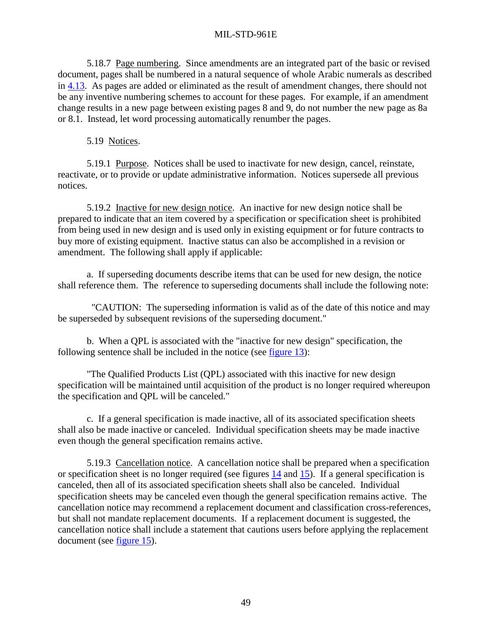5.18.7 Page numbering. Since amendments are an integrated part of the basic or revised document, pages shall be numbered in a natural sequence of whole Arabic numerals as described in [4.13.](#page-23-0) As pages are added or eliminated as the result of amendment changes, there should not be any inventive numbering schemes to account for these pages. For example, if an amendment change results in a new page between existing pages 8 and 9, do not number the new page as 8a or 8.1. Instead, let word processing automatically renumber the pages.

5.19 Notices.

 5.19.1 Purpose. Notices shall be used to inactivate for new design, cancel, reinstate, reactivate, or to provide or update administrative information. Notices supersede all previous notices.

 5.19.2 Inactive for new design notice. An inactive for new design notice shall be prepared to indicate that an item covered by a specification or specification sheet is prohibited from being used in new design and is used only in existing equipment or for future contracts to buy more of existing equipment. Inactive status can also be accomplished in a revision or amendment. The following shall apply if applicable:

a. If superseding documents describe items that can be used for new design, the notice shall reference them. The reference to superseding documents shall include the following note:

 "CAUTION: The superseding information is valid as of the date of this notice and may be superseded by subsequent revisions of the superseding document."

b. When a QPL is associated with the "inactive for new design" specification, the following sentence shall be included in the notice (see [figure 13\)](#page-85-0):

"The Qualified Products List (QPL) associated with this inactive for new design specification will be maintained until acquisition of the product is no longer required whereupon the specification and QPL will be canceled."

c. If a general specification is made inactive, all of its associated specification sheets shall also be made inactive or canceled. Individual specification sheets may be made inactive even though the general specification remains active.

 5.19.3 Cancellation notice. A cancellation notice shall be prepared when a specification or specification sheet is no longer required (see figures [14](#page-86-0) and [15\)](#page-87-0). If a general specification is canceled, then all of its associated specification sheets shall also be canceled. Individual specification sheets may be canceled even though the general specification remains active. The cancellation notice may recommend a replacement document and classification cross-references, but shall not mandate replacement documents. If a replacement document is suggested, the cancellation notice shall include a statement that cautions users before applying the replacement document (see [figure 15\)](#page-87-0).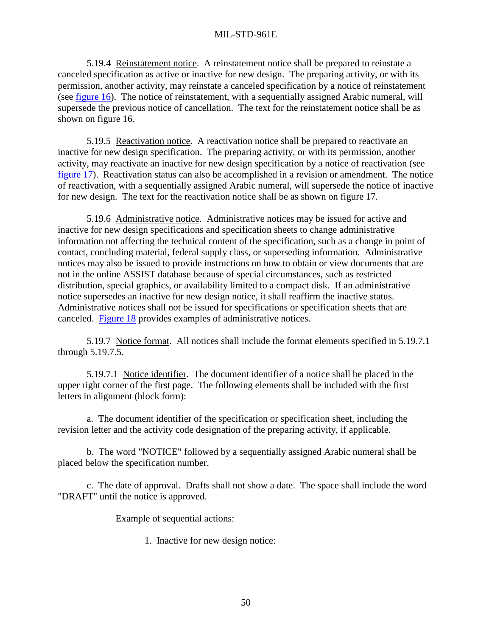5.19.4 Reinstatement notice. A reinstatement notice shall be prepared to reinstate a canceled specification as active or inactive for new design. The preparing activity, or with its permission, another activity, may reinstate a canceled specification by a notice of reinstatement (see [figure 16\)](#page-88-0). The notice of reinstatement, with a sequentially assigned Arabic numeral, will supersede the previous notice of cancellation. The text for the reinstatement notice shall be as shown on figure 16.

 5.19.5 Reactivation notice. A reactivation notice shall be prepared to reactivate an inactive for new design specification. The preparing activity, or with its permission, another activity, may reactivate an inactive for new design specification by a notice of reactivation (see [figure 17\)](#page-89-0). Reactivation status can also be accomplished in a revision or amendment. The notice of reactivation, with a sequentially assigned Arabic numeral, will supersede the notice of inactive for new design. The text for the reactivation notice shall be as shown on figure 17.

 5.19.6 Administrative notice. Administrative notices may be issued for active and inactive for new design specifications and specification sheets to change administrative information not affecting the technical content of the specification, such as a change in point of contact, concluding material, federal supply class, or superseding information. Administrative notices may also be issued to provide instructions on how to obtain or view documents that are not in the online ASSIST database because of special circumstances, such as restricted distribution, special graphics, or availability limited to a compact disk. If an administrative notice supersedes an inactive for new design notice, it shall reaffirm the inactive status. Administrative notices shall not be issued for specifications or specification sheets that are canceled. [Figure 18](#page-90-0) provides examples of administrative notices.

 5.19.7 Notice format. All notices shall include the format elements specified in 5.19.7.1 through 5.19.7.5.

 5.19.7.1 Notice identifier. The document identifier of a notice shall be placed in the upper right corner of the first page. The following elements shall be included with the first letters in alignment (block form):

 a. The document identifier of the specification or specification sheet, including the revision letter and the activity code designation of the preparing activity, if applicable.

 b. The word "NOTICE" followed by a sequentially assigned Arabic numeral shall be placed below the specification number.

 c. The date of approval. Drafts shall not show a date. The space shall include the word "DRAFT" until the notice is approved.

Example of sequential actions:

1. Inactive for new design notice: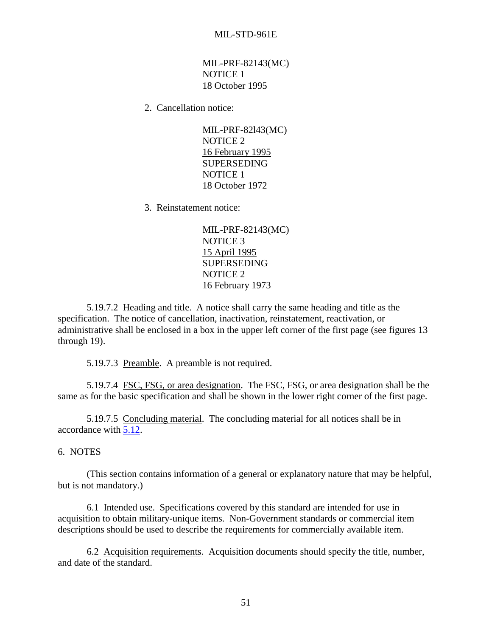MIL-PRF-82143(MC) NOTICE 1 18 October 1995

2. Cancellation notice:

 MIL-PRF-82l43(MC) NOTICE 2 16 February 1995 SUPERSEDING NOTICE 1 18 October 1972

3. Reinstatement notice:

 MIL-PRF-82143(MC) NOTICE 3 15 April 1995 SUPERSEDING NOTICE 2 16 February 1973

 5.19.7.2 Heading and title. A notice shall carry the same heading and title as the specification. The notice of cancellation, inactivation, reinstatement, reactivation, or administrative shall be enclosed in a box in the upper left corner of the first page (see figures 13 through 19).

5.19.7.3 Preamble. A preamble is not required.

 5.19.7.4 FSC, FSG, or area designation. The FSC, FSG, or area designation shall be the same as for the basic specification and shall be shown in the lower right corner of the first page.

 5.19.7.5 Concluding material. The concluding material for all notices shall be in accordance with [5.12.](#page-52-0)

6. NOTES

 (This section contains information of a general or explanatory nature that may be helpful, but is not mandatory.)

 6.1 Intended use. Specifications covered by this standard are intended for use in acquisition to obtain military-unique items. Non-Government standards or commercial item descriptions should be used to describe the requirements for commercially available item.

6.2 Acquisition requirements. Acquisition documents should specify the title, number, and date of the standard.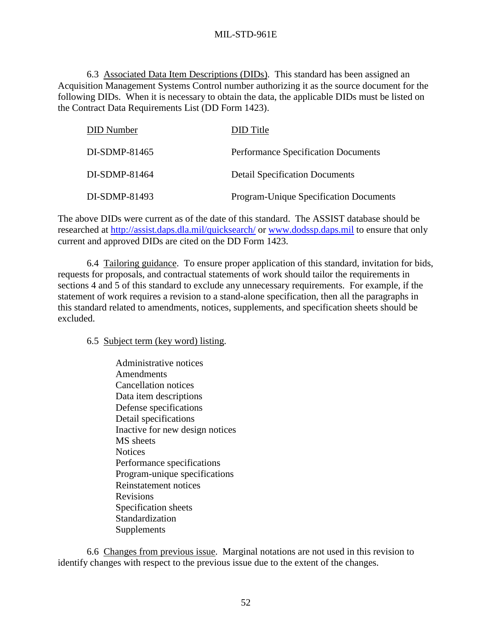6.3 Associated Data Item Descriptions (DIDs). This standard has been assigned an Acquisition Management Systems Control number authorizing it as the source document for the following DIDs. When it is necessary to obtain the data, the applicable DIDs must be listed on the Contract Data Requirements List (DD Form 1423).

| <b>DID</b> Number | DID Title                                     |
|-------------------|-----------------------------------------------|
| DI-SDMP-81465     | <b>Performance Specification Documents</b>    |
| DI-SDMP-81464     | <b>Detail Specification Documents</b>         |
| DI-SDMP-81493     | <b>Program-Unique Specification Documents</b> |

The above DIDs were current as of the date of this standard. The ASSIST database should be researched at [http://assist.daps.dla.mil/quicksearch/](http://astimage.daps.dla.mil/quicksearch/) or [www.dodssp.daps.mil](http://www.dodssp.daps.mil/) to ensure that only current and approved DIDs are cited on the DD Form 1423.

 6.4 Tailoring guidance. To ensure proper application of this standard, invitation for bids, requests for proposals, and contractual statements of work should tailor the requirements in sections 4 and 5 of this standard to exclude any unnecessary requirements. For example, if the statement of work requires a revision to a stand-alone specification, then all the paragraphs in this standard related to amendments, notices, supplements, and specification sheets should be excluded.

## 6.5 Subject term (key word) listing.

 Administrative notices Amendments Cancellation notices Data item descriptions Defense specifications Detail specifications Inactive for new design notices MS sheets **Notices**  Performance specifications Program-unique specifications Reinstatement notices Revisions Specification sheets Standardization Supplements

 6.6 Changes from previous issue. Marginal notations are not used in this revision to identify changes with respect to the previous issue due to the extent of the changes.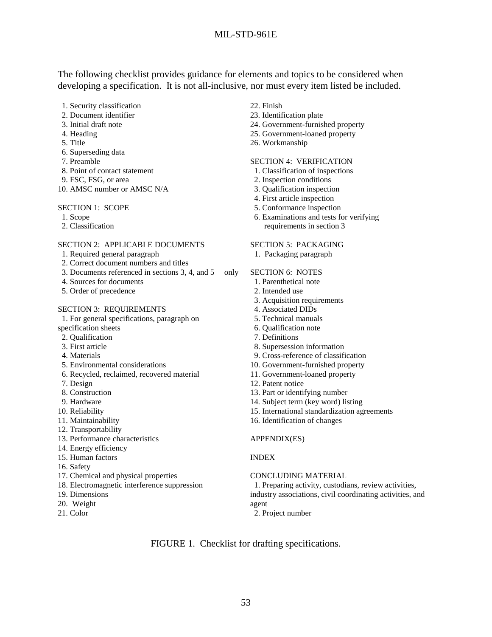The following checklist provides guidance for elements and topics to be considered when developing a specification. It is not all-inclusive, nor must every item listed be included.

- 1. Security classification
- 2. Document identifier
- 3. Initial draft note
- 4. Heading
- 5. Title
- 6. Superseding data
- 7. Preamble
- 8. Point of contact statement
- 9. FSC, FSG, or area
- 10. AMSC number or AMSC N/A

#### SECTION 1: SCOPE

- 1. Scope
- 2. Classification

#### SECTION 2: APPLICABLE DOCUMENTS

- 1. Required general paragraph
- 2. Correct document numbers and titles
- 3. Documents referenced in sections 3, 4, and 5 only
- 4. Sources for documents
- 5. Order of precedence

#### SECTION 3: REQUIREMENTS

1. For general specifications, paragraph on

- specification sheets
- 2. Qualification
- 3. First article
- 4. Materials
- 5. Environmental considerations
- 6. Recycled, reclaimed, recovered material
- 7. Design
- 8. Construction
- 9. Hardware
- 10. Reliability
- 11. Maintainability
- 12. Transportability
- 13. Performance characteristics
- 14. Energy efficiency
- 15. Human factors
- 16. Safety
- 17. Chemical and physical properties
- 18. Electromagnetic interference suppression
- 19. Dimensions
- 20. Weight
- 21. Color
- 22. Finish
- 23. Identification plate
- 24. Government-furnished property
- 25. Government-loaned property
- 26. Workmanship

#### SECTION 4: VERIFICATION

- 1. Classification of inspections
- 2. Inspection conditions
- 3. Qualification inspection
- 4. First article inspection
- 5. Conformance inspection
- 6. Examinations and tests for verifying requirements in section 3

#### SECTION 5: PACKAGING

1. Packaging paragraph

#### SECTION 6: NOTES

- 1. Parenthetical note
- 2. Intended use
- 3. Acquisition requirements
- 4. Associated DIDs
- 5. Technical manuals
- 6. Qualification note
- 7. Definitions
- 8. Supersession information
- 9. Cross-reference of classification
- 10. Government-furnished property
- 11. Government-loaned property
- 12. Patent notice
- 13. Part or identifying number
- 14. Subject term (key word) listing
- 15. International standardization agreements
- 16. Identification of changes

#### APPENDIX(ES)

#### INDEX

#### CONCLUDING MATERIAL

 1. Preparing activity, custodians, review activities, industry associations, civil coordinating activities, and agent

2. Project number

## FIGURE 1. Checklist for drafting specifications.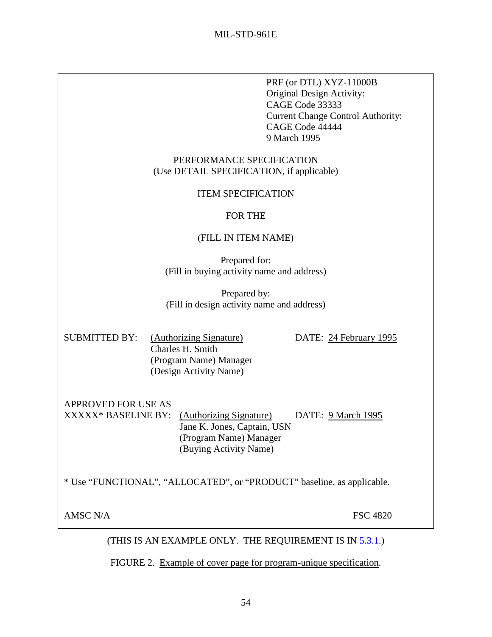PRF (or DTL) XYZ-11000B Original Design Activity: CAGE Code 33333 Current Change Control Authority: CAGE Code 44444 9 March 1995

## PERFORMANCE SPECIFICATION (Use DETAIL SPECIFICATION, if applicable)

# ITEM SPECIFICATION

# FOR THE

# (FILL IN ITEM NAME)

Prepared for: (Fill in buying activity name and address)

Prepared by: (Fill in design activity name and address)

| <b>SUBMITTED BY:</b> | (Authorizing Signature) |
|----------------------|-------------------------|
|                      | Charles H. Smith        |
|                      | (Program Name) Manager  |
|                      | (Design Activity Name)  |

 $DATE: 24 February 1995$ 

APPROVED FOR USE AS

XXXXX\* BASELINE BY: (Authorizing Signature) DATE: 9 March 1995 Jane K. Jones, Captain, USN (Program Name) Manager (Buying Activity Name)

\* Use "FUNCTIONAL", "ALLOCATED", or "PRODUCT" baseline, as applicable.

AMSC N/A FSC 4820

(THIS IS AN EXAMPLE ONLY. THE REQUIREMENT IS IN [5.3.1.](#page-27-0))

FIGURE 2. Example of cover page for program-unique specification.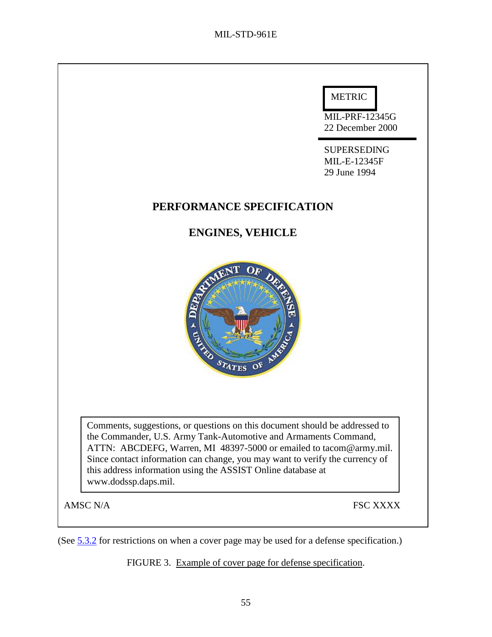

(See [5.3.2](#page-54-0) for restrictions on when a cover page may be used for a defense specification.)

FIGURE 3. Example of cover page for defense specification.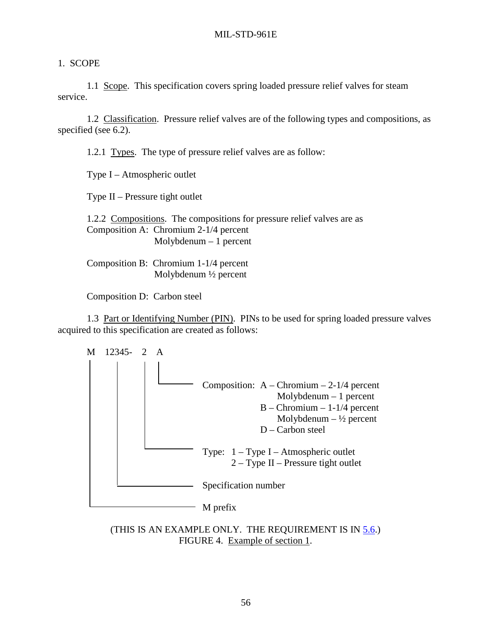# <span id="page-67-0"></span>1. SCOPE

 1.1 Scope. This specification covers spring loaded pressure relief valves for steam service.

 1.2 Classification. Pressure relief valves are of the following types and compositions, as specified (see 6.2).

1.2.1 Types. The type of pressure relief valves are as follow:

Type I – Atmospheric outlet

Type II – Pressure tight outlet

 1.2.2 Compositions. The compositions for pressure relief valves are as Composition A: Chromium 2-1/4 percent Molybdenum – 1 percent

 Composition B: Chromium 1-1/4 percent Molybdenum ½ percent

Composition D: Carbon steel

1.3 Part or Identifying Number (PIN). PINs to be used for spring loaded pressure valves acquired to this specification are created as follows:



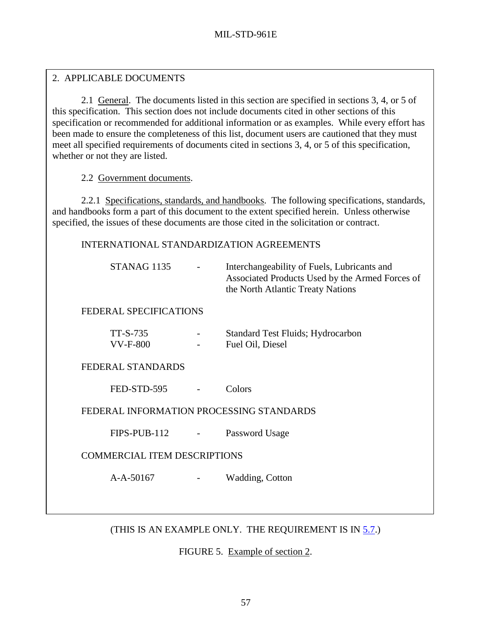# <span id="page-68-0"></span>2. APPLICABLE DOCUMENTS

 2.1 General. The documents listed in this section are specified in sections 3, 4, or 5 of this specification. This section does not include documents cited in other sections of this specification or recommended for additional information or as examples. While every effort has been made to ensure the completeness of this list, document users are cautioned that they must meet all specified requirements of documents cited in sections 3, 4, or 5 of this specification, whether or not they are listed.

2.2 Government documents.

 2.2.1 Specifications, standards, and handbooks. The following specifications, standards, and handbooks form a part of this document to the extent specified herein. Unless otherwise specified, the issues of these documents are those cited in the solicitation or contract.

INTERNATIONAL STANDARDIZATION AGREEMENTS

|                                          | STANAG 1135                 |                          | Interchangeability of Fuels, Lubricants and<br>Associated Products Used by the Armed Forces of<br>the North Atlantic Treaty Nations |
|------------------------------------------|-----------------------------|--------------------------|-------------------------------------------------------------------------------------------------------------------------------------|
|                                          | FEDERAL SPECIFICATIONS      |                          |                                                                                                                                     |
|                                          | TT-S-735<br><b>VV-F-800</b> |                          | <b>Standard Test Fluids</b> ; Hydrocarbon<br>Fuel Oil, Diesel                                                                       |
|                                          | FEDERAL STANDARDS           |                          |                                                                                                                                     |
|                                          | FED-STD-595                 |                          | Colors                                                                                                                              |
| FEDERAL INFORMATION PROCESSING STANDARDS |                             |                          |                                                                                                                                     |
|                                          | FIPS-PUB-112                | $\overline{\phantom{a}}$ | Password Usage                                                                                                                      |
| <b>COMMERCIAL ITEM DESCRIPTIONS</b>      |                             |                          |                                                                                                                                     |
|                                          | $A-A-50167$                 |                          | Wadding, Cotton                                                                                                                     |
|                                          |                             |                          |                                                                                                                                     |
|                                          |                             |                          |                                                                                                                                     |

(THIS IS AN EXAMPLE ONLY. THE REQUIREMENT IS IN [5.7.](#page-40-0))

FIGURE 5. Example of section 2.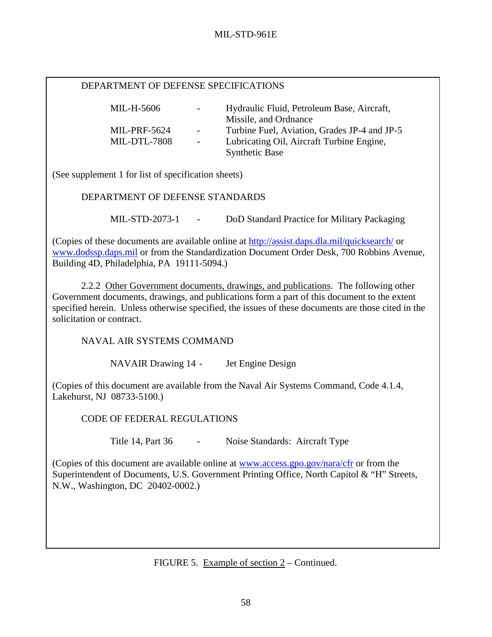## DEPARTMENT OF DEFENSE SPECIFICATIONS

| MIL-H-5606          | $\sim 100$       | Hydraulic Fluid, Petroleum Base, Aircraft,<br>Missile, and Ordnance |
|---------------------|------------------|---------------------------------------------------------------------|
| <b>MIL-PRF-5624</b> | $\sim$ 100 $\mu$ | Turbine Fuel, Aviation, Grades JP-4 and JP-5                        |
| <b>MIL-DTL-7808</b> | $\sim$ 10 $\pm$  | Lubricating Oil, Aircraft Turbine Engine,                           |
|                     |                  | <b>Synthetic Base</b>                                               |

(See supplement 1 for list of specification sheets)

DEPARTMENT OF DEFENSE STANDARDS

MIL-STD-2073-1 - DoD Standard Practice for Military Packaging

(Copies of these documents are available online at [http://assist.daps.dla.mil/quicksearch/ o](http://astimage.daps.dla.mil/quicksearch/)r [www.dodssp.daps.mil](http://www.dodssp.daps.mil/) or from the Standardization Document Order Desk, 700 Robbins Avenue, Building 4D, Philadelphia, PA 19111-5094.)

 2.2.2 Other Government documents, drawings, and publications. The following other Government documents, drawings, and publications form a part of this document to the extent specified herein. Unless otherwise specified, the issues of these documents are those cited in the solicitation or contract.

NAVAL AIR SYSTEMS COMMAND

NAVAIR Drawing 14 - Jet Engine Design

(Copies of this document are available from the Naval Air Systems Command, Code 4.1.4, Lakehurst, NJ 08733-5100.)

CODE OF FEDERAL REGULATIONS

Title 14, Part 36 - Noise Standards: Aircraft Type

(Copies of this document are available online at [www.access.gpo.gov/nara/cfr](http://www.access.gpo.gov/nara/cfr) or from the Superintendent of Documents, U.S. Government Printing Office, North Capitol & "H" Streets, N.W., Washington, DC 20402-0002.)

FIGURE 5. Example of section 2 – Continued.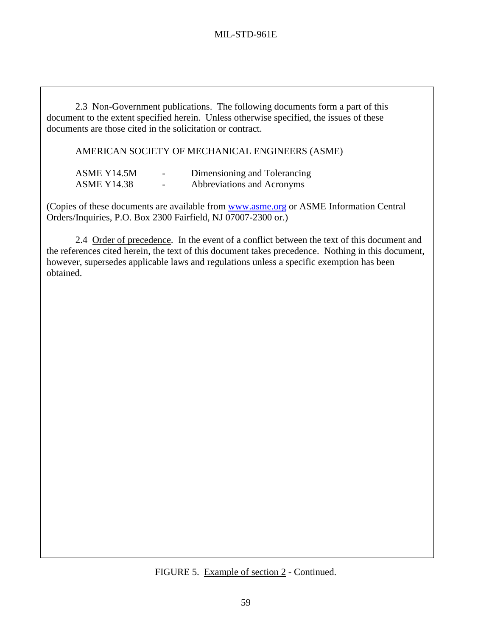2.3 Non-Government publications. The following documents form a part of this document to the extent specified herein. Unless otherwise specified, the issues of these documents are those cited in the solicitation or contract.

AMERICAN SOCIETY OF MECHANICAL ENGINEERS (ASME)

| ASME Y14.5M        | $\overline{\phantom{0}}$ | Dimensioning and Tolerancing |
|--------------------|--------------------------|------------------------------|
| <b>ASME Y14.38</b> | $\overline{\phantom{0}}$ | Abbreviations and Acronyms   |

(Copies of these documents are available from [www.asme.org](http://www.asme.org/) or ASME Information Central Orders/Inquiries, P.O. Box 2300 Fairfield, NJ 07007-2300 or.)

 2.4 Order of precedence. In the event of a conflict between the text of this document and the references cited herein, the text of this document takes precedence. Nothing in this document, however, supersedes applicable laws and regulations unless a specific exemption has been obtained.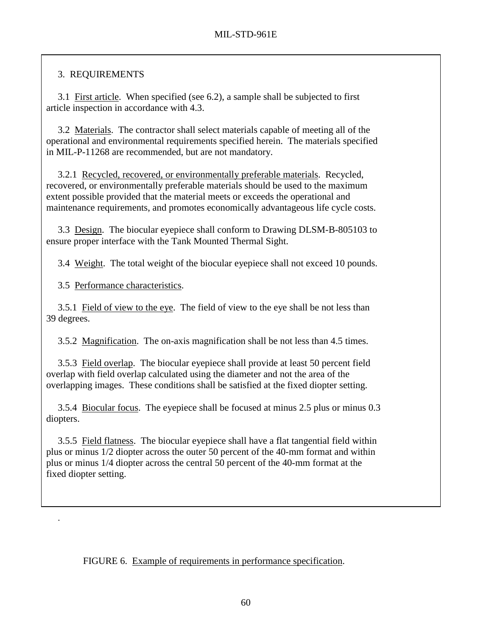# <span id="page-71-0"></span>3. REQUIREMENTS

 3.1 First article. When specified (see 6.2), a sample shall be subjected to first article inspection in accordance with 4.3.

 3.2 Materials. The contractor shall select materials capable of meeting all of the operational and environmental requirements specified herein. The materials specified in MIL-P-11268 are recommended, but are not mandatory.

 3.2.1 Recycled, recovered, or environmentally preferable materials. Recycled, recovered, or environmentally preferable materials should be used to the maximum extent possible provided that the material meets or exceeds the operational and maintenance requirements, and promotes economically advantageous life cycle costs.

 3.3 Design. The biocular eyepiece shall conform to Drawing DLSM-B-805103 to ensure proper interface with the Tank Mounted Thermal Sight.

3.4 Weight. The total weight of the biocular eyepiece shall not exceed 10 pounds.

3.5 Performance characteristics.

.

 3.5.1 Field of view to the eye. The field of view to the eye shall be not less than 39 degrees.

3.5.2 Magnification. The on-axis magnification shall be not less than 4.5 times.

 3.5.3 Field overlap. The biocular eyepiece shall provide at least 50 percent field overlap with field overlap calculated using the diameter and not the area of the overlapping images. These conditions shall be satisfied at the fixed diopter setting.

 3.5.4 Biocular focus. The eyepiece shall be focused at minus 2.5 plus or minus 0.3 diopters.

 3.5.5 Field flatness. The biocular eyepiece shall have a flat tangential field within plus or minus 1/2 diopter across the outer 50 percent of the 40-mm format and within plus or minus 1/4 diopter across the central 50 percent of the 40-mm format at the fixed diopter setting.

FIGURE 6. Example of requirements in performance specification.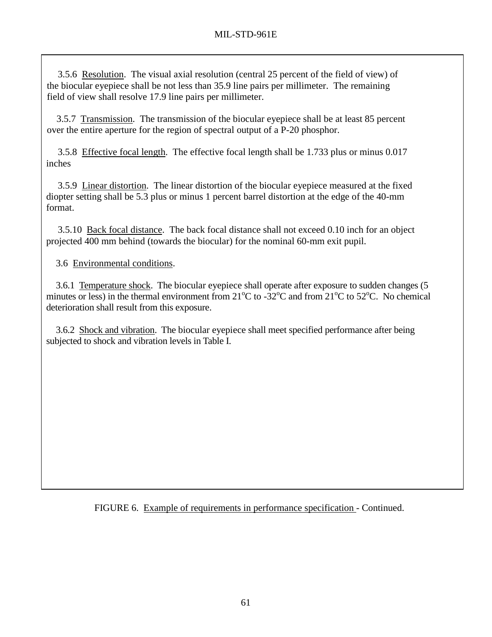3.5.6 Resolution. The visual axial resolution (central 25 percent of the field of view) of the biocular eyepiece shall be not less than 35.9 line pairs per millimeter. The remaining field of view shall resolve 17.9 line pairs per millimeter.

 3.5.7 Transmission. The transmission of the biocular eyepiece shall be at least 85 percent over the entire aperture for the region of spectral output of a P-20 phosphor.

 3.5.8 Effective focal length. The effective focal length shall be 1.733 plus or minus 0.017 inches

 3.5.9 Linear distortion. The linear distortion of the biocular eyepiece measured at the fixed diopter setting shall be 5.3 plus or minus 1 percent barrel distortion at the edge of the 40-mm format.

 3.5.10 Back focal distance. The back focal distance shall not exceed 0.10 inch for an object projected 400 mm behind (towards the biocular) for the nominal 60-mm exit pupil.

3.6 Environmental conditions.

 3.6.1 Temperature shock. The biocular eyepiece shall operate after exposure to sudden changes (5 minutes or less) in the thermal environment from  $21^{\circ}$ C to  $-32^{\circ}$ C and from  $21^{\circ}$ C to  $52^{\circ}$ C. No chemical deterioration shall result from this exposure.

 3.6.2 Shock and vibration. The biocular eyepiece shall meet specified performance after being subjected to shock and vibration levels in Table I.

FIGURE 6. Example of requirements in performance specification - Continued.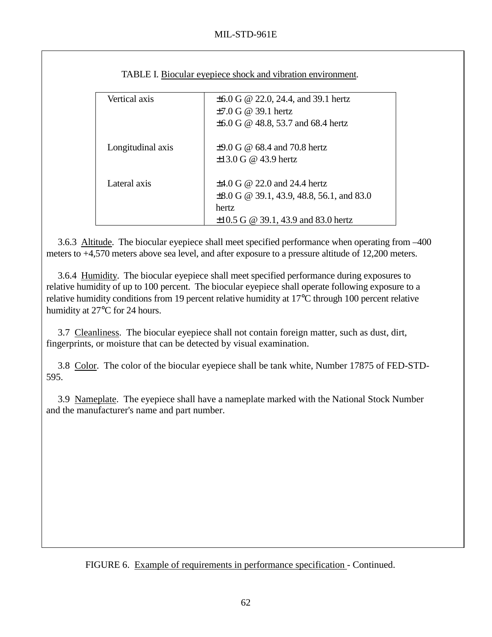| Vertical axis     | $\pm 6.0$ G @ 22.0, 24.4, and 39.1 hertz       |
|-------------------|------------------------------------------------|
|                   | $\pm 7.0$ G @ 39.1 hertz                       |
|                   | $\pm 6.0$ G @ 48.8, 53.7 and 68.4 hertz        |
|                   |                                                |
| Longitudinal axis | $\pm$ 9.0 G @ 68.4 and 70.8 hertz              |
|                   | $\pm 13.0$ G @ 43.9 hertz                      |
|                   |                                                |
| Lateral axis      | $\pm 4.0$ G @ 22.0 and 24.4 hertz              |
|                   | $\pm 8.0$ G @ 39.1, 43.9, 48.8, 56.1, and 83.0 |
|                   | hertz                                          |
|                   | $\pm 10.5$ G @ 39.1, 43.9 and 83.0 hertz       |

TABLE I. Biocular eyepiece shock and vibration environment.

3.6.3 Altitude. The biocular eyepiece shall meet specified performance when operating from –400 meters to +4,570 meters above sea level, and after exposure to a pressure altitude of 12,200 meters.

3.6.4 Humidity. The biocular eyepiece shall meet specified performance during exposures to relative humidity of up to 100 percent. The biocular eyepiece shall operate following exposure to a relative humidity conditions from 19 percent relative humidity at 17°C through 100 percent relative humidity at 27°C for 24 hours.

 3.7 Cleanliness. The biocular eyepiece shall not contain foreign matter, such as dust, dirt, fingerprints, or moisture that can be detected by visual examination.

 3.8 Color. The color of the biocular eyepiece shall be tank white, Number 17875 of FED-STD-595.

 3.9 Nameplate. The eyepiece shall have a nameplate marked with the National Stock Number and the manufacturer's name and part number.

FIGURE 6. Example of requirements in performance specification - Continued.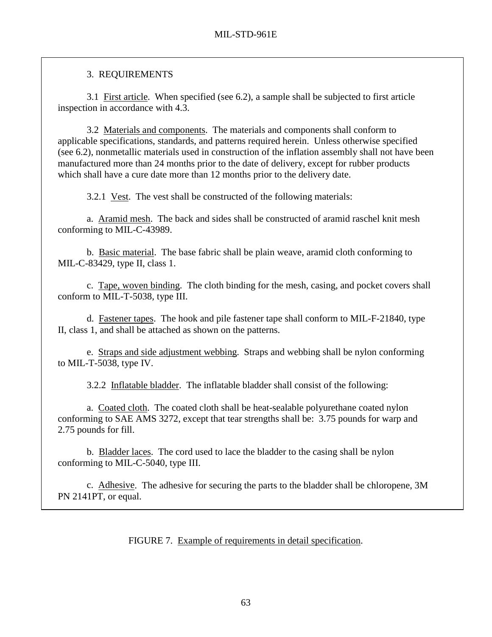## 3. REQUIREMENTS

 3.1 First article. When specified (see 6.2), a sample shall be subjected to first article inspection in accordance with 4.3.

 3.2 Materials and components. The materials and components shall conform to applicable specifications, standards, and patterns required herein. Unless otherwise specified (see 6.2), nonmetallic materials used in construction of the inflation assembly shall not have been manufactured more than 24 months prior to the date of delivery, except for rubber products which shall have a cure date more than 12 months prior to the delivery date.

3.2.1 Vest. The vest shall be constructed of the following materials:

 a. Aramid mesh. The back and sides shall be constructed of aramid raschel knit mesh conforming to MIL-C-43989.

 b. Basic material. The base fabric shall be plain weave, aramid cloth conforming to MIL-C-83429, type II, class 1.

 c. Tape, woven binding. The cloth binding for the mesh, casing, and pocket covers shall conform to MIL-T-5038, type III.

 d. Fastener tapes. The hook and pile fastener tape shall conform to MIL-F-21840, type II, class 1, and shall be attached as shown on the patterns.

 e. Straps and side adjustment webbing. Straps and webbing shall be nylon conforming to MIL-T-5038, type IV.

3.2.2 Inflatable bladder. The inflatable bladder shall consist of the following:

 a. Coated cloth. The coated cloth shall be heat-sealable polyurethane coated nylon conforming to SAE AMS 3272, except that tear strengths shall be: 3.75 pounds for warp and 2.75 pounds for fill.

 b. Bladder laces. The cord used to lace the bladder to the casing shall be nylon conforming to MIL-C-5040, type III.

 c. Adhesive. The adhesive for securing the parts to the bladder shall be chloropene, 3M PN 2141PT, or equal.

FIGURE 7. Example of requirements in detail specification.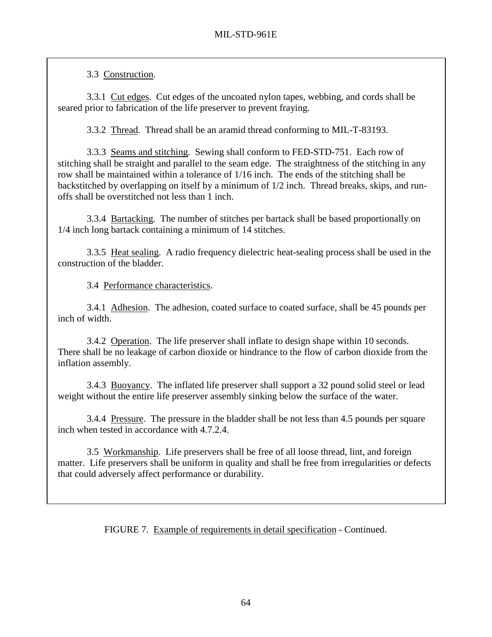3.3 Construction.

 3.3.1 Cut edges. Cut edges of the uncoated nylon tapes, webbing, and cords shall be seared prior to fabrication of the life preserver to prevent fraying.

3.3.2 Thread. Thread shall be an aramid thread conforming to MIL-T-83193.

 3.3.3 Seams and stitching. Sewing shall conform to FED-STD-751. Each row of stitching shall be straight and parallel to the seam edge. The straightness of the stitching in any row shall be maintained within a tolerance of 1/16 inch. The ends of the stitching shall be backstitched by overlapping on itself by a minimum of 1/2 inch. Thread breaks, skips, and runoffs shall be overstitched not less than 1 inch.

 3.3.4 Bartacking. The number of stitches per bartack shall be based proportionally on 1/4 inch long bartack containing a minimum of 14 stitches.

 3.3.5 Heat sealing. A radio frequency dielectric heat-sealing process shall be used in the construction of the bladder.

3.4 Performance characteristics.

 3.4.1 Adhesion. The adhesion, coated surface to coated surface, shall be 45 pounds per inch of width.

 3.4.2 Operation. The life preserver shall inflate to design shape within 10 seconds. There shall be no leakage of carbon dioxide or hindrance to the flow of carbon dioxide from the inflation assembly.

 3.4.3 Buoyancy. The inflated life preserver shall support a 32 pound solid steel or lead weight without the entire life preserver assembly sinking below the surface of the water.

 3.4.4 Pressure. The pressure in the bladder shall be not less than 4.5 pounds per square inch when tested in accordance with 4.7.2.4.

 3.5 Workmanship. Life preservers shall be free of all loose thread, lint, and foreign matter. Life preservers shall be uniform in quality and shall be free from irregularities or defects that could adversely affect performance or durability.

FIGURE 7. Example of requirements in detail specification - Continued.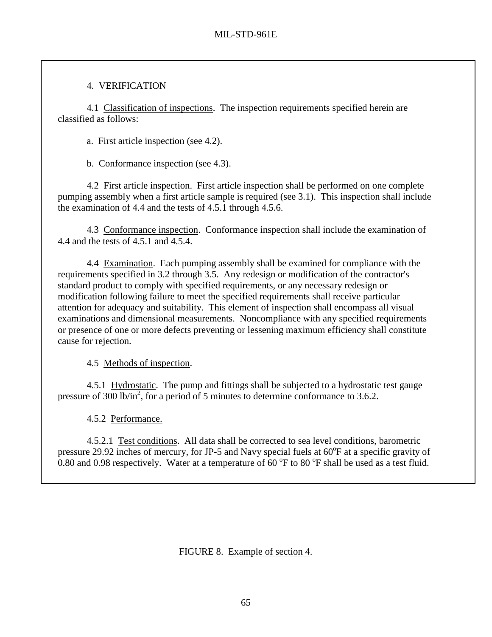## 4. VERIFICATION

 4.1 Classification of inspections. The inspection requirements specified herein are classified as follows:

a. First article inspection (see 4.2).

b. Conformance inspection (see 4.3).

 4.2 First article inspection. First article inspection shall be performed on one complete pumping assembly when a first article sample is required (see 3.1). This inspection shall include the examination of 4.4 and the tests of 4.5.1 through 4.5.6.

 4.3 Conformance inspection. Conformance inspection shall include the examination of 4.4 and the tests of 4.5.1 and 4.5.4.

 4.4 Examination. Each pumping assembly shall be examined for compliance with the requirements specified in 3.2 through 3.5. Any redesign or modification of the contractor's standard product to comply with specified requirements, or any necessary redesign or modification following failure to meet the specified requirements shall receive particular attention for adequacy and suitability. This element of inspection shall encompass all visual examinations and dimensional measurements. Noncompliance with any specified requirements or presence of one or more defects preventing or lessening maximum efficiency shall constitute cause for rejection.

4.5 Methods of inspection.

 4.5.1 Hydrostatic. The pump and fittings shall be subjected to a hydrostatic test gauge pressure of 300 lb/in<sup>2</sup>, for a period of 5 minutes to determine conformance to 3.6.2.

4.5.2 Performance.

 4.5.2.1 Test conditions. All data shall be corrected to sea level conditions, barometric pressure 29.92 inches of mercury, for JP-5 and Navy special fuels at 60°F at a specific gravity of 0.80 and 0.98 respectively. Water at a temperature of  $60^{\circ}$ F to 80  $^{\circ}$ F shall be used as a test fluid.

FIGURE 8. Example of section 4.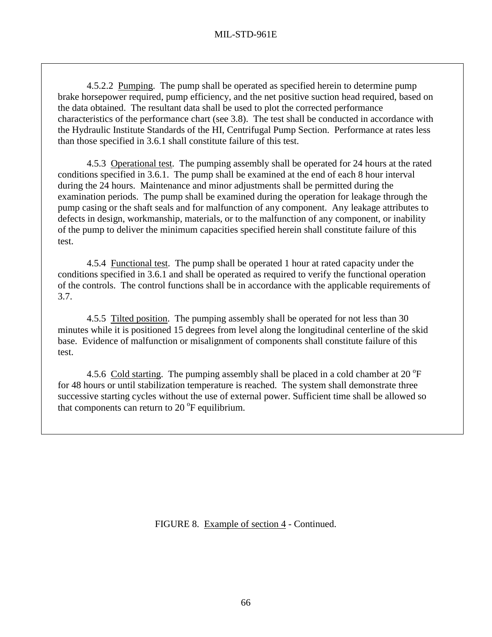4.5.2.2 Pumping. The pump shall be operated as specified herein to determine pump brake horsepower required, pump efficiency, and the net positive suction head required, based on the data obtained. The resultant data shall be used to plot the corrected performance characteristics of the performance chart (see 3.8). The test shall be conducted in accordance with the Hydraulic Institute Standards of the HI, Centrifugal Pump Section. Performance at rates less than those specified in 3.6.1 shall constitute failure of this test.

4.5.3 Operational test. The pumping assembly shall be operated for 24 hours at the rated conditions specified in 3.6.1. The pump shall be examined at the end of each 8 hour interval during the 24 hours. Maintenance and minor adjustments shall be permitted during the examination periods. The pump shall be examined during the operation for leakage through the pump casing or the shaft seals and for malfunction of any component. Any leakage attributes to defects in design, workmanship, materials, or to the malfunction of any component, or inability of the pump to deliver the minimum capacities specified herein shall constitute failure of this test.

 4.5.4 Functional test. The pump shall be operated 1 hour at rated capacity under the conditions specified in 3.6.1 and shall be operated as required to verify the functional operation of the controls. The control functions shall be in accordance with the applicable requirements of 3.7.

 4.5.5 Tilted position. The pumping assembly shall be operated for not less than 30 minutes while it is positioned 15 degrees from level along the longitudinal centerline of the skid base. Evidence of malfunction or misalignment of components shall constitute failure of this test.

4.5.6 Cold starting. The pumping assembly shall be placed in a cold chamber at 20  $\mathrm{^{\circ}F}$ for 48 hours or until stabilization temperature is reached. The system shall demonstrate three successive starting cycles without the use of external power. Sufficient time shall be allowed so that components can return to 20 $^{\circ}$ F equilibrium.

FIGURE 8. Example of section 4 - Continued.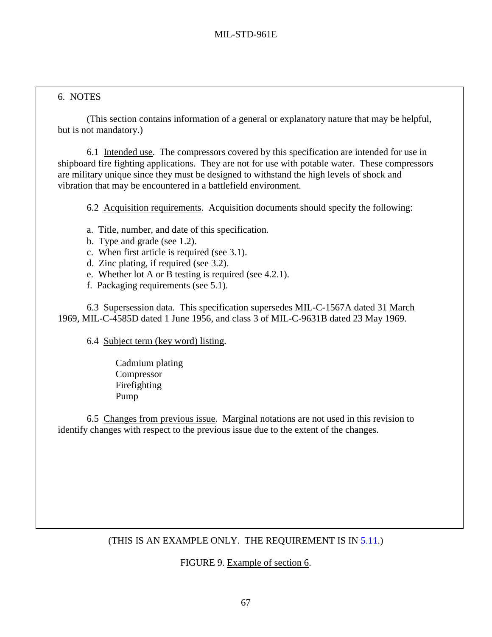#### 6. NOTES

l

 (This section contains information of a general or explanatory nature that may be helpful, but is not mandatory.)

 6.1 Intended use. The compressors covered by this specification are intended for use in shipboard fire fighting applications. They are not for use with potable water. These compressors are military unique since they must be designed to withstand the high levels of shock and vibration that may be encountered in a battlefield environment.

6.2 Acquisition requirements. Acquisition documents should specify the following:

- a. Title, number, and date of this specification.
- b. Type and grade (see 1.2).
- c. When first article is required (see 3.1).
- d. Zinc plating, if required (see 3.2).
- e. Whether lot A or B testing is required (see 4.2.1).
- f. Packaging requirements (see 5.1).

 6.3 Supersession data. This specification supersedes MIL-C-1567A dated 31 March 1969, MIL-C-4585D dated 1 June 1956, and class 3 of MIL-C-9631B dated 23 May 1969.

6.4 Subject term (key word) listing.

 Cadmium plating Compressor Firefighting Pump

6.5 Changes from previous issue. Marginal notations are not used in this revision to identify changes with respect to the previous issue due to the extent of the changes.

## (THIS IS AN EXAMPLE ONLY. THE REQUIREMENT IS IN [5.11.](#page-48-0))

FIGURE 9. Example of section 6.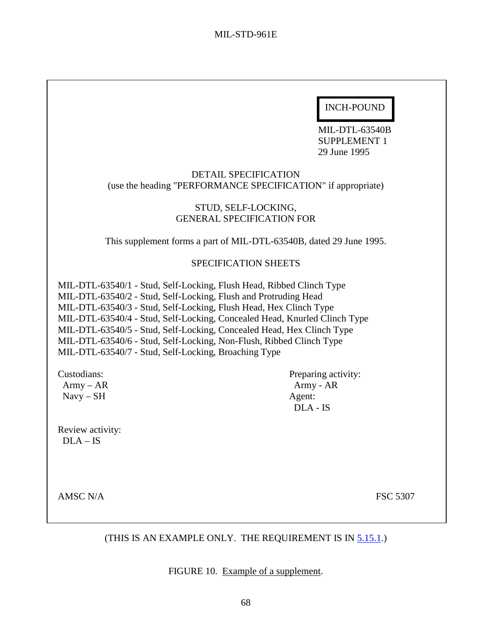# INCH-POUND

 MIL-DTL-63540B SUPPLEMENT 1 29 June 1995

## DETAIL SPECIFICATION (use the heading "PERFORMANCE SPECIFICATION" if appropriate)

#### STUD, SELF-LOCKING, GENERAL SPECIFICATION FOR

This supplement forms a part of MIL-DTL-63540B, dated 29 June 1995.

#### SPECIFICATION SHEETS

MIL-DTL-63540/1 - Stud, Self-Locking, Flush Head, Ribbed Clinch Type MIL-DTL-63540/2 - Stud, Self-Locking, Flush and Protruding Head MIL-DTL-63540/3 - Stud, Self-Locking, Flush Head, Hex Clinch Type MIL-DTL-63540/4 - Stud, Self-Locking, Concealed Head, Knurled Clinch Type MIL-DTL-63540/5 - Stud, Self-Locking, Concealed Head, Hex Clinch Type MIL-DTL-63540/6 - Stud, Self-Locking, Non-Flush, Ribbed Clinch Type MIL-DTL-63540/7 - Stud, Self-Locking, Broaching Type

Navy – SH Agent:

Review activity:  $DLA - IS$ 

Custodians: Preparing activity:  $A<sub>rmy</sub> - AR$   $A<sub>R</sub>$ DLA - IS

AMSC N/A FSC 5307

## (THIS IS AN EXAMPLE ONLY. THE REQUIREMENT IS IN [5.15.1.](#page-55-0))

FIGURE 10. Example of a supplement.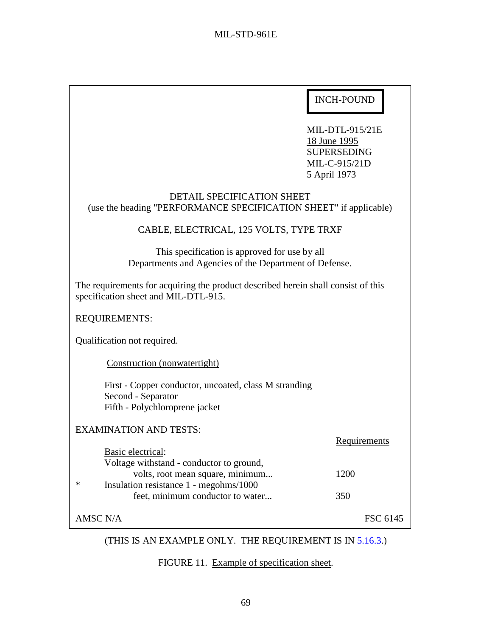MIL-DTL-915/21E 18 June 1995 SUPERSEDING MIL-C-915/21D 5 April 1973

| <b>DETAIL SPECIFICATION SHEET</b><br>(use the heading "PERFORMANCE SPECIFICATION SHEET" if applicable)<br>CABLE, ELECTRICAL, 125 VOLTS, TYPE TRXF |              |  |  |
|---------------------------------------------------------------------------------------------------------------------------------------------------|--------------|--|--|
| This specification is approved for use by all<br>Departments and Agencies of the Department of Defense.                                           |              |  |  |
| The requirements for acquiring the product described herein shall consist of this<br>specification sheet and MIL-DTL-915.                         |              |  |  |
| <b>REQUIREMENTS:</b>                                                                                                                              |              |  |  |
| Qualification not required.                                                                                                                       |              |  |  |
| Construction (nonwatertight)                                                                                                                      |              |  |  |
| First - Copper conductor, uncoated, class M stranding<br>Second - Separator<br>Fifth - Polychloroprene jacket                                     |              |  |  |
| <b>EXAMINATION AND TESTS:</b>                                                                                                                     | Requirements |  |  |
| Basic electrical:<br>Voltage withstand - conductor to ground,                                                                                     |              |  |  |
| volts, root mean square, minimum<br>∗                                                                                                             | 1200         |  |  |
| Insulation resistance 1 - megohms/1000<br>feet, minimum conductor to water                                                                        | 350          |  |  |
| <b>AMSC N/A</b>                                                                                                                                   | FSC 6145     |  |  |

# (THIS IS AN EXAMPLE ONLY. THE REQUIREMENT IS IN [5.16.3.](#page-56-0))

FIGURE 11. Example of specification sheet.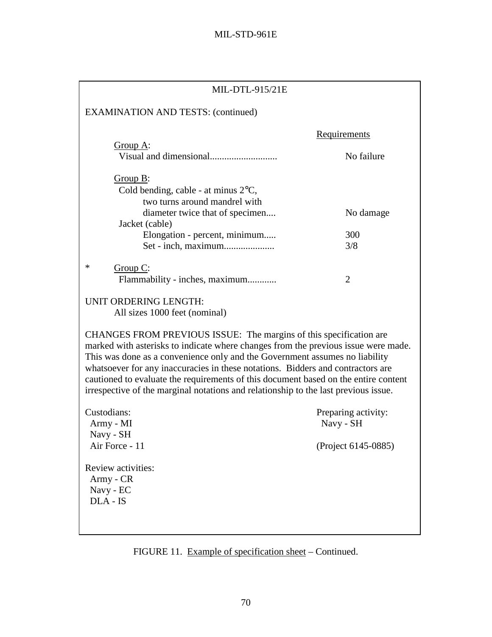| MIL-DTL-915/21E                                                                                                                                                                                                                                                                                                                                                                                                                                                                                          |                                  |  |  |  |
|----------------------------------------------------------------------------------------------------------------------------------------------------------------------------------------------------------------------------------------------------------------------------------------------------------------------------------------------------------------------------------------------------------------------------------------------------------------------------------------------------------|----------------------------------|--|--|--|
| <b>EXAMINATION AND TESTS: (continued)</b>                                                                                                                                                                                                                                                                                                                                                                                                                                                                |                                  |  |  |  |
| Requirements                                                                                                                                                                                                                                                                                                                                                                                                                                                                                             |                                  |  |  |  |
| Group A:                                                                                                                                                                                                                                                                                                                                                                                                                                                                                                 | No failure                       |  |  |  |
| Group B:<br>Cold bending, cable - at minus $2^{\circ}C$ ,<br>two turns around mandrel with                                                                                                                                                                                                                                                                                                                                                                                                               |                                  |  |  |  |
| diameter twice that of specimen<br>Jacket (cable)                                                                                                                                                                                                                                                                                                                                                                                                                                                        | No damage                        |  |  |  |
| Elongation - percent, minimum                                                                                                                                                                                                                                                                                                                                                                                                                                                                            | 300<br>3/8                       |  |  |  |
| ∗<br>Group C:<br>Flammability - inches, maximum                                                                                                                                                                                                                                                                                                                                                                                                                                                          | $\overline{2}$                   |  |  |  |
| UNIT ORDERING LENGTH:<br>All sizes 1000 feet (nominal)                                                                                                                                                                                                                                                                                                                                                                                                                                                   |                                  |  |  |  |
| CHANGES FROM PREVIOUS ISSUE: The margins of this specification are<br>marked with asterisks to indicate where changes from the previous issue were made.<br>This was done as a convenience only and the Government assumes no liability<br>whatsoever for any inaccuracies in these notations. Bidders and contractors are<br>cautioned to evaluate the requirements of this document based on the entire content<br>irrespective of the marginal notations and relationship to the last previous issue. |                                  |  |  |  |
| Custodians:<br>Army - MI<br>Navy - SH                                                                                                                                                                                                                                                                                                                                                                                                                                                                    | Preparing activity:<br>Navy - SH |  |  |  |
| Air Force - 11                                                                                                                                                                                                                                                                                                                                                                                                                                                                                           | (Project 6145-0885)              |  |  |  |
| Review activities:<br>Army - CR<br>Navy - EC<br>DLA - IS                                                                                                                                                                                                                                                                                                                                                                                                                                                 |                                  |  |  |  |

FIGURE 11. Example of specification sheet – Continued.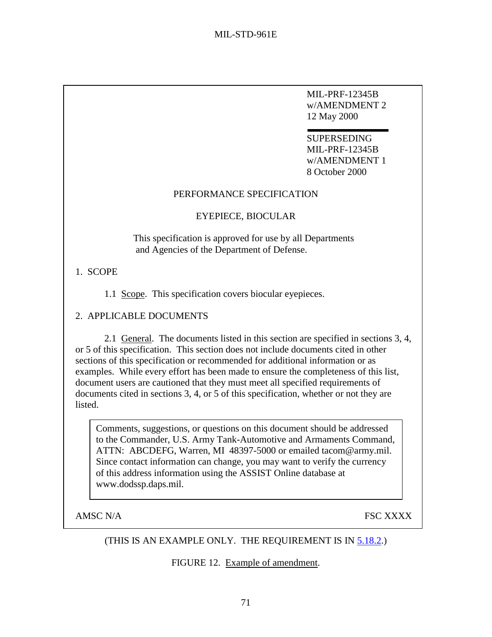MIL-PRF-12345B w/AMENDMENT 2 12 May 2000

**SUPERSEDING** MIL-PRF-12345B w/AMENDMENT 1 8 October 2000

#### PERFORMANCE SPECIFICATION

#### EYEPIECE, BIOCULAR

This specification is approved for use by all Departments and Agencies of the Department of Defense.

## 1. SCOPE

1.1 Scope. This specification covers biocular eyepieces.

## 2. APPLICABLE DOCUMENTS

2.1 General. The documents listed in this section are specified in sections 3, 4, or 5 of this specification. This section does not include documents cited in other sections of this specification or recommended for additional information or as examples. While every effort has been made to ensure the completeness of this list, document users are cautioned that they must meet all specified requirements of documents cited in sections 3, 4, or 5 of this specification, whether or not they are listed.

Comments, suggestions, or questions on this document should be addressed to the Commander, U.S. Army Tank-Automotive and Armaments Command, ATTN: ABCDEFG, Warren, MI 48397-5000 or emailed tacom@army.mil. Since contact information can change, you may want to verify the currency of this address information using the ASSIST Online database at www.dodssp.daps.mil.

AMSC N/A FSC XXXX

## (THIS IS AN EXAMPLE ONLY. THE REQUIREMENT IS IN [5.18.2.](#page-58-0))

FIGURE 12. Example of amendment.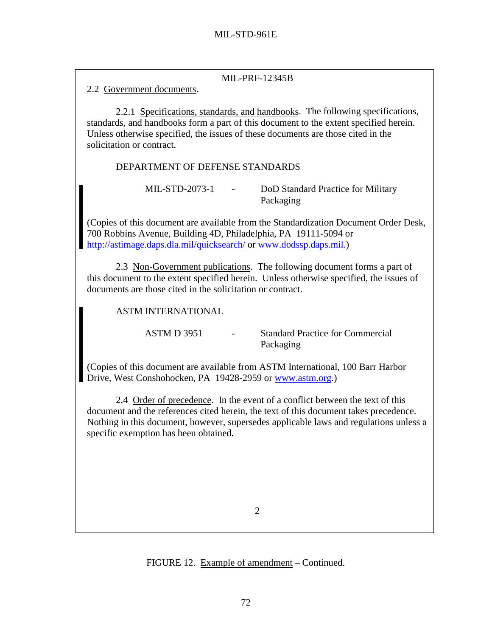## MIL-PRF-12345B

2.2 Government documents.

 2.2.1 Specifications, standards, and handbooks. The following specifications, standards, and handbooks form a part of this document to the extent specified herein. Unless otherwise specified, the issues of these documents are those cited in the solicitation or contract.

DEPARTMENT OF DEFENSE STANDARDS

MIL-STD-2073-1 - DoD Standard Practice for Military Packaging

(Copies of this document are available from the Standardization Document Order Desk, 700 Robbins Avenue, Building 4D, Philadelphia, PA 19111-5094 or <http://astimage.daps.dla.mil/quicksearch/>or [www.dodssp.daps.mil.](http://www.dodssp.daps.mil/))

2.3 Non-Government publications. The following document forms a part of this document to the extent specified herein. Unless otherwise specified, the issues of documents are those cited in the solicitation or contract.

ASTM INTERNATIONAL

ASTM D 3951 - Standard Practice for Commercial Packaging

(Copies of this document are available from ASTM International, 100 Barr Harbor Drive, West Conshohocken, PA 19428-2959 or [www.astm.org.](http://www.astm.org/))

2.4 Order of precedence. In the event of a conflict between the text of this document and the references cited herein, the text of this document takes precedence. Nothing in this document, however, supersedes applicable laws and regulations unless a specific exemption has been obtained.

2

FIGURE 12. Example of amendment – Continued.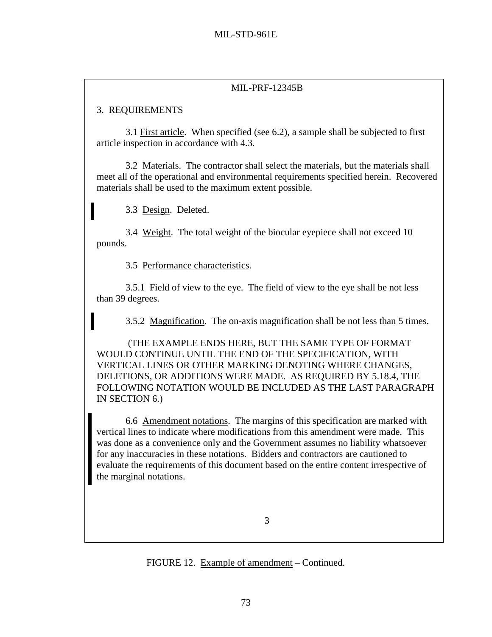# MIL-PRF-12345B

# 3. REQUIREMENTS

 3.1 First article. When specified (see 6.2), a sample shall be subjected to first article inspection in accordance with 4.3.

 3.2 Materials. The contractor shall select the materials, but the materials shall meet all of the operational and environmental requirements specified herein. Recovered materials shall be used to the maximum extent possible.

3.3 Design. Deleted.

3.4 Weight. The total weight of the biocular eyepiece shall not exceed 10 pounds.

3.5 Performance characteristics.

 3.5.1 Field of view to the eye. The field of view to the eye shall be not less than 39 degrees.

3.5.2 Magnification. The on-axis magnification shall be not less than 5 times.

 (THE EXAMPLE ENDS HERE, BUT THE SAME TYPE OF FORMAT WOULD CONTINUE UNTIL THE END OF THE SPECIFICATION, WITH VERTICAL LINES OR OTHER MARKING DENOTING WHERE CHANGES, DELETIONS, OR ADDITIONS WERE MADE. AS REQUIRED BY 5.18.4, THE FOLLOWING NOTATION WOULD BE INCLUDED AS THE LAST PARAGRAPH IN SECTION 6.)

 6.6 Amendment notations. The margins of this specification are marked with vertical lines to indicate where modifications from this amendment were made. This was done as a convenience only and the Government assumes no liability whatsoever for any inaccuracies in these notations. Bidders and contractors are cautioned to evaluate the requirements of this document based on the entire content irrespective of the marginal notations.

FIGURE 12. Example of amendment – Continued.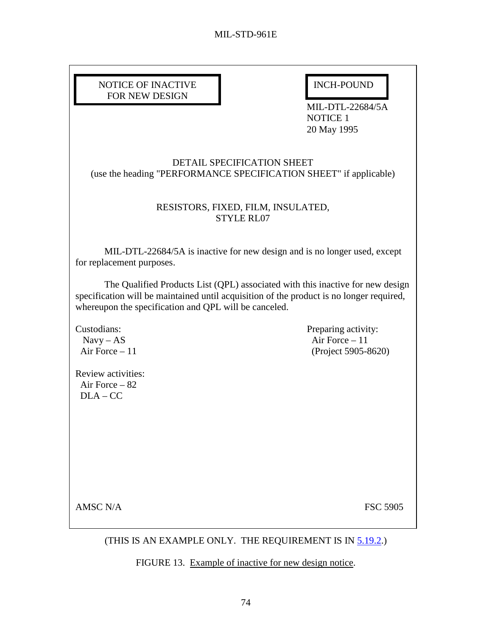| NOTICE OF INACTIVE |  |
|--------------------|--|
| FOR NEW DESIGN     |  |

INCH-POUND

MIL-DTL-22684/5A NOTICE 1 20 May 1995

DETAIL SPECIFICATION SHEET (use the heading "PERFORMANCE SPECIFICATION SHEET" if applicable)

## RESISTORS, FIXED, FILM, INSULATED, STYLE RL07

 MIL-DTL-22684/5A is inactive for new design and is no longer used, except for replacement purposes.

 The Qualified Products List (QPL) associated with this inactive for new design specification will be maintained until acquisition of the product is no longer required, whereupon the specification and QPL will be canceled.

Review activities: Air Force – 82  $DI.A - CC$ 

Custodians: Preparing activity:  $Navy - AS$  Air Force – 11 Air Force – 11 (Project 5905-8620)

AMSC N/A FSC 5905

## (THIS IS AN EXAMPLE ONLY. THE REQUIREMENT IS IN [5.19.2.](#page-60-0))

FIGURE 13. Example of inactive for new design notice.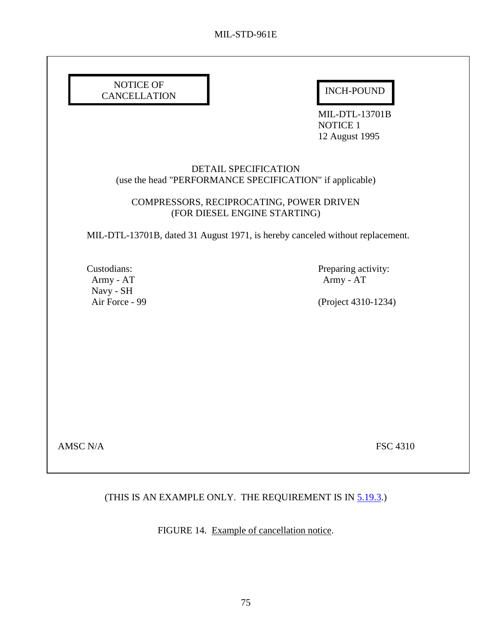| NOTICE OF<br><b>CANCELLATION</b>      | <b>INCH-POUND</b><br><b>MIL-DTL-13701B</b><br><b>NOTICE 1</b><br>12 August 1995  |
|---------------------------------------|----------------------------------------------------------------------------------|
|                                       | DETAIL SPECIFICATION<br>(use the head "PERFORMANCE SPECIFICATION" if applicable) |
|                                       | COMPRESSORS, RECIPROCATING, POWER DRIVEN<br>(FOR DIESEL ENGINE STARTING)         |
|                                       | MIL-DTL-13701B, dated 31 August 1971, is hereby canceled without replacement.    |
| Custodians:<br>Army - AT<br>Navy - SH | Preparing activity:<br>Army - AT                                                 |
| Air Force - 99                        | (Project 4310-1234)                                                              |
|                                       |                                                                                  |
|                                       |                                                                                  |
|                                       |                                                                                  |
|                                       |                                                                                  |
| <b>AMSC N/A</b>                       | <b>FSC 4310</b>                                                                  |

# (THIS IS AN EXAMPLE ONLY. THE REQUIREMENT IS IN  $5.19.3$ .)

FIGURE 14. Example of cancellation notice.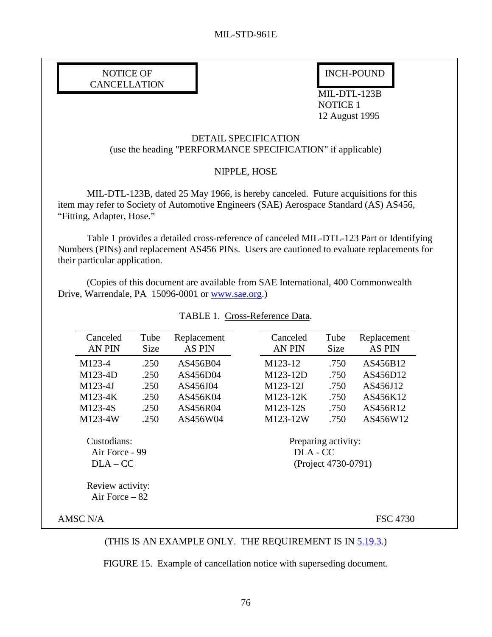# NOTICE OF INCH-POUND **CANCELLATION**

I

 MIL-DTL-123B NOTICE 1 12 August 1995

#### DETAIL SPECIFICATION (use the heading "PERFORMANCE SPECIFICATION" if applicable)

#### NIPPLE, HOSE

 MIL-DTL-123B, dated 25 May 1966, is hereby canceled. Future acquisitions for this item may refer to Society of Automotive Engineers (SAE) Aerospace Standard (AS) AS456, "Fitting, Adapter, Hose."

Table 1 provides a detailed cross-reference of canceled MIL-DTL-123 Part or Identifying Numbers (PINs) and replacement AS456 PINs. Users are cautioned to evaluate replacements for their particular application.

 (Copies of this document are available from SAE International, 400 Commonwealth Drive, Warrendale, PA 15096-0001 or [www.sae.org.](http://www.sae.org/))

|                               | Canceled                            | Tube                            | Replacement   | Canceled      | Tube | Replacement     |
|-------------------------------|-------------------------------------|---------------------------------|---------------|---------------|------|-----------------|
|                               | <b>AN PIN</b>                       | Size                            | <b>AS PIN</b> | <b>AN PIN</b> | Size | <b>AS PIN</b>   |
|                               | M123-4                              | .250                            | AS456B04      | M123-12       | .750 | AS456B12        |
|                               | M123-4D                             | .250                            | AS456D04      | M123-12D      | .750 | AS456D12        |
|                               | $M123-4J$                           | .250                            | AS456J04      | M123-12J      | .750 | AS456J12        |
|                               | M123-4K                             | .250                            | AS456K04      | M123-12K      | .750 | AS456K12        |
|                               | M123-4S                             | .250                            | AS456R04      | M123-12S      | .750 | AS456R12        |
|                               | M123-4W                             | .250                            | AS456W04      | M123-12W      | .750 | AS456W12        |
| Custodians:<br>Air Force - 99 |                                     | Preparing activity:<br>DLA - CC |               |               |      |                 |
| $DLA-CC$                      |                                     | (Project 4730-0791)             |               |               |      |                 |
|                               | Review activity:<br>Air Force $-82$ |                                 |               |               |      |                 |
|                               | AMSC N/A                            |                                 |               |               |      | <b>FSC 4730</b> |
|                               |                                     |                                 |               |               |      |                 |

TABLE 1. Cross-Reference Data.

(THIS IS AN EXAMPLE ONLY. THE REQUIREMENT IS IN [5.19.3.](#page-60-0))

FIGURE 15. Example of cancellation notice with superseding document.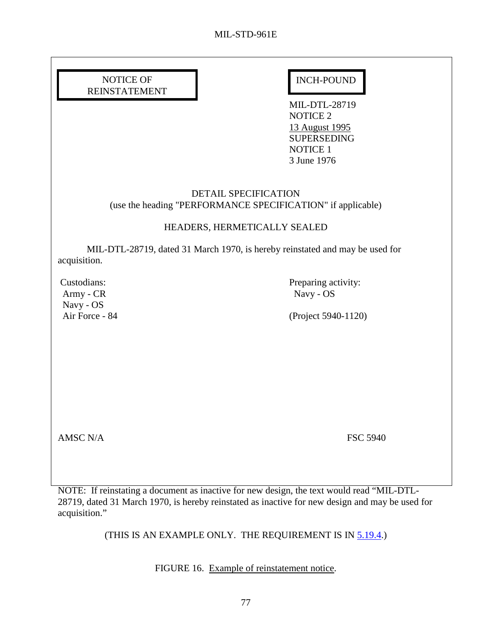## NOTICE OF INCH-POUND REINSTATEMENT

 

 MIL-DTL-28719 NOTICE 2 13 August 1995 **SUPERSEDING**  NOTICE 1 3 June 1976

## DETAIL SPECIFICATION (use the heading "PERFORMANCE SPECIFICATION" if applicable)

## HEADERS, HERMETICALLY SEALED

 MIL-DTL-28719, dated 31 March 1970, is hereby reinstated and may be used for acquisition.

Army - CR Navy - OS Navy - OS

Custodians: Preparing activity:

Air Force - 84 (Project 5940-1120)

AMSC N/A FSC 5940

NOTE: If reinstating a document as inactive for new design, the text would read "MIL-DTL-28719, dated 31 March 1970, is hereby reinstated as inactive for new design and may be used for acquisition."

(THIS IS AN EXAMPLE ONLY. THE REQUIREMENT IS IN [5.19.4.](#page-61-0))

FIGURE 16. Example of reinstatement notice.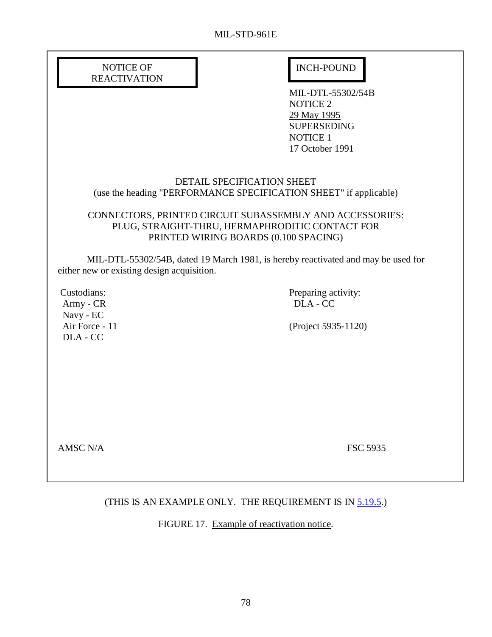| NOTICE OF           |
|---------------------|
| <b>REACTIVATION</b> |

# INCH-POUND

 MIL-DTL-55302/54B NOTICE 2 29 May 1995 SUPERSEDING NOTICE 1 17 October 1991

#### DETAIL SPECIFICATION SHEET (use the heading "PERFORMANCE SPECIFICATION SHEET" if applicable)

## CONNECTORS, PRINTED CIRCUIT SUBASSEMBLY AND ACCESSORIES: PLUG, STRAIGHT-THRU, HERMAPHRODITIC CONTACT FOR PRINTED WIRING BOARDS (0.100 SPACING)

 MIL-DTL-55302/54B, dated 19 March 1981, is hereby reactivated and may be used for either new or existing design acquisition.

Army - CR DLA - CC Navy - EC DLA - CC

Custodians: Preparing activity:

Air Force - 11 (Project 5935-1120)

AMSC N/A FSC 5935

## (THIS IS AN EXAMPLE ONLY. THE REQUIREMENT IS IN [5.19.5.](#page-61-0))

FIGURE 17. Example of reactivation notice.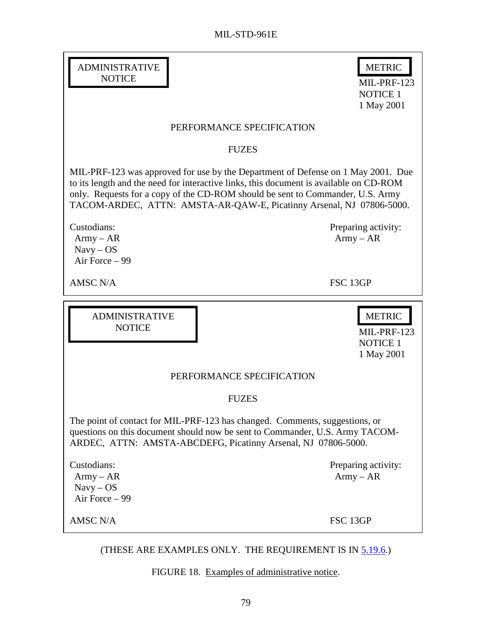$MIL-PRF-123$ 

METRIC

| <b>ADMINISTRATIVE</b> |  |
|-----------------------|--|
| NOTICE                |  |
|                       |  |

Ī

|                                                                                                                                              | <b>NOTICE 1</b><br>1 May 2001                                                                                                                                                                                                                                                                                                        |
|----------------------------------------------------------------------------------------------------------------------------------------------|--------------------------------------------------------------------------------------------------------------------------------------------------------------------------------------------------------------------------------------------------------------------------------------------------------------------------------------|
|                                                                                                                                              | PERFORMANCE SPECIFICATION                                                                                                                                                                                                                                                                                                            |
|                                                                                                                                              | <b>FUZES</b>                                                                                                                                                                                                                                                                                                                         |
|                                                                                                                                              | MIL-PRF-123 was approved for use by the Department of Defense on 1 May 2001. Due<br>to its length and the need for interactive links, this document is available on CD-ROM<br>only. Requests for a copy of the CD-ROM should be sent to Commander, U.S. Army<br>TACOM-ARDEC, ATTN: AMSTA-AR-QAW-E, Picatinny Arsenal, NJ 07806-5000. |
| Custodians:<br>$Army - AR$<br>$Navy - OS$<br>Air Force - 99                                                                                  | Preparing activity:<br>$Army - AR$                                                                                                                                                                                                                                                                                                   |
| <b>AMSC N/A</b>                                                                                                                              | FSC 13GP                                                                                                                                                                                                                                                                                                                             |
| <b>ADMINISTRATIVE</b><br><b>NOTICE</b>                                                                                                       | <b>METRIC</b><br>MIL-PRF-123<br><b>NOTICE 1</b><br>1 May 2001                                                                                                                                                                                                                                                                        |
|                                                                                                                                              | PERFORMANCE SPECIFICATION                                                                                                                                                                                                                                                                                                            |
|                                                                                                                                              | <b>FUZES</b>                                                                                                                                                                                                                                                                                                                         |
| The point of contact for MIL-PRF-123 has changed. Comments, suggestions, or<br>ARDEC, ATTN: AMSTA-ABCDEFG, Picatinny Arsenal, NJ 07806-5000. | questions on this document should now be sent to Commander, U.S. Army TACOM-                                                                                                                                                                                                                                                         |
| Custodians:<br>$Army - AR$<br>$Navy - OS$<br>Air Force - 99                                                                                  | Preparing activity:<br>$Army - AR$                                                                                                                                                                                                                                                                                                   |
| <b>AMSC N/A</b>                                                                                                                              | FSC 13GP                                                                                                                                                                                                                                                                                                                             |
|                                                                                                                                              | (THESE ARE EXAMPLES ONLY. THE REQUIREMENT IS IN 5.19.6.)<br>FIGURE 18. Examples of administrative notice.                                                                                                                                                                                                                            |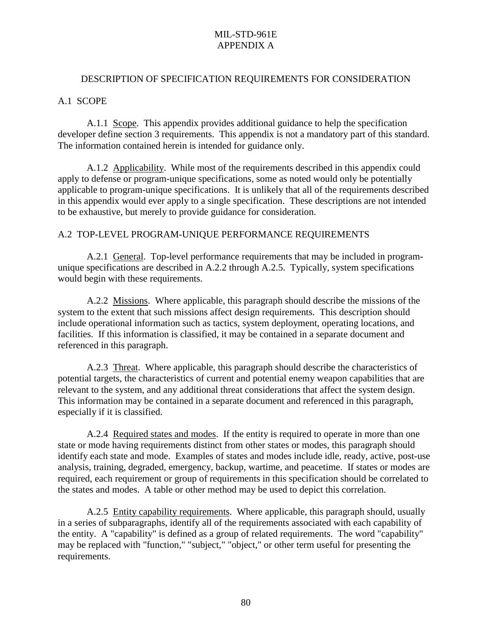#### <span id="page-91-0"></span>DESCRIPTION OF SPECIFICATION REQUIREMENTS FOR CONSIDERATION

#### A.1 SCOPE

A.1.1 Scope. This appendix provides additional guidance to help the specification developer define section 3 requirements. This appendix is not a mandatory part of this standard. The information contained herein is intended for guidance only.

 A.1.2 Applicability. While most of the requirements described in this appendix could apply to defense or program-unique specifications, some as noted would only be potentially applicable to program-unique specifications. It is unlikely that all of the requirements described in this appendix would ever apply to a single specification. These descriptions are not intended to be exhaustive, but merely to provide guidance for consideration.

#### A.2 TOP-LEVEL PROGRAM-UNIQUE PERFORMANCE REQUIREMENTS

 A.2.1 General. Top-level performance requirements that may be included in programunique specifications are described in A.2.2 through A.2.5. Typically, system specifications would begin with these requirements.

 A.2.2 Missions. Where applicable, this paragraph should describe the missions of the system to the extent that such missions affect design requirements. This description should include operational information such as tactics, system deployment, operating locations, and facilities. If this information is classified, it may be contained in a separate document and referenced in this paragraph.

 A.2.3 Threat. Where applicable, this paragraph should describe the characteristics of potential targets, the characteristics of current and potential enemy weapon capabilities that are relevant to the system, and any additional threat considerations that affect the system design. This information may be contained in a separate document and referenced in this paragraph, especially if it is classified.

 A.2.4 Required states and modes. If the entity is required to operate in more than one state or mode having requirements distinct from other states or modes, this paragraph should identify each state and mode. Examples of states and modes include idle, ready, active, post-use analysis, training, degraded, emergency, backup, wartime, and peacetime. If states or modes are required, each requirement or group of requirements in this specification should be correlated to the states and modes. A table or other method may be used to depict this correlation.

 A.2.5 Entity capability requirements. Where applicable, this paragraph should, usually in a series of subparagraphs, identify all of the requirements associated with each capability of the entity. A "capability" is defined as a group of related requirements. The word "capability" may be replaced with "function," "subject," "object," or other term useful for presenting the requirements.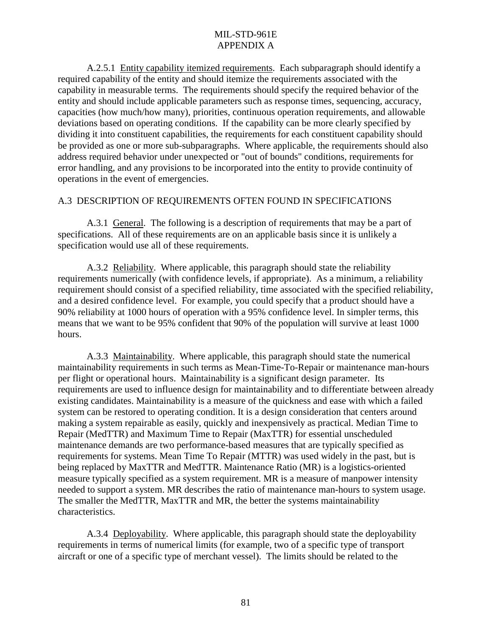<span id="page-92-0"></span> A.2.5.1 Entity capability itemized requirements. Each subparagraph should identify a required capability of the entity and should itemize the requirements associated with the capability in measurable terms. The requirements should specify the required behavior of the entity and should include applicable parameters such as response times, sequencing, accuracy, capacities (how much/how many), priorities, continuous operation requirements, and allowable deviations based on operating conditions. If the capability can be more clearly specified by dividing it into constituent capabilities, the requirements for each constituent capability should be provided as one or more sub-subparagraphs. Where applicable, the requirements should also address required behavior under unexpected or "out of bounds" conditions, requirements for error handling, and any provisions to be incorporated into the entity to provide continuity of operations in the event of emergencies.

#### A.3 DESCRIPTION OF REQUIREMENTS OFTEN FOUND IN SPECIFICATIONS

 A.3.1 General. The following is a description of requirements that may be a part of specifications. All of these requirements are on an applicable basis since it is unlikely a specification would use all of these requirements.

 A.3.2 Reliability. Where applicable, this paragraph should state the reliability requirements numerically (with confidence levels, if appropriate). As a minimum, a reliability requirement should consist of a specified reliability, time associated with the specified reliability, and a desired confidence level. For example, you could specify that a product should have a 90% reliability at 1000 hours of operation with a 95% confidence level. In simpler terms, this means that we want to be 95% confident that 90% of the population will survive at least 1000 hours.

 A.3.3 Maintainability. Where applicable, this paragraph should state the numerical maintainability requirements in such terms as Mean-Time-To-Repair or maintenance man-hours per flight or operational hours. Maintainability is a significant design parameter. Its requirements are used to influence design for maintainability and to differentiate between already existing candidates. Maintainability is a measure of the quickness and ease with which a failed system can be restored to operating condition. It is a design consideration that centers around making a system repairable as easily, quickly and inexpensively as practical. Median Time to Repair (MedTTR) and Maximum Time to Repair (MaxTTR) for essential unscheduled maintenance demands are two performance-based measures that are typically specified as requirements for systems. Mean Time To Repair (MTTR) was used widely in the past, but is being replaced by MaxTTR and MedTTR. Maintenance Ratio (MR) is a logistics-oriented measure typically specified as a system requirement. MR is a measure of manpower intensity needed to support a system. MR describes the ratio of maintenance man-hours to system usage. The smaller the MedTTR, MaxTTR and MR, the better the systems maintainability characteristics.

 A.3.4 Deployability. Where applicable, this paragraph should state the deployability requirements in terms of numerical limits (for example, two of a specific type of transport aircraft or one of a specific type of merchant vessel). The limits should be related to the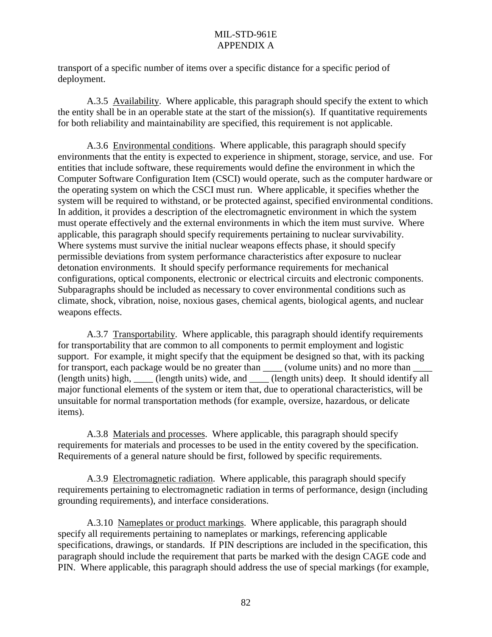<span id="page-93-0"></span>transport of a specific number of items over a specific distance for a specific period of deployment.

 A.3.5 Availability. Where applicable, this paragraph should specify the extent to which the entity shall be in an operable state at the start of the mission(s). If quantitative requirements for both reliability and maintainability are specified, this requirement is not applicable.

 A.3.6 Environmental conditions. Where applicable, this paragraph should specify environments that the entity is expected to experience in shipment, storage, service, and use. For entities that include software, these requirements would define the environment in which the Computer Software Configuration Item (CSCI) would operate, such as the computer hardware or the operating system on which the CSCI must run. Where applicable, it specifies whether the system will be required to withstand, or be protected against, specified environmental conditions. In addition, it provides a description of the electromagnetic environment in which the system must operate effectively and the external environments in which the item must survive. Where applicable, this paragraph should specify requirements pertaining to nuclear survivability. Where systems must survive the initial nuclear weapons effects phase, it should specify permissible deviations from system performance characteristics after exposure to nuclear detonation environments. It should specify performance requirements for mechanical configurations, optical components, electronic or electrical circuits and electronic components. Subparagraphs should be included as necessary to cover environmental conditions such as climate, shock, vibration, noise, noxious gases, chemical agents, biological agents, and nuclear weapons effects.

 A.3.7 Transportability. Where applicable, this paragraph should identify requirements for transportability that are common to all components to permit employment and logistic support. For example, it might specify that the equipment be designed so that, with its packing for transport, each package would be no greater than \_\_\_\_\_\_ (volume units) and no more than (length units) high, \_\_\_\_ (length units) wide, and \_\_\_\_ (length units) deep. It should identify all major functional elements of the system or item that, due to operational characteristics, will be unsuitable for normal transportation methods (for example, oversize, hazardous, or delicate items).

 A.3.8 Materials and processes. Where applicable, this paragraph should specify requirements for materials and processes to be used in the entity covered by the specification. Requirements of a general nature should be first, followed by specific requirements.

 A.3.9 Electromagnetic radiation. Where applicable, this paragraph should specify requirements pertaining to electromagnetic radiation in terms of performance, design (including grounding requirements), and interface considerations.

 A.3.10 Nameplates or product markings. Where applicable, this paragraph should specify all requirements pertaining to nameplates or markings, referencing applicable specifications, drawings, or standards. If PIN descriptions are included in the specification, this paragraph should include the requirement that parts be marked with the design CAGE code and PIN. Where applicable, this paragraph should address the use of special markings (for example,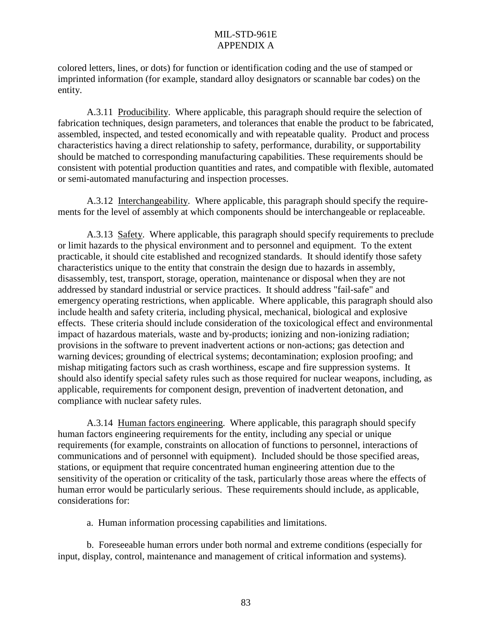<span id="page-94-0"></span>colored letters, lines, or dots) for function or identification coding and the use of stamped or imprinted information (for example, standard alloy designators or scannable bar codes) on the entity.

 A.3.11 Producibility. Where applicable, this paragraph should require the selection of fabrication techniques, design parameters, and tolerances that enable the product to be fabricated, assembled, inspected, and tested economically and with repeatable quality. Product and process characteristics having a direct relationship to safety, performance, durability, or supportability should be matched to corresponding manufacturing capabilities. These requirements should be consistent with potential production quantities and rates, and compatible with flexible, automated or semi-automated manufacturing and inspection processes.

 A.3.12 Interchangeability. Where applicable, this paragraph should specify the requirements for the level of assembly at which components should be interchangeable or replaceable.

A.3.13 Safety. Where applicable, this paragraph should specify requirements to preclude or limit hazards to the physical environment and to personnel and equipment. To the extent practicable, it should cite established and recognized standards. It should identify those safety characteristics unique to the entity that constrain the design due to hazards in assembly, disassembly, test, transport, storage, operation, maintenance or disposal when they are not addressed by standard industrial or service practices. It should address "fail-safe" and emergency operating restrictions, when applicable. Where applicable, this paragraph should also include health and safety criteria, including physical, mechanical, biological and explosive effects. These criteria should include consideration of the toxicological effect and environmental impact of hazardous materials, waste and by-products; ionizing and non-ionizing radiation; provisions in the software to prevent inadvertent actions or non-actions; gas detection and warning devices; grounding of electrical systems; decontamination; explosion proofing; and mishap mitigating factors such as crash worthiness, escape and fire suppression systems. It should also identify special safety rules such as those required for nuclear weapons, including, as applicable, requirements for component design, prevention of inadvertent detonation, and compliance with nuclear safety rules.

 A.3.14 Human factors engineering. Where applicable, this paragraph should specify human factors engineering requirements for the entity, including any special or unique requirements (for example, constraints on allocation of functions to personnel, interactions of communications and of personnel with equipment). Included should be those specified areas, stations, or equipment that require concentrated human engineering attention due to the sensitivity of the operation or criticality of the task, particularly those areas where the effects of human error would be particularly serious. These requirements should include, as applicable, considerations for:

a. Human information processing capabilities and limitations.

 b. Foreseeable human errors under both normal and extreme conditions (especially for input, display, control, maintenance and management of critical information and systems).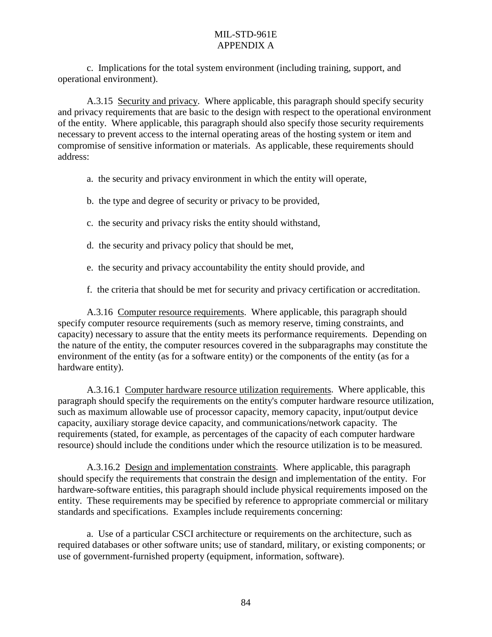<span id="page-95-0"></span> c. Implications for the total system environment (including training, support, and operational environment).

 A.3.15 Security and privacy. Where applicable, this paragraph should specify security and privacy requirements that are basic to the design with respect to the operational environment of the entity. Where applicable, this paragraph should also specify those security requirements necessary to prevent access to the internal operating areas of the hosting system or item and compromise of sensitive information or materials. As applicable, these requirements should address:

- a. the security and privacy environment in which the entity will operate,
- b. the type and degree of security or privacy to be provided,
- c. the security and privacy risks the entity should withstand,
- d. the security and privacy policy that should be met,
- e. the security and privacy accountability the entity should provide, and
- f. the criteria that should be met for security and privacy certification or accreditation.

 A.3.16 Computer resource requirements. Where applicable, this paragraph should specify computer resource requirements (such as memory reserve, timing constraints, and capacity) necessary to assure that the entity meets its performance requirements. Depending on the nature of the entity, the computer resources covered in the subparagraphs may constitute the environment of the entity (as for a software entity) or the components of the entity (as for a hardware entity).

 A.3.16.1 Computer hardware resource utilization requirements. Where applicable, this paragraph should specify the requirements on the entity's computer hardware resource utilization, such as maximum allowable use of processor capacity, memory capacity, input/output device capacity, auxiliary storage device capacity, and communications/network capacity. The requirements (stated, for example, as percentages of the capacity of each computer hardware resource) should include the conditions under which the resource utilization is to be measured.

 A.3.16.2 Design and implementation constraints. Where applicable, this paragraph should specify the requirements that constrain the design and implementation of the entity. For hardware-software entities, this paragraph should include physical requirements imposed on the entity. These requirements may be specified by reference to appropriate commercial or military standards and specifications. Examples include requirements concerning:

 a. Use of a particular CSCI architecture or requirements on the architecture, such as required databases or other software units; use of standard, military, or existing components; or use of government-furnished property (equipment, information, software).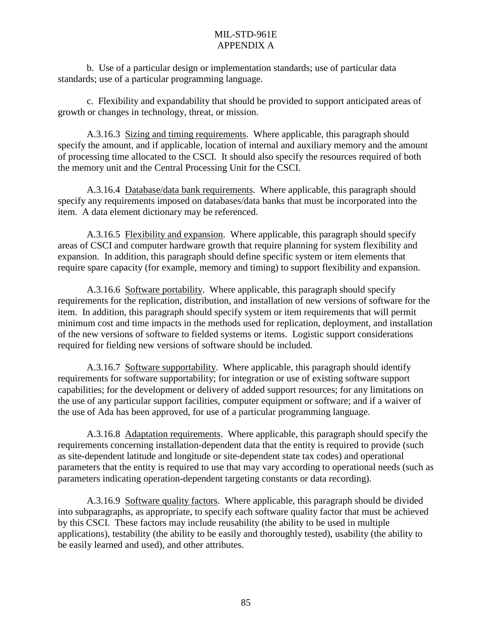<span id="page-96-0"></span> b. Use of a particular design or implementation standards; use of particular data standards; use of a particular programming language.

 c. Flexibility and expandability that should be provided to support anticipated areas of growth or changes in technology, threat, or mission.

 A.3.16.3 Sizing and timing requirements. Where applicable, this paragraph should specify the amount, and if applicable, location of internal and auxiliary memory and the amount of processing time allocated to the CSCI. It should also specify the resources required of both the memory unit and the Central Processing Unit for the CSCI.

 A.3.16.4 Database/data bank requirements. Where applicable, this paragraph should specify any requirements imposed on databases/data banks that must be incorporated into the item. A data element dictionary may be referenced.

 A.3.16.5 Flexibility and expansion. Where applicable, this paragraph should specify areas of CSCI and computer hardware growth that require planning for system flexibility and expansion. In addition, this paragraph should define specific system or item elements that require spare capacity (for example, memory and timing) to support flexibility and expansion.

 A.3.16.6 Software portability. Where applicable, this paragraph should specify requirements for the replication, distribution, and installation of new versions of software for the item. In addition, this paragraph should specify system or item requirements that will permit minimum cost and time impacts in the methods used for replication, deployment, and installation of the new versions of software to fielded systems or items. Logistic support considerations required for fielding new versions of software should be included.

 A.3.16.7 Software supportability. Where applicable, this paragraph should identify requirements for software supportability; for integration or use of existing software support capabilities; for the development or delivery of added support resources; for any limitations on the use of any particular support facilities, computer equipment or software; and if a waiver of the use of Ada has been approved, for use of a particular programming language.

 A.3.16.8 Adaptation requirements. Where applicable, this paragraph should specify the requirements concerning installation-dependent data that the entity is required to provide (such as site-dependent latitude and longitude or site-dependent state tax codes) and operational parameters that the entity is required to use that may vary according to operational needs (such as parameters indicating operation-dependent targeting constants or data recording).

 A.3.16.9 Software quality factors. Where applicable, this paragraph should be divided into subparagraphs, as appropriate, to specify each software quality factor that must be achieved by this CSCI. These factors may include reusability (the ability to be used in multiple applications), testability (the ability to be easily and thoroughly tested), usability (the ability to be easily learned and used), and other attributes.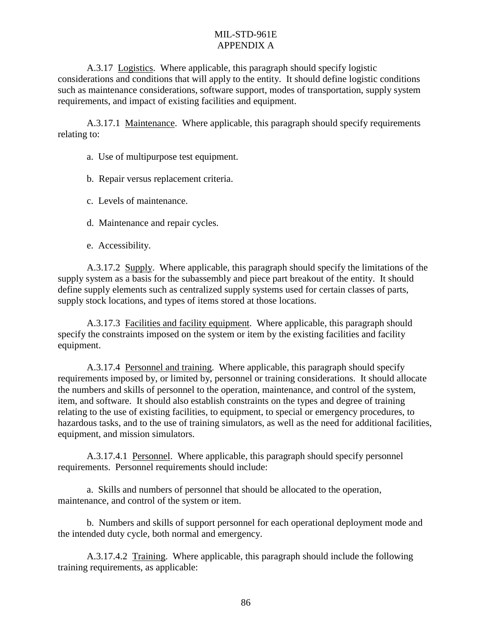<span id="page-97-0"></span> A.3.17 Logistics. Where applicable, this paragraph should specify logistic considerations and conditions that will apply to the entity. It should define logistic conditions such as maintenance considerations, software support, modes of transportation, supply system requirements, and impact of existing facilities and equipment.

 A.3.17.1 Maintenance. Where applicable, this paragraph should specify requirements relating to:

a. Use of multipurpose test equipment.

b. Repair versus replacement criteria.

c. Levels of maintenance.

d. Maintenance and repair cycles.

e. Accessibility.

 A.3.17.2 Supply. Where applicable, this paragraph should specify the limitations of the supply system as a basis for the subassembly and piece part breakout of the entity. It should define supply elements such as centralized supply systems used for certain classes of parts, supply stock locations, and types of items stored at those locations.

 A.3.17.3 Facilities and facility equipment. Where applicable, this paragraph should specify the constraints imposed on the system or item by the existing facilities and facility equipment.

 A.3.17.4 Personnel and training. Where applicable, this paragraph should specify requirements imposed by, or limited by, personnel or training considerations. It should allocate the numbers and skills of personnel to the operation, maintenance, and control of the system, item, and software. It should also establish constraints on the types and degree of training relating to the use of existing facilities, to equipment, to special or emergency procedures, to hazardous tasks, and to the use of training simulators, as well as the need for additional facilities, equipment, and mission simulators.

 A.3.17.4.1 Personnel. Where applicable, this paragraph should specify personnel requirements. Personnel requirements should include:

 a. Skills and numbers of personnel that should be allocated to the operation, maintenance, and control of the system or item.

 b. Numbers and skills of support personnel for each operational deployment mode and the intended duty cycle, both normal and emergency.

 A.3.17.4.2 Training. Where applicable, this paragraph should include the following training requirements, as applicable: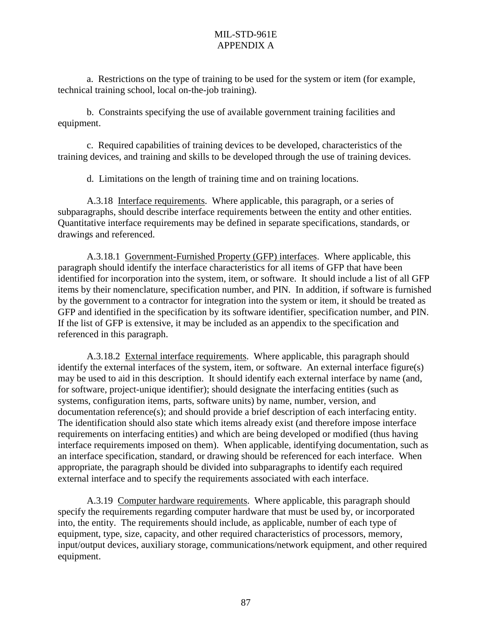<span id="page-98-0"></span> a. Restrictions on the type of training to be used for the system or item (for example, technical training school, local on-the-job training).

 b. Constraints specifying the use of available government training facilities and equipment.

 c. Required capabilities of training devices to be developed, characteristics of the training devices, and training and skills to be developed through the use of training devices.

d. Limitations on the length of training time and on training locations.

 A.3.18 Interface requirements. Where applicable, this paragraph, or a series of subparagraphs, should describe interface requirements between the entity and other entities. Quantitative interface requirements may be defined in separate specifications, standards, or drawings and referenced.

 A.3.18.1 Government-Furnished Property (GFP) interfaces. Where applicable, this paragraph should identify the interface characteristics for all items of GFP that have been identified for incorporation into the system, item, or software. It should include a list of all GFP items by their nomenclature, specification number, and PIN. In addition, if software is furnished by the government to a contractor for integration into the system or item, it should be treated as GFP and identified in the specification by its software identifier, specification number, and PIN. If the list of GFP is extensive, it may be included as an appendix to the specification and referenced in this paragraph.

A.3.18.2 External interface requirements. Where applicable, this paragraph should identify the external interfaces of the system, item, or software. An external interface figure(s) may be used to aid in this description. It should identify each external interface by name (and, for software, project-unique identifier); should designate the interfacing entities (such as systems, configuration items, parts, software units) by name, number, version, and documentation reference(s); and should provide a brief description of each interfacing entity. The identification should also state which items already exist (and therefore impose interface requirements on interfacing entities) and which are being developed or modified (thus having interface requirements imposed on them). When applicable, identifying documentation, such as an interface specification, standard, or drawing should be referenced for each interface. When appropriate, the paragraph should be divided into subparagraphs to identify each required external interface and to specify the requirements associated with each interface.

 A.3.19 Computer hardware requirements. Where applicable, this paragraph should specify the requirements regarding computer hardware that must be used by, or incorporated into, the entity. The requirements should include, as applicable, number of each type of equipment, type, size, capacity, and other required characteristics of processors, memory, input/output devices, auxiliary storage, communications/network equipment, and other required equipment.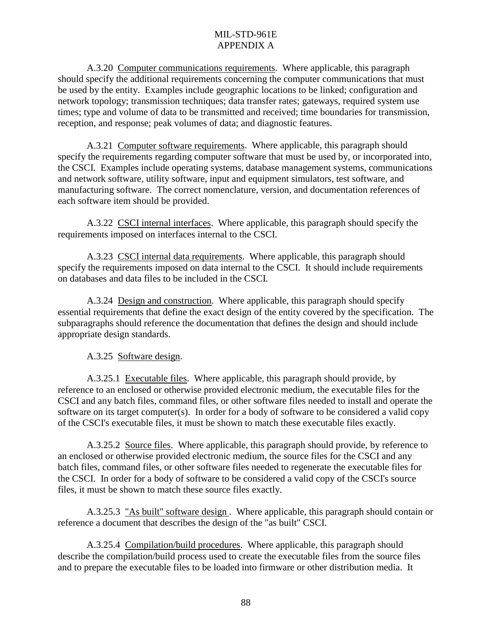<span id="page-99-0"></span> A.3.20 Computer communications requirements. Where applicable, this paragraph should specify the additional requirements concerning the computer communications that must be used by the entity. Examples include geographic locations to be linked; configuration and network topology; transmission techniques; data transfer rates; gateways, required system use times; type and volume of data to be transmitted and received; time boundaries for transmission, reception, and response; peak volumes of data; and diagnostic features.

 A.3.21 Computer software requirements. Where applicable, this paragraph should specify the requirements regarding computer software that must be used by, or incorporated into, the CSCI. Examples include operating systems, database management systems, communications and network software, utility software, input and equipment simulators, test software, and manufacturing software. The correct nomenclature, version, and documentation references of each software item should be provided.

 A.3.22 CSCI internal interfaces. Where applicable, this paragraph should specify the requirements imposed on interfaces internal to the CSCI.

 A.3.23 CSCI internal data requirements. Where applicable, this paragraph should specify the requirements imposed on data internal to the CSCI. It should include requirements on databases and data files to be included in the CSCI.

 A.3.24 Design and construction. Where applicable, this paragraph should specify essential requirements that define the exact design of the entity covered by the specification. The subparagraphs should reference the documentation that defines the design and should include appropriate design standards.

A.3.25 Software design.

A.3.25.1 Executable files. Where applicable, this paragraph should provide, by reference to an enclosed or otherwise provided electronic medium, the executable files for the CSCI and any batch files, command files, or other software files needed to install and operate the software on its target computer(s). In order for a body of software to be considered a valid copy of the CSCI's executable files, it must be shown to match these executable files exactly.

 A.3.25.2 Source files. Where applicable, this paragraph should provide, by reference to an enclosed or otherwise provided electronic medium, the source files for the CSCI and any batch files, command files, or other software files needed to regenerate the executable files for the CSCI. In order for a body of software to be considered a valid copy of the CSCI's source files, it must be shown to match these source files exactly.

 A.3.25.3 "As built" software design . Where applicable, this paragraph should contain or reference a document that describes the design of the "as built" CSCI.

 A.3.25.4 Compilation/build procedures. Where applicable, this paragraph should describe the compilation/build process used to create the executable files from the source files and to prepare the executable files to be loaded into firmware or other distribution media. It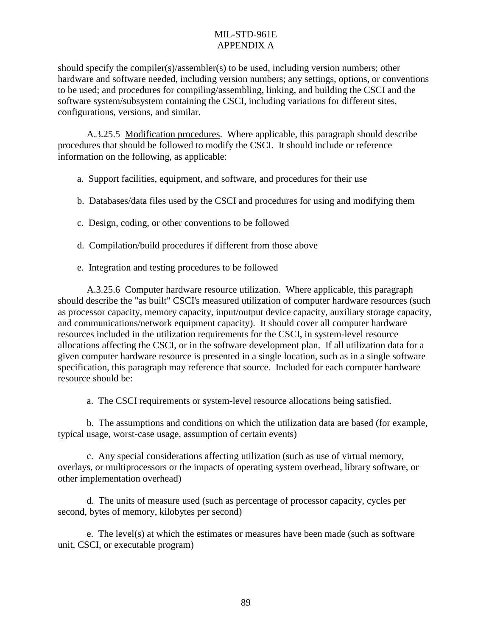<span id="page-100-0"></span>should specify the compiler(s)/assembler(s) to be used, including version numbers; other hardware and software needed, including version numbers; any settings, options, or conventions to be used; and procedures for compiling/assembling, linking, and building the CSCI and the software system/subsystem containing the CSCI, including variations for different sites, configurations, versions, and similar.

 A.3.25.5 Modification procedures. Where applicable, this paragraph should describe procedures that should be followed to modify the CSCI. It should include or reference information on the following, as applicable:

- a. Support facilities, equipment, and software, and procedures for their use
- b. Databases/data files used by the CSCI and procedures for using and modifying them
- c. Design, coding, or other conventions to be followed
- d. Compilation/build procedures if different from those above
- e. Integration and testing procedures to be followed

 A.3.25.6 Computer hardware resource utilization. Where applicable, this paragraph should describe the "as built" CSCI's measured utilization of computer hardware resources (such as processor capacity, memory capacity, input/output device capacity, auxiliary storage capacity, and communications/network equipment capacity). It should cover all computer hardware resources included in the utilization requirements for the CSCI, in system-level resource allocations affecting the CSCI, or in the software development plan. If all utilization data for a given computer hardware resource is presented in a single location, such as in a single software specification, this paragraph may reference that source. Included for each computer hardware resource should be:

a. The CSCI requirements or system-level resource allocations being satisfied.

 b. The assumptions and conditions on which the utilization data are based (for example, typical usage, worst-case usage, assumption of certain events)

 c. Any special considerations affecting utilization (such as use of virtual memory, overlays, or multiprocessors or the impacts of operating system overhead, library software, or other implementation overhead)

 d. The units of measure used (such as percentage of processor capacity, cycles per second, bytes of memory, kilobytes per second)

 e. The level(s) at which the estimates or measures have been made (such as software unit, CSCI, or executable program)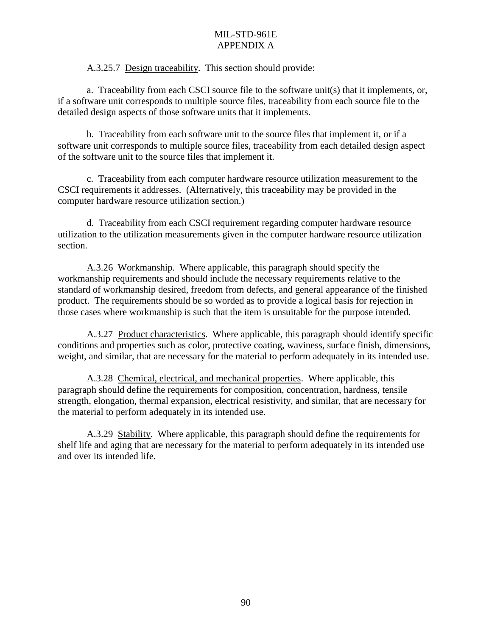A.3.25.7 Design traceability. This section should provide:

<span id="page-101-0"></span>a. Traceability from each CSCI source file to the software unit(s) that it implements, or, if a software unit corresponds to multiple source files, traceability from each source file to the detailed design aspects of those software units that it implements.

 b. Traceability from each software unit to the source files that implement it, or if a software unit corresponds to multiple source files, traceability from each detailed design aspect of the software unit to the source files that implement it.

 c. Traceability from each computer hardware resource utilization measurement to the CSCI requirements it addresses. (Alternatively, this traceability may be provided in the computer hardware resource utilization section.)

 d. Traceability from each CSCI requirement regarding computer hardware resource utilization to the utilization measurements given in the computer hardware resource utilization section.

 A.3.26 Workmanship. Where applicable, this paragraph should specify the workmanship requirements and should include the necessary requirements relative to the standard of workmanship desired, freedom from defects, and general appearance of the finished product. The requirements should be so worded as to provide a logical basis for rejection in those cases where workmanship is such that the item is unsuitable for the purpose intended.

 A.3.27 Product characteristics. Where applicable, this paragraph should identify specific conditions and properties such as color, protective coating, waviness, surface finish, dimensions, weight, and similar, that are necessary for the material to perform adequately in its intended use.

 A.3.28 Chemical, electrical, and mechanical properties. Where applicable, this paragraph should define the requirements for composition, concentration, hardness, tensile strength, elongation, thermal expansion, electrical resistivity, and similar, that are necessary for the material to perform adequately in its intended use.

 A.3.29 Stability. Where applicable, this paragraph should define the requirements for shelf life and aging that are necessary for the material to perform adequately in its intended use and over its intended life.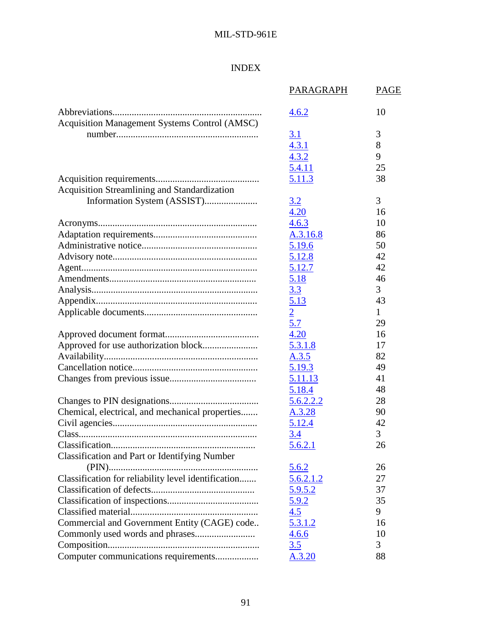# INDEX

|                                                      | PARAGRAPH      | <b>PAGE</b> |
|------------------------------------------------------|----------------|-------------|
|                                                      | 4.6.2          | 10          |
| Acquisition Management Systems Control (AMSC)        |                |             |
|                                                      | 3.1            | 3           |
|                                                      | 4.3.1          | 8           |
|                                                      | 4.3.2          | 9           |
|                                                      | 5.4.11         | 25          |
|                                                      | 5.11.3         | 38          |
| Acquisition Streamlining and Standardization         |                |             |
| Information System (ASSIST)                          | 3.2            | 3           |
|                                                      | 4.20           | 16          |
|                                                      | 4.6.3          | 10          |
|                                                      | A.3.16.8       | 86          |
|                                                      | 5.19.6         | 50          |
|                                                      | 5.12.8         | 42          |
|                                                      | 5.12.7         | 42          |
|                                                      | 5.18           | 46          |
|                                                      | 3.3            | 3           |
|                                                      | 5.13           | 43          |
|                                                      | $\overline{2}$ | 1           |
|                                                      | 5.7            | 29          |
|                                                      | 4.20           | 16          |
|                                                      | 5.3.1.8        | 17          |
|                                                      | A.3.5          | 82          |
|                                                      | 5.19.3         | 49          |
|                                                      | 5.11.13        | 41          |
|                                                      | 5.18.4         | 48          |
|                                                      | 5.6.2.2.2      | 28          |
| Chemical, electrical, and mechanical properties      | A.3.28         | 90          |
|                                                      | <u>5.12.4</u>  | 42          |
|                                                      | 3.4            | 3           |
|                                                      | <u>5.6.2.1</u> | 26          |
| <b>Classification and Part or Identifying Number</b> |                |             |
|                                                      | <u>5.6.2</u>   | 26          |
| Classification for reliability level identification  | 5.6.2.1.2      | 27          |
|                                                      | <u>5.9.5.2</u> | 37          |
|                                                      | <u>5.9.2</u>   | 35          |
|                                                      | 4.5            | 9           |
| Commercial and Government Entity (CAGE) code         | 5.3.1.2        | 16          |
|                                                      | 4.6.6          | 10          |
|                                                      | 3.5            | 3           |
| Computer communications requirements                 | A.3.20         | 88          |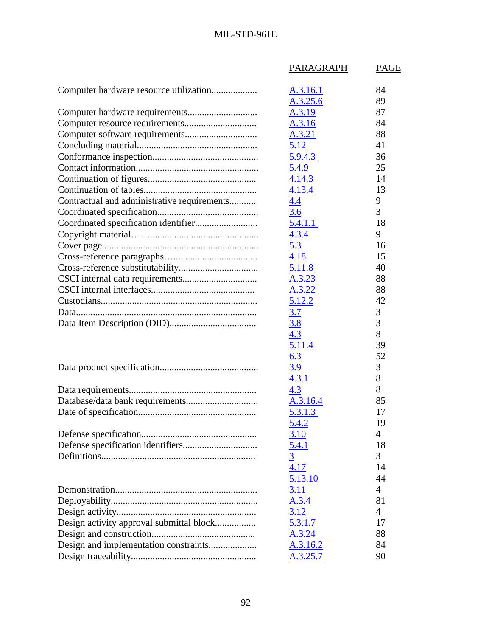|                                             | PARAGRAPH      | <b>PAGE</b>    |
|---------------------------------------------|----------------|----------------|
|                                             | A.3.16.1       | 84             |
|                                             | A.3.25.6       | 89             |
|                                             | A.3.19         | 87             |
|                                             | A.3.16         | 84             |
|                                             | A.3.21         | 88             |
|                                             | 5.12           | 41             |
|                                             | <u>5.9.4.3</u> | 36             |
|                                             | 5.4.9          | 25             |
|                                             | 4.14.3         | 14             |
|                                             | 4.13.4         | 13             |
| Contractual and administrative requirements | 4.4            | 9              |
|                                             | 3.6            | 3              |
|                                             | 5.4.1.1        | 18             |
|                                             | 4.3.4          | 9              |
|                                             | 5.3            | 16             |
|                                             | 4.18           | 15             |
|                                             | 5.11.8         | 40             |
|                                             | A.3.23         | 88             |
|                                             | A.3.22         | 88             |
|                                             | 5.12.2         | 42             |
|                                             | 3.7            | 3              |
|                                             | <u>3.8</u>     | 3              |
|                                             | 4.3            | 8              |
|                                             | 5.11.4         | 39             |
|                                             | 6.3            | 52             |
|                                             | <u>3.9</u>     | 3              |
|                                             | 4.3.1          | 8              |
|                                             | 4.3            | 8              |
|                                             | A.3.16.4       | 85             |
|                                             | 5.3.1.3        | 17             |
|                                             | 5.4.2          | 19             |
|                                             | 3.10           | 4              |
|                                             | 5.4.1          | 18             |
|                                             | $\overline{3}$ | 3              |
|                                             | 4.17           | 14             |
|                                             | 5.13.10        | 44             |
|                                             | 3.11           | 4              |
|                                             | A.3.4          | 81             |
|                                             | 3.12           | $\overline{4}$ |
| Design activity approval submittal block    | 5.3.1.7        | 17             |
|                                             | A.3.24         | 88             |
|                                             | A.3.16.2       | 84             |
|                                             | A.3.25.7       | 90             |
|                                             |                |                |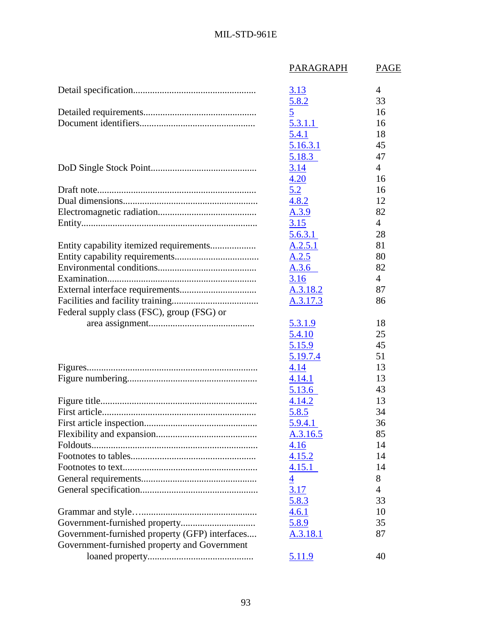|                                                | PARAGRAPH      | PAGE           |
|------------------------------------------------|----------------|----------------|
|                                                | 3.13           | 4              |
|                                                | 5.8.2          | 33             |
|                                                | $\overline{5}$ | 16             |
|                                                | 5.3.11         | 16             |
|                                                | 5.4.1          | 18             |
|                                                | 5.16.3.1       | 45             |
|                                                | 5.18.3         | 47             |
|                                                | 3.14           | $\overline{4}$ |
|                                                | 4.20           | 16             |
|                                                | 5.2            | 16             |
|                                                | 4.8.2          | 12             |
|                                                | A.3.9          | 82             |
|                                                | 3.15           | $\overline{4}$ |
|                                                | 5.6.3.1        | 28             |
|                                                | A.2.5.1        | 81             |
|                                                | A.2.5          | 80             |
|                                                | A.3.6          | 82             |
|                                                | 3.16           | $\overline{4}$ |
|                                                | A.3.18.2       | 87             |
|                                                | A.3.17.3       | 86             |
| Federal supply class (FSC), group (FSG) or     |                |                |
|                                                | 5.3.1.9        | 18             |
|                                                | 5.4.10         | 25             |
|                                                | 5.15.9         | 45             |
|                                                | 5.19.7.4       | 51             |
|                                                | 4.14           | 13             |
|                                                | 4.14.1         | 13             |
|                                                | 5.13.6         | 43             |
|                                                | 4.14.2         | 13             |
|                                                | <u>5.8.5</u>   | 34             |
|                                                | 5.9.4.1        | 36             |
|                                                | A.3.16.5       | 85             |
|                                                | 4.16           | 14             |
|                                                | 4.15.2         | 14             |
|                                                | 4.15.1         | 14             |
|                                                | $\overline{4}$ | 8              |
|                                                | 3.17           | 4              |
|                                                | 5.8.3          | 33             |
|                                                | 4.6.1          | 10             |
| Government-furnished property                  | 5.8.9          | 35             |
| Government-furnished property (GFP) interfaces | A.3.18.1       | 87             |
| Government-furnished property and Government   |                |                |
|                                                | <u>5.11.9</u>  | 40             |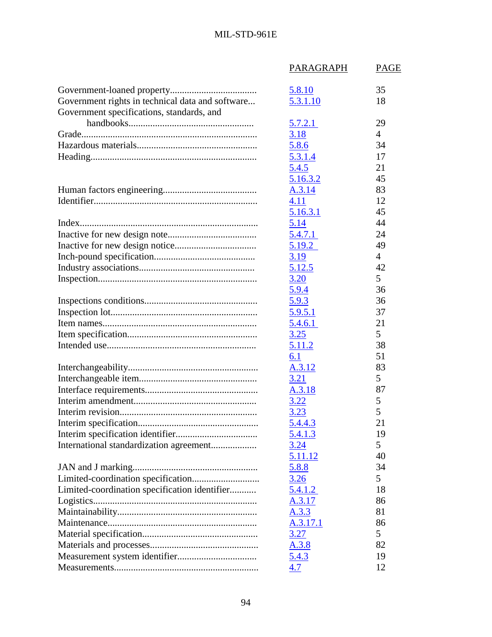|                                                  | PARAGRAPH    | PAGE           |
|--------------------------------------------------|--------------|----------------|
|                                                  | 5.8.10       | 35             |
| Government rights in technical data and software | 5.3.1.10     | 18             |
| Government specifications, standards, and        |              |                |
|                                                  | 5.7.2.1      | 29             |
|                                                  | 3.18         | $\overline{4}$ |
|                                                  | 5.8.6        | 34             |
|                                                  | 5.3.1.4      | 17             |
|                                                  | 5.4.5        | 21             |
|                                                  | 5.16.3.2     | 45             |
|                                                  | A.3.14       | 83             |
|                                                  | 4.11         | 12             |
|                                                  | 5.16.3.1     | 45             |
|                                                  | 5.14         | 44             |
|                                                  | 5.4.7.1      | 24             |
|                                                  | 5.19.2       | 49             |
|                                                  | 3.19         | $\overline{4}$ |
|                                                  | 5.12.5       | 42             |
|                                                  | 3.20         | 5              |
|                                                  | 5.9.4        | 36             |
|                                                  | 5.9.3        | 36             |
|                                                  | 5.9.5.1      | 37             |
|                                                  | 5.4.6.1      | 21             |
|                                                  | 3.25         | 5              |
|                                                  | 5.11.2       | 38             |
|                                                  | 6.1          | 51             |
|                                                  | A.3.12       | 83             |
|                                                  | 3.21         | 5              |
|                                                  | A.3.18       | 87             |
|                                                  | <u>3.22</u>  | 5              |
|                                                  | <u>3.23</u>  | 5              |
|                                                  | 5.4.4.3      | 21             |
|                                                  | 5.4.1.3      | 19             |
|                                                  | 3.24         | 5              |
|                                                  | 5.11.12      | 40             |
|                                                  | <u>5.8.8</u> | 34             |
|                                                  | 3.26         | 5              |
| Limited-coordination specification identifier    | 5.4.1.2      | 18             |
|                                                  | A.3.17       | 86             |
|                                                  | A.3.3        | 81             |
|                                                  | A.3.17.1     | 86             |
|                                                  | 3.27         | 5              |
|                                                  | A.3.8        | 82             |
|                                                  | 5.4.3        | 19             |
|                                                  | 4.7          | 12             |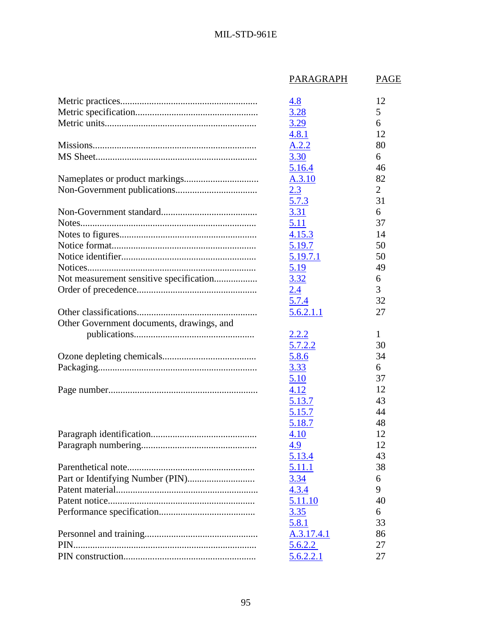|                                           | <b>PARAGRAPH</b> | <b>PAGE</b>    |
|-------------------------------------------|------------------|----------------|
|                                           | 4.8              | 12             |
|                                           | 3.28             | 5              |
|                                           | 3.29             | 6              |
|                                           | 4.8.1            | 12             |
|                                           | A.2.2            | 80             |
|                                           | 3.30             | 6              |
|                                           | 5.16.4           | 46             |
|                                           | A.3.10           | 82             |
|                                           | 2.3              | $\overline{2}$ |
|                                           | 5.7.3            | 31             |
|                                           | 3.31             | 6              |
|                                           | 5.11             | 37             |
|                                           | 4.15.3           | 14             |
|                                           | 5.19.7           | 50             |
|                                           | 5.19.7.1         | 50             |
|                                           | 5.19             | 49             |
| Not measurement sensitive specification   | 3.32             | 6              |
|                                           | 2.4              | 3              |
|                                           | 5.7.4            | 32             |
|                                           | 5.6.2.1.1        | 27             |
|                                           |                  |                |
| Other Government documents, drawings, and |                  |                |
|                                           | <u>2.2.2</u>     | 1              |
|                                           | 5.7.2.2          | 30             |
|                                           | 5.8.6            | 34             |
|                                           | 3.33             | 6              |
|                                           | 5.10             | 37             |
|                                           | 4.12             | 12             |
|                                           | 5.13.7           | 43             |
|                                           | 5.15.7           | 44             |
|                                           | 5.18.7           | 48             |
|                                           | 4.10             | 12             |
|                                           | 4.9              | 12             |
|                                           | 5.13.4           | 43             |
|                                           | 5.11.1           | 38             |
|                                           | 3.34             | 6              |
|                                           | 4.3.4            | 9              |
|                                           | 5.11.10          | 40             |
|                                           | 3.35             | 6              |
|                                           | 5.8.1            | 33             |
|                                           | A.3.17.4.1       | 86             |
|                                           | 5.6.2.2          | 27             |
|                                           | 5.6.2.2.1        | 27             |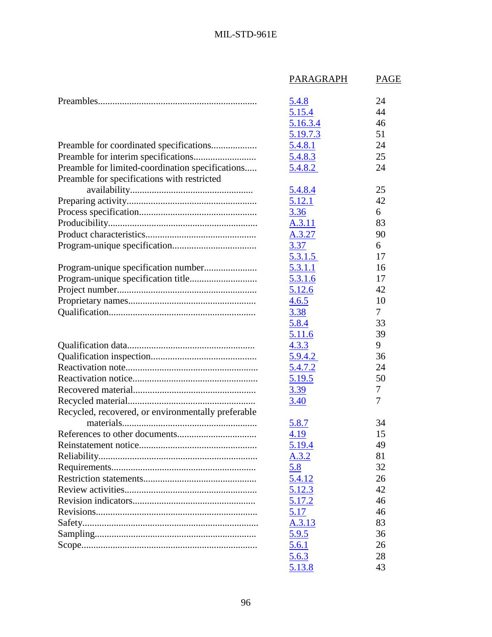|                                                    | PARAGRAPH    | <b>PAGE</b> |
|----------------------------------------------------|--------------|-------------|
|                                                    | 5.4.8        | 24          |
|                                                    | 5.15.4       | 44          |
|                                                    | 5.16.3.4     | 46          |
|                                                    | 5.19.7.3     | 51          |
|                                                    | 5.4.8.1      | 24          |
|                                                    | 5.4.8.3      | 25          |
| Preamble for limited-coordination specifications   | 5.4.8.2      | 24          |
| Preamble for specifications with restricted        |              |             |
|                                                    | 5.4.8.4      | 25          |
|                                                    | 5.12.1       | 42          |
|                                                    | 3.36         | 6           |
|                                                    | A.3.11       | 83          |
|                                                    | A.3.27       | 90          |
|                                                    | 3.37         | 6           |
|                                                    | 5.3.1.5      | 17          |
|                                                    | 5.3.1.1      | 16          |
|                                                    | 5.3.1.6      | 17          |
|                                                    | 5.12.6       | 42          |
|                                                    | 4.6.5        | 10          |
|                                                    | 3.38         | 7           |
|                                                    | 5.8.4        | 33          |
|                                                    | 5.11.6       | 39          |
|                                                    | 4.3.3        | 9           |
|                                                    | 5.9.4.2      | 36          |
|                                                    | 5.4.7.2      | 24          |
|                                                    | 5.19.5       | 50          |
|                                                    | 3.39         | 7           |
|                                                    | 3.40         | 7           |
| Recycled, recovered, or environmentally preferable |              |             |
|                                                    | 5.8.7        | 34          |
|                                                    | 4.19         | 15          |
|                                                    | 5.19.4       | 49          |
|                                                    | A.3.2        | 81          |
|                                                    | 5.8          | 32          |
|                                                    | 5.4.12       | 26          |
|                                                    | 5.12.3       | 42          |
|                                                    | 5.17.2       | 46          |
|                                                    | 5.17         | 46          |
|                                                    | A.3.13       | 83          |
|                                                    | <u>5.9.5</u> | 36          |
|                                                    | 5.6.1        | 26          |
|                                                    | 5.6.3        | 28          |
|                                                    | 5.13.8       | 43          |
|                                                    |              |             |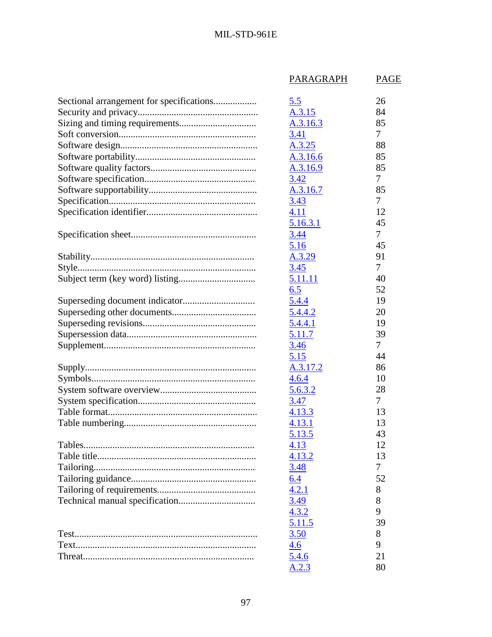## MIL-STD-961E

|                                          | PARAGRAPH      | PAGE   |
|------------------------------------------|----------------|--------|
| Sectional arrangement for specifications | 5.5            | 26     |
|                                          | A.3.15         | 84     |
|                                          | A.3.16.3       | 85     |
|                                          | 3.41           | 7      |
|                                          | A.3.25         | 88     |
|                                          | A.3.16.6       | 85     |
|                                          | A.3.16.9       | 85     |
|                                          | 3.42           | 7      |
|                                          | A.3.16.7       | 85     |
|                                          | <u>3.43</u>    | 7      |
|                                          | 4.11           | 12     |
|                                          | 5.16.3.1       | 45     |
|                                          | 3.44           | 7      |
|                                          | 5.16           | 45     |
|                                          | A.3.29         | 91     |
|                                          | 3.45           | 7      |
|                                          | 5.11.11        | 40     |
|                                          | 6.5            | 52     |
|                                          |                | 19     |
|                                          | 5.4.4          |        |
|                                          | 5.4.4.2        | 20     |
|                                          | 5.4.4.1        | 19     |
|                                          | 5.11.7         | 39     |
|                                          | 3.46           | $\tau$ |
|                                          | 5.15           | 44     |
|                                          | A.3.17.2       | 86     |
|                                          | 4.6.4          | 10     |
|                                          | <u>5.6.3.2</u> | 28     |
|                                          | 3.47           | $\tau$ |
|                                          | 4.13.3         | 13     |
|                                          | 4.13.1         | 13     |
|                                          | 5.13.5         | 43     |
|                                          | 4.13           | 12     |
|                                          | 4.13.2         | 13     |
|                                          | 3.48           | $\tau$ |
|                                          | 6.4            | 52     |
|                                          | 4.2.1          | 8      |
|                                          | 3.49           | 8      |
|                                          | 4.3.2          | 9      |
|                                          | 5.11.5         | 39     |
|                                          | <u>3.50</u>    | 8      |
|                                          | 4.6            | 9      |
|                                          | 5.4.6          | 21     |
|                                          | A.2.3          | 80     |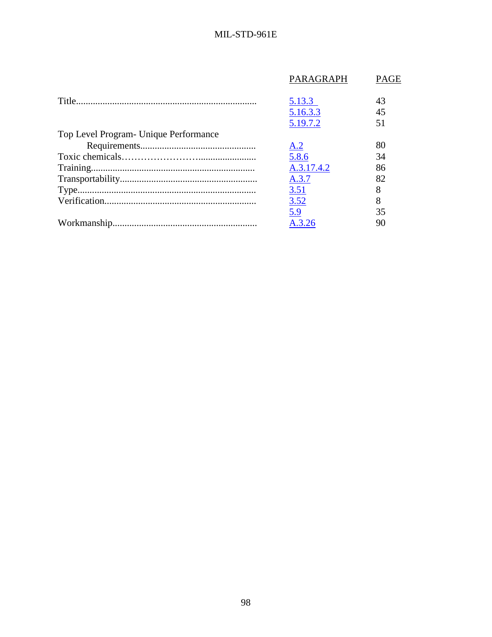|                                        | PARAGRAPH  | <b>PAGE</b> |
|----------------------------------------|------------|-------------|
|                                        | 5.13.3     | 43          |
|                                        | 5.16.3.3   | 45          |
|                                        | 5.19.7.2   | 51          |
| Top Level Program - Unique Performance |            |             |
|                                        | A.2        | 80          |
|                                        | 5.8.6      | 34          |
|                                        | A.3.17.4.2 | 86          |
|                                        | A.3.7      | 82          |
|                                        | 3.51       | 8           |
|                                        | 3.52       | 8           |
|                                        | 5.9        | 35          |
|                                        | A.3.26     | 90          |
|                                        |            |             |